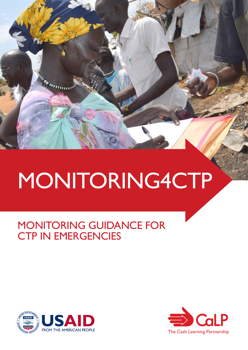# MONITORING4CTP

## MONITORING GUIDANCE FOR CTP IN EMERGENCIES



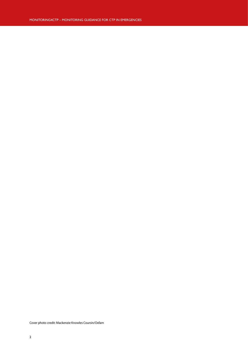Cover photo credit: Mackenzie Knowles Coursin/Oxfam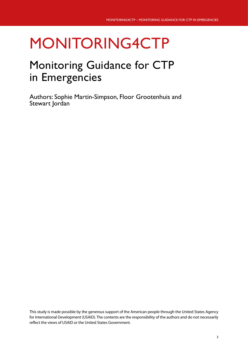## MONITORING4CTP

## Monitoring Guidance for CTP in Emergencies

Authors: Sophie Martin-Simpson, Floor Grootenhuis and Stewart Jordan

This study is made possible by the generous support of the American people through the United States Agency for International Development (USAID). The contents are the responsibility of the authors and do not necessarily reflect the views of USAID or the United States Government.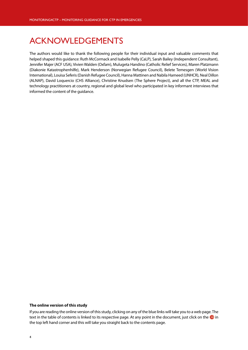## <span id="page-3-0"></span>ACKNOWLEDGEMENTS

The authors would like to thank the following people for their individual input and valuable comments that helped shaped this guidance: Ruth McCormack and Isabelle Pelly (CaLP), Sarah Bailey (Independent Consultant), Jennifer Majer (ACF USA), Vivien Walden (Oxfam), Mulugeta Handino (Catholic Relief Services), Maren Platzmann (Diakonie Katastrophenhilfe), Mark Henderson (Norwegian Refugee Council), Belete Temesgen (World Vision International), Louisa Seferis (Danish Refugee Council), Hanna Mattinen and Nabila Hameed (UNHCR), Neal Dillon (ALNAP), David Loquercio (CHS Alliance), Christine Knudsen (The Sphere Project), and all the CTP, MEAL and technology practitioners at country, regional and global level who participated in key informant interviews that informed the content of the guidance.

#### **The online version of this study**

If you are reading the online version of this study, clicking on any of the blue links will take you to a web page. The text in the table of contents is linked to its respective page. At any point in the document, just click on the  $\bf{C}$  in the top left hand corner and this will take you straight back to the contents page.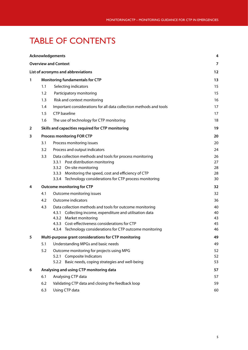## <span id="page-4-0"></span>TABLE OF CONTENTS

|                |                                                       | <b>Acknowledgements</b>                                            | 4              |  |  |
|----------------|-------------------------------------------------------|--------------------------------------------------------------------|----------------|--|--|
|                |                                                       | <b>Overview and Context</b>                                        | $\overline{7}$ |  |  |
|                |                                                       | List of acronyms and abbreviations                                 | 12             |  |  |
| 1              | <b>Monitoring fundamentals for CTP</b>                |                                                                    |                |  |  |
|                | 1.1                                                   | Selecting indicators                                               | 15             |  |  |
|                | 1.2                                                   | Participatory monitoring                                           | 15             |  |  |
|                | 1.3                                                   | Risk and context monitoring                                        | 16             |  |  |
|                | 1.4                                                   | Important considerations for all data collection methods and tools | 17             |  |  |
|                | 1.5                                                   | <b>CTP</b> baseline                                                | 17             |  |  |
|                | 1.6                                                   | The use of technology for CTP monitoring                           | 18             |  |  |
| $\overline{2}$ |                                                       | Skills and capacities required for CTP monitoring                  | 19             |  |  |
| 3              |                                                       | <b>Process monitoring FOR CTP</b>                                  | 20             |  |  |
|                | 3.1                                                   | 20                                                                 |                |  |  |
|                | 3.2                                                   | Process and output indicators                                      | 24             |  |  |
|                | 3.3                                                   | Data collection methods and tools for process monitoring           | 26             |  |  |
|                |                                                       | Post distribution monitoring<br>3.3.1                              | 27             |  |  |
|                |                                                       | 3.3.2 On-site monitoring                                           | 28             |  |  |
|                |                                                       | 3.3.3 Monitoring the speed, cost and efficiency of CTP             | 28             |  |  |
|                |                                                       | 3.3.4 Technology considerations for CTP process monitoring         | 30             |  |  |
| 4              |                                                       | <b>Outcome monitoring for CTP</b>                                  | 32             |  |  |
|                | 4.1                                                   | Outcome monitoring issues                                          |                |  |  |
|                | 4.2                                                   | Outcome indicators                                                 | 36             |  |  |
|                | 4.3                                                   | Data collection methods and tools for outcome monitoring           | 40             |  |  |
|                |                                                       | 4.3.1 Collecting income, expenditure and utilisation data          | 40             |  |  |
|                |                                                       | 4.3.2 Market monitoring                                            | 43             |  |  |
|                |                                                       | 4.3.3 Cost-effectiveness considerations for CTP                    | 45             |  |  |
|                |                                                       | 4.3.4 Technology considerations for CTP outcome monitoring         | 46             |  |  |
| 5              | Multi-purpose grant considerations for CTP monitoring | 49                                                                 |                |  |  |
|                | 5.1                                                   | Understanding MPGs and basic needs                                 | 49             |  |  |
|                | 5.2                                                   | Outcome monitoring for projects using MPG                          | 52             |  |  |
|                |                                                       | Composite Indicators<br>5.2.1                                      | 52             |  |  |
|                |                                                       | Basic needs, coping strategies and well-being<br>5.2.2             | 53<br>57       |  |  |
| 6              | Analysing and using CTP monitoring data               |                                                                    |                |  |  |
|                | 6.1                                                   | Analysing CTP data                                                 | 57<br>59       |  |  |
|                | 6.2                                                   | Validating CTP data and closing the feedback loop                  |                |  |  |
|                | 6.3                                                   | Using CTP data                                                     | 60             |  |  |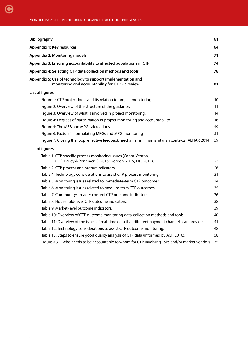| <b>Bibliography</b>                                                                                                            | 61 |
|--------------------------------------------------------------------------------------------------------------------------------|----|
| <b>Appendix 1: Key resources</b>                                                                                               | 64 |
| <b>Appendix 2: Monitoring models</b>                                                                                           | 71 |
| Appendix 3: Ensuring accountability to affected populations in CTP                                                             | 74 |
| Appendix 4: Selecting CTP data collection methods and tools                                                                    | 78 |
| Appendix 5: Use of technology to support implementation and<br>monitoring and accountability for CTP - a review                | 81 |
| List of figures                                                                                                                |    |
| Figure 1: CTP project logic and its relation to project monitoring                                                             | 10 |
| Figure 2: Overview of the structure of the guidance.                                                                           | 11 |
| Figure 3: Overview of what is involved in project monitoring.                                                                  | 14 |
| Figure 4: Degrees of participation in project monitoring and accountability.                                                   | 16 |
| Figure 5: The MEB and MPG calculations                                                                                         | 49 |
| Figure 6: Factors in formulating MPGs and MPG monitoring                                                                       | 51 |
| Figure 7: Closing the loop: effective feedback mechanisms in humanitarian contexts (ALNAP, 2014). 59                           |    |
| List of figures                                                                                                                |    |
| Table 1: CTP specific process monitoring issues (Cabot-Venton,<br>C., S. Bailey & Pongracz, S. 2015; Gordon, 2015, FID, 2011). | 23 |
| Table 2: CTP process and output indicators.                                                                                    | 26 |
| Table 4: Technology considerations to assist CTP process monitoring.                                                           | 31 |
| Table 5: Monitoring issues related to immediate-term CTP outcomes.                                                             | 34 |
| Table 6: Monitoring issues related to medium-term CTP outcomes.                                                                | 35 |
| Table 7: Community/broader context CTP outcome indicators.                                                                     | 36 |
| Table 8: Household-level CTP outcome indicators.                                                                               | 38 |
| Table 9: Market-level outcome indicators.                                                                                      | 39 |
| Table 10: Overview of CTP outcome monitoring data-collection methods and tools.                                                | 40 |
| Table 11: Overview of the types of real-time data that different payment channels can provide.                                 | 41 |
| Table 12: Technology considerations to assist CTP outcome monitoring.                                                          | 48 |
| Table 13: Steps to ensure good quality analysis of CTP data (informed by ACF, 2016).                                           | 58 |
| Figure A3.1: Who needs to be accountable to whom for CTP involving FSPs and/or market vendors.                                 | 75 |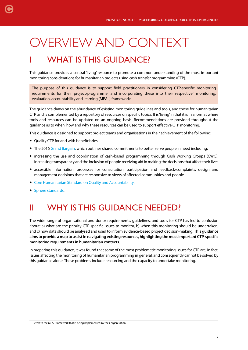## OVERVIEW AND CONTEXT

## **WHAT IS THIS GUIDANCE?**

This guidance provides a central 'living' resource to promote a common understanding of the most important monitoring considerations for humanitarian projects using cash transfer programming (CTP).

The purpose of this guidance is to support field practitioners in considering CTP-specific monitoring requirements for their project/programme, and incorporating these into their respective<sup>1</sup> monitoring, evaluation, accountability and learning (MEAL) frameworks.

The guidance draws on the abundance of existing monitoring guidelines and tools, and those for humanitarian CTP, and is complemented by a repository of resources on specific topics. It is 'living' in that it is in a format where tools and resources can be updated on an ongoing basis. Recommendations are provided throughout the guidance as to when, how and why these resources can be used to support effective CTP monitoring.

This guidance is designed to support project teams and organisations in their achievement of the following:

- Quality CTP for and with beneficiaries.
- The 2016 [Grand Bargain,](http://reliefweb.int/report/world/grand-bargain-explained-icva-briefing-paper) which outlines shared commitments to better serve people in need including:
- increasing the use and coordination of cash-based programming through Cash Working Groups (CWG), increasing transparency and the inclusion of people receiving aid in making the decisions that affect their lives
- accessible information, processes for consultation, participation and feedback/complaints, design and management decisions that are responsive to views of affected communities and people.
- [Core Humanitarian Standard on Quality and Accountability.](https://corehumanitarianstandard.org/resources/chs-guidance-notes-and-indicators)
- [Sphere standards.](http://www.sphereproject.org/news/sphere-for-monitoring-and-evaluation/)

<span id="page-6-0"></span>[C](#page-4-0)

### II WHY IS THIS GUIDANCE NEEDED?

The wide range of organisational and donor requirements, guidelines, and tools for CTP has led to confusion about: a) what are the priority CTP specific issues to monitor, b) when this monitoring should be undertaken, and c) how data should be analysed and used to inform evidence-based project decision-making. **This guidance aims to provide a map to assist in navigating existing resources, highlighting the most important CTP-specific monitoring requirements in humanitarian contexts.**

In preparing this guidance, it was found that some of the most problematic monitoring issues for CTP are, in fact, issues affecting the monitoring of humanitarian programming in general, and consequently cannot be solved by this guidance alone. These problems include resourcing and the capacity to undertake monitoring.

 $1$  Refers to the MEAL framework that is being implemented by their organisation.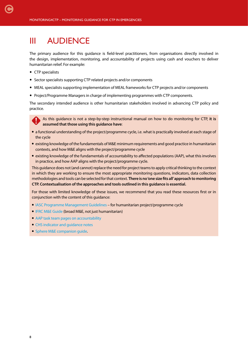### III AUDIENCE

The primary audience for this guidance is field-level practitioners, from organisations directly involved in the design, implementation, monitoring, and accountability of projects using cash and vouchers to deliver humanitarian relief. For example:

• CTP specialists

[C](#page-4-0)

- Sector specialists supporting CTP related projects and/or components
- MEAL specialists supporting implementation of MEAL frameworks for CTP projects and/or components
- Project/Programme Managers in charge of implementing programmes with CTP components.

The secondary intended audience is other humanitarian stakeholders involved in advancing CTP policy and practice.

As this guidance is not a step-by-step instructional manual on how to do monitoring for CTP, **it is assumed that those using this guidance have**:

- a functional understanding of the project/programme cycle, i.e. what is practically involved at each stage of the cycle
- existing knowledge of the fundamentals of M&E minimum requirements and good practice in humanitarian contexts, and how M&E aligns with the project/programme cycle
- existing knowledge of the fundamentals of accountability to affected populations (AAP), what this involves in practice, and how AAP aligns with the project/programme cycle.

This guidance does not (and cannot) replace the need for project teams to apply critical thinking to the context in which they are working to ensure the most appropriate monitoring questions, indicators, data collection methodologies and tools can be selected for that context. **There is no 'one size fits all' approach to monitoring CTP. Contextualisation of the approaches and tools outlined in this guidance is essential.**

For those with limited knowledge of these issues, we recommend that you read these resources first or in conjunction with the content of this guidance:

- [IASC Programme Management Guidelines](https://interagencystandingcommittee.org/system/files/hpc_reference_module_2015_final_.pdf) for humanitarian project/programme cycle
- [IFRC M&E Guide](http://www.ifrc.org/Global/Publications/monitoring/IFRC-ME-Guide-8-2011.pdf) (broad M&E, not just humanitarian)
- [AAP task team pages on accountability](https://interagencystandingcommittee.org/accountability-affected-populations-including-protection-sexual-exploitation-and-abuse)
- [CHS indicator and guidance notes](https://corehumanitarianstandard.org/resources/chs-guidance-notes-and-indicators)
- [Sphere M&E companion guide.](http://www.sphereproject.org/news/sphere-for-monitoring-and-evaluation/)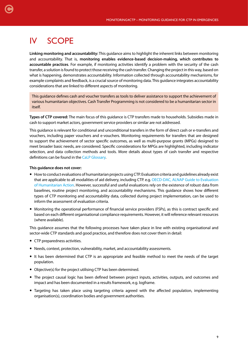## IV SCOPE

**Linking monitoring and accountability:** This guidance aims to highlight the inherent links between monitoring and accountability. That is, **monitoring enables evidence-based decision-making, which contributes to accountable practices**. For example, if monitoring activities identify a problem with the security of the cash transfer, a solution is found to protect those receiving the cash transfer. Changing the project in this way, based on what is happening, demonstrates accountability. Information collected through accountability mechanisms, for example complaints and feedback, is a crucial source of monitoring data. This guidance integrates accountability considerations that are linked to different aspects of monitoring.

This guidance defines cash and voucher transfers as tools to deliver assistance to support the achievement of various humanitarian objectives. Cash Transfer Programming is not considered to be a humanitarian sector in itself.

**Types of CTP covered:** The main focus of this guidance is CTP transfers made to households. Subsidies made in cash to support market actors, government service providers or similar are not addressed.

This guidance is relevant for conditional and unconditional transfers in the form of direct cash or e-transfers and vouchers, including paper vouchers and e-vouchers. Monitoring requirements for transfers that are designed to support the achievement of sector specific outcomes, as well as multi-purpose grants (MPGs) designed to meet broader basic needs, are considered. Specific considerations for MPGs are highlighted, including indicator selection, and data collection methods and tools. More details about types of cash transfer and respective definitions can be found in the [CaLP Glossary](http://www.cashlearning.org/resources/glossary).

#### **This guidance does not cover:**

- How to conduct evaluations of humanitarian projects using CTP. Evaluation criteria and guidelines already exist that are applicable to all modalities of aid delivery, including CTP. e.g. [OECD-DAC, ALNAP Guide to Evaluation](http://www.alnap.org/resource/5253.aspx) [of Humanitarian Action.](http://www.alnap.org/resource/5253.aspx) However, successful and useful evaluations rely on the existence of robust data from baselines, routine project monitoring, and accountability mechanisms. This guidance shows how different types of CTP monitoring and accountability data, collected during project implementation, can be used to inform the assessment of evaluation criteria.
- Monitoring the operational performance of financial service providers (FSPs), as this is contract specific and based on each different organisational compliance requirements. However, it will reference relevant resources (where available).

This guidance assumes that the following processes have taken place in line with existing organisational and sector-wide CTP standards and good practice, and therefore does not cover them in detail:

- CTP preparedness activities.
- Needs, context, protection, vulnerability, market, and accountability assessments.
- It has been determined that CTP is an appropriate and feasible method to meet the needs of the target population.
- Objective(s) for the project utilising CTP has been determined.
- The project causal logic has been defined between project inputs, activities, outputs, and outcomes and impact and has been documented in a results framework, e.g. logframe.
- Targeting has taken place using targeting criteria agreed with the affected population, implementing organisation(s), coordination bodies and government authorities.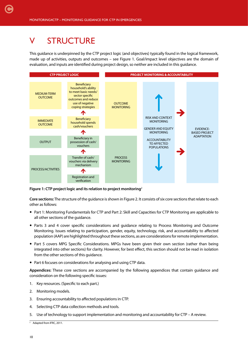## <span id="page-9-0"></span>V STRUCTURE

This guidance is underpinned by the CTP project logic (and objectives) typically found in the logical framework, made up of activities, outputs and outcomes – see Figure 1. Goal/impact level objectives are the domain of evaluation, and inputs are identified during project design, so neither are included in this guidance.



**Figure 1: CTP project logic and its relation to project monitoring**<sup>2</sup>

**Core sections:** The structure of the guidance is shown in Figure 2. It consists of six core sections that relate to each other as follows:

- Part 1: Monitoring Fundamentals for CTP and Part 2: Skill and Capacities for CTP Monitoring are applicable to all other sections of the guidance.
- Parts 3 and 4 cover specific considerations and guidance relating to Process Monitoring and Outcome Monitoring. Issues relating to participation, gender, equity, technology, risk, and accountability to affected population (AAP) are highlighted throughout these sections, as are considerations for remote implementation.
- Part 5 covers MPG Specific Considerations. MPGs have been given their own section (rather than being integrated into other sections) for clarity. However, for best effect, this section should not be read in isolation from the other sections of this guidance.
- Part 6 focuses on considerations for analysing and using CTP data.

**Appendices:** These core sections are accompanied by the following appendices that contain guidance and consideration on the following specific issues:

- 1. Key resources. (Specific to each part.)
- 2. Monitoring models.
- 3. Ensuring accountability to affected populations in CTP.
- 4. Selecting CTP data collection methods and tools.
- 5. Use of technology to support implementation and monitoring and accountability for CTP A review.

<sup>&</sup>lt;sup>2</sup> Adapted from IFRC, 2011.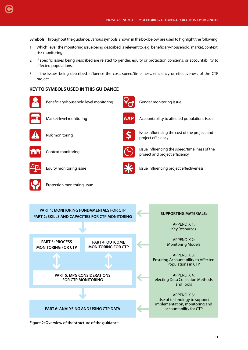**Symbols:** Throughout the guidance, various symbols, shown in the box below, are used to highlight the following:

- 1. Which 'level' the monitoring issue being described is relevant to, e.g. beneficiary/household, market, context, risk monitoring.
- 2. If specific issues being described are related to gender, equity or protection concerns, or accountability to affected populations.
- 3. If the issues being described influence the cost, speed/timeliness, efficiency or effectiveness of the CTP project.

#### **KEY TO SYMBOLS USED IN THIS GUIDANCE**



<span id="page-10-0"></span>[C](#page-4-0)

Beneficiary/household level monitoring Gender monitoring issue









Market-level monitoring **AGP** Accountability to affected populations issue



Risk monitoring **Issue influencing the cost of the project and** project efficiency



Context monitoring  $\overbrace{\text{Sine}}$  Issue influencing the speed/timeliness of the project and project efficiency



Equity monitoring issue  $\sum$  Issue influencing project effectiveness

**PART 1: MONITORING FUNDAMENTALS FOR CTP** 

Protection monitoring issue





#### **SUPPORTING MATERIALS:**

APPENDIX 1: Key Resources

APPENDIX 2: Monitoring Models

APPENDIX 3: Ensuring Accountability to Affected Populations in CTP

APPENDIX 4: electing Data Collection Methods and Tools

APPENDIX 5: Use of technology to support implementation, monitoring and accountability for CTP

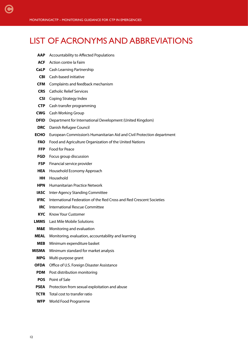## LIST OF ACRONYMS AND ABBREVIATIONS

- **AAP** Accountability to Affected Populations
- **ACF** Action contre la Faim

<span id="page-11-0"></span>[C](#page-4-0)

- **CaLP** Cash Learning Partnership
- **CBI** Cash-based initiative
- **CFM** Complaints and feedback mechanism
- **CRS** Catholic Relief Services
- **CSI** Coping Strategy Index
- **CTP** Cash transfer programming
- **CWG** Cash Working Group
- **DFID** Department for International Development (United Kingdom)
- **DRC** Danish Refugee Council
- **ECHO** European Commission's Humanitarian Aid and Civil Protection department
	- **FAO** Food and Agriculture Organization of the United Nations
	- **FFP** Food for Peace
- **FGD** Focus group discussion
- **FSP** Financial service provider
- **HEA** Household Economy Approach
- **HH** Household
- **HPN** Humanitarian Practice Network
- **IASC** Inter-Agency Standing Committee
- **IFRC** International Federation of the Red Cross and Red Crescent Societies
- **IRC** International Rescue Committee
- **KYC** Know Your Customer
- **LMMS** Last Mile Mobile Solutions
- **M&E** Monitoring and evaluation
- **MEAL** Monitoring, evaluation, accountability and learning
- **MEB** Minimum expenditure basket
- **MISMA** Minimum standard for market analysis
	- **MPG** Multi-purpose grant
	- **OFDA** Office of U.S. Foreign Disaster Assistance
	- **PDM** Post distribution monitoring
	- **POS** Point of Sale
	- **PSEA** Protection from sexual exploitation and abuse
	- **TCTR** Total cost to transfer ratio
	- **WFP** World Food Programme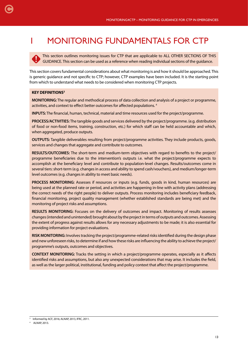## MONITORING FUNDAMENTALS FOR CTP

This section outlines monitoring issues for CTP that are applicable to ALL OTHER SECTIONS OF THIS GUIDANCE. This section can be used as a reference when reading individual sections of the guidance.

This section covers fundamental considerations about what monitoring is and how it should be approached. This is generic guidance and not specific to CTP; however, CTP examples have been included. It is the starting point from which to understand what needs to be considered when monitoring CTP projects.

#### **KEY DEFINITIONS3**

<span id="page-12-0"></span>[C](#page-4-0)

**MONITORING:** The regular and methodical process of data collection and analysis of a project or programme, activities, and context to effect better outcomes for affected populations. 4

**INPUTS:** The financial, human, technical, material and time resources used for the project/programme.

**PROCESS/ACTIVITIES:** The tangible goods and services delivered by the project/programme. (e.g. distribution of food or non-food items, training, construction, etc.) for which staff can be held accountable and which, when aggregated, produce outputs.

**OUTPUTS:** Tangible deliverables resulting from project/programme activities. They include products, goods, services and changes that aggregate and contribute to outcomes.

**RESULTS/OUTCOMES:** The short-term and medium-term objectives with regard to benefits to the project/ programme beneficiaries due to the intervention's outputs i.e. what the project/programme expects to accomplish at the beneficiary level and contribute to population-level changes. Results/outcomes come in several tiers: short-term (e.g. changes in access and ability to spend cash/vouchers), and medium/longer-term level outcomes (e.g. changes in ability to meet basic needs).

**PROCESS MONITORING:** Assesses if resources or inputs (e.g. funds, goods in kind, human resources) are being used at the planned rate or period, and activities are happening in-line with activity plans (addressing the correct needs of the right people) to deliver outputs. Process monitoring includes beneficiary feedback, financial monitoring, project quality management (whether established standards are being met) and the monitoring of project risks and assumptions.

**RESULTS MONITORING:** Focuses on the delivery of outcomes and impact. Monitoring of results assesses changes (intended and unintended) brought about by the project in terms of outputs and outcomes. Assessing the extent of progress against results allows for any necessary adjustments to be made; it is also essential for providing information for project evaluations.

**RISK MONITORING:** Involves tracking the project/programme-related risks identified during the design phase and new unforeseen risks, to determine if and how these risks are influencing the ability to achieve the project/ programme's outputs, outcomes and objectives.

**CONTEXT MONITORING:** Tracks the setting in which a project/programme operates, especially as it affects identified risks and assumptions, but also any unexpected considerations that may arise. It includes the field, as well as the larger political, institutional, funding and policy context that affect the project/programme.

<sup>&</sup>lt;sup>3</sup> Informed by ACF, 2016; ALNAP, 2013, IFRC, 2011.

<sup>4</sup> ALNAP, 2013.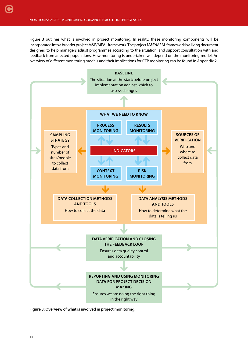<span id="page-13-0"></span>Figure 3 outlines what is involved in project monitoring. In reality, these monitoring components will be incorporated into a broader project M&E/MEAL framework. The project M&E/MEAL framework is a living document designed to help managers adjust programmes according to the situation, and support consultation with and feedback from affected populations. How monitoring is undertaken will depend on the monitoring model. An overview of different monitoring models and their implications for CTP monitoring can be found in Appendix 2.



**Figure 3: Overview of what is involved in project monitoring.**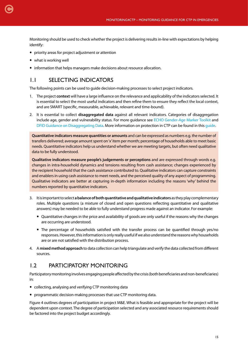<span id="page-14-0"></span>Monitoring should be used to check whether the project is delivering results in-line with expectations by helping identify:

- priority areas for project adjustment or attention
- what is working well
- information that helps managers make decisions about resource allocation.

#### 1.1 SELECTING INDICATORS

The following points can be used to guide decision-making processes to select project indicators.

- 1. The project **context** will have a large influence on the relevance and applicability of the indicators selected. It is essential to select the most useful indicators and then refine them to ensure they reflect the local context, and are SMART (specific, measurable, achievable, relevant and time-bound).
- 2. It is essential to collect **disaggregated data** against all relevant indicators. Categories of disaggregation include age, gender and vulnerability status. For more guidance see [ECHO Gender-Age Marker Toolkit](http://ec.europa.eu/echo/files/policies/sectoral/gender_age_marker_toolkit.pdf) and [DFID Guidance on Disaggregating Data.](https://www.gov.uk/government/uploads/system/uploads/attachment_data/file/530605/DFID_s_guide_to_disaggregating_programme_data_by_disability.pdf) More information on protection in CTP can be found in this [guide.](http://www.cashlearning.org/resources/library/800-guide-for-protection-in-cash-based-interventions)

**Quantitative indicators measure quantities or amounts** and can be expressed as numbers e.g. the number of transfers delivered; average amount spent on 'x' item per month; percentage of households able to meet basic needs. Quantitative indicators help us understand whether we are meeting targets, but often need qualitative data to be fully understood.

**Qualitative indicators measure people's judgements or perceptions** and are expressed through words e.g. changes in intra-household dynamics and tensions resulting from cash assistance; changes experienced by the recipient household that the cash assistance contributed to. Qualitative indicators can capture constraints and enablers in using cash assistance to meet needs, and the perceived quality of any aspect of programming. Qualitative indicators are better at capturing in-depth information including the reasons 'why' behind the numbers reported by quantitative indicators.

- 3. It is important to select **a balance of both quantitative and qualitative indicators** as they play complementary roles. Multiple questions (a mixture of closed and open questions reflecting quantitative and qualitative answers) may be needed to be able to fully understand progress made against an indicator. For example:
	- Ouantitative changes in the price and availability of goods are only useful if the reasons why the changes are occurring are understood.
	- The percentage of households satisfied with the transfer process can be quantified through yes/no responses. However, this information is only really useful if we also understand the reasons why households are or are not satisfied with the distribution process.
- 4. A **mixed method approach** to data collection can help triangulate and verify the data collected from different sources.

#### 1.2 PARTICIPATORY MONITORING

Participatory monitoring involves engaging people affected by the crisis (both beneficiaries and non-beneficiaries) in:

- collecting, analysing and verifying CTP monitoring data
- programmatic decision-making processes that use CTP monitoring data.

Figure 4 outlines degrees of participation in project M&E. What is feasible and appropriate for the project will be dependent upon context. The degree of participation selected and any associated resource requirements should be factored into the project budget accordingly.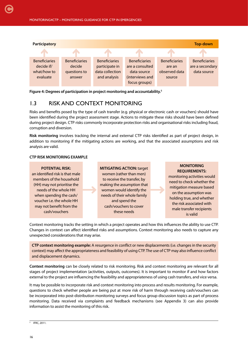<span id="page-15-0"></span>

**Figure 4: Degrees of participation in project monitoring and accountability.5**

#### 1.3 RISK AND CONTEXT MONITORING

Risks and benefits posed by the type of cash transfer (e.g. physical or electronic cash or vouchers) should have been identified during the project assessment stage. Actions to mitigate these risks should have been defined during project design. CTP risks commonly incorporate protection risks and organisational risks including fraud, corruption and diversion.

**Risk monitoring** involves tracking the internal and external CTP risks identified as part of project design, in addition to monitoring if the mitigating actions are working, and that the associated assumptions and risk analysis are valid.

#### **CTP RISK MONITORING EXAMPLE**

#### **POTENTIAL RISK:**

an identified risk is that male members of the household (HH) may not prioritise the needs of the whole HH when spending the cash/ voucher i.e. the whole HH may not benefit from the cash/vouchers

**MITIGATING ACTION:** target women (rather than men) to receive the transfer, by making the assumption that women would identify the needs of their whole family and spend the cash/vouchers to cover these needs

#### **MONITORING REQUIREMENTS:**

monitoring activities would need to check whether the mitigation measure based on the assumption was holding true, and whether the risk associated with male transfer recipients is valid

Context monitoring tracks the setting in which a project operates and how this influences the ability to use CTP. Changes in context can affect identified risks and assumptions. Context monitoring also needs to capture any unexpected considerations that may arise.

**CTP context monitoring example:** A resurgence in conflict or new displacements (i.e. changes in the security context) may affect the appropriateness and feasibility of using CTP. The use of CTP may also influence conflict and displacement dynamics.

**Context monitoring** can be closely related to risk monitoring. Risk and context monitoring are relevant for all stages of project implementation (activities, outputs, outcomes). It is important to monitor if and how factors external to the project are influencing the feasibility and appropriateness of using cash transfers, and vice versa.

It may be possible to incorporate risk and context monitoring into process and results monitoring. For example, questions to check whether people are being put at more risk of harm through receiving cash/vouchers can be incorporated into post-distribution monitoring surveys and focus group discussion topics as part of process monitoring. Data received via complaints and feedback mechanisms (see Appendix 3) can also provide information to assist the monitoring of this risk.

<sup>5</sup> IFRC, 2011.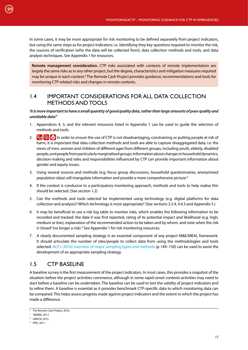<span id="page-16-0"></span>In some cases, it may be more appropriate for risk monitoring to be defined separately from project indicators, but using the same steps as for project indicators; i.e. identifying they key questions required to monitor the risk, the sources of verification (who the data will be collected from), data collection methods and tools, and data analysis techniques. See Appendix 1 for resources.

**Remote management consideration.** CTP risks associated with contexts of remote implementation are largely the same risks as in any other project, but the degree, characteristics and mitigation measures required may be unique in each context.<sup>6</sup> The Remote Cash Project provides guidance, recommendations and tools for monitoring CTP-related risks and changes in remote contexts.

#### 1.4 IMPORTANT CONSIDERATIONS FOR ALL DATA COLLECTION METHODS AND TOOLS

#### *'It is more important to have a small quantity of good quality data, rather than large amounts of poor quality and unreliable data'7*

- 1. Appendices 4, 3, and the relevant resources listed in Appendix 1 can be used to guide the selection of methods and tools.
- 2.  $\Omega$ ,  $\Omega$  In order to ensure the use of CTP is not disadvantaging, constraining or putting people at risk of harm, it is important that data collection methods and tools are able to capture disaggregated data, i.e. the views of men, women and children of different ages from different groups, including youth, elderly, disabled people, and people from particularly marginalised groups. Information about changes in household dynamics, decision-making and roles and responsibilities influenced by CTP can provide important information about gender and equity issues.
- 3. Using several sources and methods (e.g. focus group discussions, household questionnaires, anonymised population data) will triangulate information and provide a more comprehensive picture.<sup>8</sup>
- 4. If the context is conducive to a participatory monitoring approach, methods and tools to help realise this should be selected. (See section 1.2)
- 5. Can the methods and tools selected be implemented using technology (e.g. digital platforms for data collection and analysis)? Which technology is most appropriate? (See sections 3.3.4, 4.4.3 and Appendix 5.)
- 6. It may be beneficial to use a risk log table to monitor risks, which enables the following information to be recorded and tracked: the date it was first reported, rating of its potential impact and likelihood (e.g. high, medium or low), explanation of the recommended action to be taken and by whom, and note when the risk is 'closed' (no longer a risk).<sup>9</sup> See Appendix 1 for risk monitoring resources.
- 7. A clearly documented sampling strategy is an essential component of any project M&E/MEAL framework. It should articulate the number of sites/people to collect data from using the methodologies and tools selected. [ACF's \(2016\) overview of major sampling types and methods](http://www.actionagainsthunger.org/publication/2016/08/multi-sectoral-monitoring-evaluation) (p 149-150) can be used to assist the development of an appropriate sampling strategy.

#### 1.5 CTP BASELINE

A baseline survey is the first measurement of the project indicators. In most cases, this provides a snapshot of the situation before the project activities commence, although in some rapid-onset contexts activities may need to start before a baseline can be undertaken. The baseline can be used to test the validity of project indicators and to refine them. A baseline is essential as it provides benchmark CTP-specific data to which monitoring data can be compared. This helps assess progress made against project indicators and the extent to which the project has made a difference.

<sup>6</sup> The Remote Cash Project, 2016.

<sup>7</sup> MISMA, 2017.

<sup>8</sup> UNHCR, 2015.

<sup>9</sup> IFRC, 2011.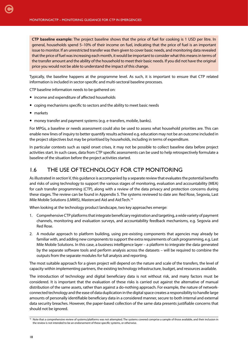**CTP baseline example:** The project baseline shows that the price of fuel for cooking is 1 USD per litre. In general, households spend 5–10% of their income on fuel, indicating that the price of fuel is an important issue to monitor. If an unrestricted transfer was then given to cover basic needs, and monitoring data revealed that the price of fuel was increasing each month, it would be important to consider what this means in terms of the transfer amount and the ability of the household to meet their basic needs. If you did not have the original price you would not be able to understand the impact of this change.

Typically, the baseline happens at the programme level. As such, it is important to ensure that CTP related information is included in sector-specific and multi-sectoral baseline processes.

CTP baseline information needs to be gathered on:

- income and expenditure of affected households
- coping mechanisms specific to sectors and the ability to meet basic needs
- markets

<span id="page-17-0"></span>[C](#page-4-0)

money transfer and payment systems (e.g. e-transfers, mobile, banks).

For MPGs, a baseline or needs assessment could also be used to assess what household priorities are. This can enable new lines of inquiry to better quantify results achieved e.g. education may not be an outcome included in the project objectives but may be prioritised by households, including in terms of expenditure.

In particular contexts such as rapid onset crises, it may not be possible to collect baseline data before project activities start. In such cases, data from CTP specific assessments can be used to help retrospectively formulate a baseline of the situation before the project activities started.

#### 1.6 THE USE OF TECHNOLOGY FOR CTP MONITORING

As illustrated in section V, this guidance is accompanied by a separate review that evaluates the potential benefits and risks of using technology to support the various stages of monitoring, evaluation and accountability (MEA) for cash transfer programming (CTP), along with a review of the data privacy and protection concerns during these stages. The review can be found in Appendix 5. The systems reviewed to date are: Red Rose, Segovia, Last Mile Mobile Solutions (LMMS), Mastercard Aid and Aid:Tech.10

When looking at the technology product landscape, two key approaches emerge:

- 1. Comprehensive CTP platforms that integrate beneficiary registration and targeting, a wide variety of payment channels, monitoring and evaluation surveys, and accountability feedback mechanisms, e.g. Segovia and Red Rose.
- 2. A modular approach to platform building, using pre-existing components that agencies may already be familiar with, and adding new components to support the extra requirements of cash programming, e.g. Last Mile Mobile Solutions. In this case, a business intelligence layer – a platform to integrate the data generated by the separate software tools and perform analysis across the datasets – will be required to combine the outputs from the separate modules for full analysis and reporting.

The most suitable approach for a given project will depend on the nature and scale of the transfers, the level of capacity within implementing partners, the existing technology infrastructure, budget, and resources available.

The introduction of technology and digital beneficiary data is not without risk, and many factors must be considered. It is important that the evaluation of these risks is carried out against the alternative of manual distribution of the same assets, rather than against a do-nothing approach. For example, the nature of networkconnected technology and the ease of data duplication in the digital space creates a responsibility to handle large amounts of personally identifiable beneficiary data in a considered manner, secure to both internal and external data security breaches. However, the paper-based collection of the same data presents justifiable concerns that should not be ignored.

<sup>&</sup>lt;sup>10</sup> Note that a comprehensive review of systems/platforms was not attempted. The systems covered comprise a sample of those available, and their inclusion in the review is not intended to be an endorsement of these specific systems, or otherwise.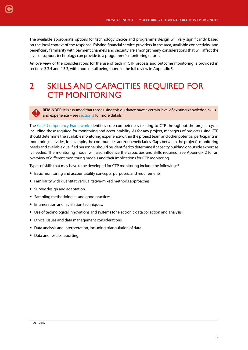<span id="page-18-0"></span>The available appropriate options for technology choice and programme design will vary significantly based on the local context of the response. Existing financial service providers in the area, available connectivity, and beneficiary familiarity with payment channels and security are amongst many considerations that will affect the level of support technology can provide to a programme's monitoring efforts.

An overview of the considerations for the use of tech in CTP process and outcome monitoring is provided in sections 3.3.4 and 4.3.3, with more detail being found in the full review in Appendix 5.

## 2 SKILLS AND CAPACITIES REQUIRED FOR CTP MONITORING

**REMINDER:** It is assumed that those using this guidance have a certain level of existing knowledge, skills and experience – see [section 3](#page-19-0) for more details

The [CaLP Competency Framework](http://www.cashlearning.org/downloads/calp-ctp-competency.pdf) identifies core competences relating to CTP throughout the project cycle, including those required for monitoring and accountability. As for any project, managers of projects using CTP should determine the available monitoring experience within the project team and other potential participants in monitoring activities, for example, the communities and/or beneficiaries. Gaps between the project's monitoring needs and available qualified personnel should be identified to determine if capacity building or outside expertise is needed. The monitoring model will also influence the capacities and skills required. See Appendix 2 for an overview of different monitoring models and their implications for CTP monitoring.

Types of skills that may have to be developed for CTP monitoring include the following:<sup>11</sup>

- Basic monitoring and accountability concepts, purposes, and requirements.
- Familiarity with quantitative/qualitative/mixed methods approaches.
- Survey design and adaptation.
- Sampling methodologies and good practices.
- Enumeration and facilitation techniques.
- Use of technological innovations and systems for electronic data collection and analysis.
- Ethical issues and data management considerations.
- Data analysis and interpretation, including triangulation of data.
- Data and results reporting.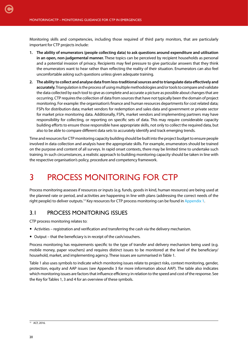<span id="page-19-0"></span>[C](#page-4-0)

Monitoring skills and competencies, including those required of third party monitors, that are particularly important for CTP projects include:

- **1. The ability of enumerators (people collecting data) to ask questions around expenditure and utilisation in an open, non-judgemental manner.** These topics can be perceived by recipient households as personal and a potential invasion of privacy. Recipients may feel pressure to give particular answers that they think the enumerators want to hear rather than reflecting the reality of their situation. Enumerators can also feel uncomfortable asking such questions unless given adequate training.
- **2. The ability to collect and analyse data from less-traditional sources and to triangulate data effectively and accurately.** Triangulation is the process of using multiple methodologies and/or tools to compare and validate the data collected by each tool to give as complete and accurate a picture as possible about changes that are occurring. CTP requires the collection of data from sources that have not typically been the domain of project monitoring. For example: the organisation's finance and human resources departments for cost related data; FSPs for distribution data; market vendors for redemption and sales data and government or private sector for market price monitoring data. Additionally, FSPs, market vendors and implementing partners may have responsibility for collecting, or reporting on specific sets of data. This may require considerable capacity building efforts to ensure those responsible have appropriate skills, not only to collect the required data, but also to be able to compare different data sets to accurately identify and track emerging trends.

Time and resources for CTP monitoring capacity building should be built into the project budget to ensure people involved in data collection and analysis have the appropriate skills. For example, enumerators should be trained on the purpose and content of all surveys. In rapid onset contexts, there may be limited time to undertake such training. In such circumstances, a realistic approach to building monitoring capacity should be taken in line with the respective organisation's policy, procedure and competency framework.

## 3 PROCESS MONITORING FOR CTP

Process monitoring assesses if resources or inputs (e.g. funds, goods in kind, human resources) are being used at the planned rate or period, and activities are happening in line with plans (addressing the correct needs of the right people) to deliver outputs.12 Key resources for CTP process monitoring can be found in [Appendix 1](#page-63-0).

#### 3.1 PROCESS MONITORING ISSUES

CTP process monitoring relates to:

- Activities registration and verification and transferring the cash via the delivery mechanism.
- Output that the beneficiary is in receipt of the cash/vouchers.

Process monitoring has requirements specific to the type of transfer and delivery mechanism being used (e.g. mobile money, paper vouchers) and requires distinct issues to be monitored at the level of the beneficiary/ household, market, and implementing agency. These issues are summarised in Table 1.

Table 1 also uses symbols to indicate which monitoring issues relate to project risks, context monitoring, gender, protection, equity and AAP issues (see Appendix 3 for more information about AAP). The table also indicates which monitoring issues are factors that influence efficiency in relation to the speed and cost of the response. See the Key for Tables 1, 3 and 4 for an overview of these symbols.

<sup>12</sup> ACF, 2016.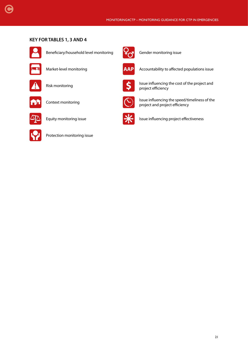#### **KEY FOR TABLES 1, 3 AND 4**



[C](#page-4-0)

Beneficiary/household level monitoring Gender monitoring issue











Protection monitoring issue





Market-level monitoring **AAP** Accountability to affected populations issue



Risk monitoring **ISSUE ISSUE ISSUE ISSUE Influencing the cost of the project and** project efficiency



Context monitoring  $\sum_i$  Issue influencing the speed/timeliness of the project and project efficiency



Equity monitoring issue  $\sum_{n=1}^{\infty}$  Issue influencing project effectiveness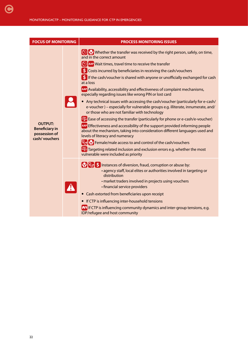| <b>FOCUS OF MONITORING</b>                                                 | <b>PROCESS MONITORING ISSUES</b>                                                                                                                                                                                                                                                                                                                                                                                                                                                                                                                                                                                                                                                                                                                                                                                                                                                                                                                                                                                                                                                                                                                                                      |
|----------------------------------------------------------------------------|---------------------------------------------------------------------------------------------------------------------------------------------------------------------------------------------------------------------------------------------------------------------------------------------------------------------------------------------------------------------------------------------------------------------------------------------------------------------------------------------------------------------------------------------------------------------------------------------------------------------------------------------------------------------------------------------------------------------------------------------------------------------------------------------------------------------------------------------------------------------------------------------------------------------------------------------------------------------------------------------------------------------------------------------------------------------------------------------------------------------------------------------------------------------------------------|
| <b>OUTPUT:</b><br><b>Beneficiary in</b><br>possession of<br>cash/ vouchers | Whether the transfer was received by the right person, safely, on time,<br>and in the correct amount<br>AAP Wait times, travel time to receive the transfer<br>S Costs incurred by beneficiaries in receiving the cash/vouchers<br>If the cash/voucher is shared with anyone or unofficially exchanged for cash<br>at a loss<br>AAP Availability, accessibility and effectiveness of complaint mechanisms,<br>especially regarding issues like wrong PIN or lost card<br>• Any technical issues with accessing the cash/voucher (particularly for e-cash/<br>e-voucher) - especially for vulnerable groups e.g. illiterate, innumerate, and/<br>or those who are not familiar with technology<br>A Ease of accessing the transfer (particularly for phone or e-cash/e-voucher)<br>AAP Effectiveness and accessibility of the support provided informing people<br>about the mechanism, taking into consideration different languages used and<br>levels of literacy and numeracy<br><b>P<sub>o</sub></b> P Female/male access to and control of the cash/vouchers<br>A Targeting related inclusion and exclusion errors e.g. whether the most<br>vulnerable were included as priority |
|                                                                            | <b>P</b> <sub>o</sub> <b>\$</b> Instances of diversion, fraud, corruption or abuse by:<br>· agency staff, local elites or authorities involved in targeting or<br>distribution<br>· market traders involved in projects using vouchers<br>· financial service providers<br>• Cash extorted from beneficiaries upon receipt<br>• If CTP is influencing inter-household tensions<br><b>The If CTP</b> is influencing community dynamics and inter-group tensions, e.g.<br>IDP/refugee and host community                                                                                                                                                                                                                                                                                                                                                                                                                                                                                                                                                                                                                                                                                |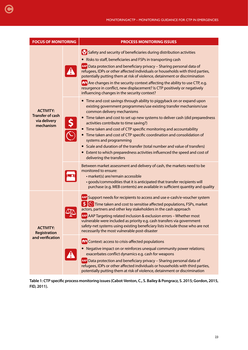| <b>FOCUS OF MONITORING</b>                                               | <b>PROCESS MONITORING ISSUES</b>                                                                                                                                                                                                                                                                                                                                                                                                                                                                                                                                                                                                                                           |  |  |
|--------------------------------------------------------------------------|----------------------------------------------------------------------------------------------------------------------------------------------------------------------------------------------------------------------------------------------------------------------------------------------------------------------------------------------------------------------------------------------------------------------------------------------------------------------------------------------------------------------------------------------------------------------------------------------------------------------------------------------------------------------------|--|--|
|                                                                          | Safety and security of beneficiaries during distribution activities<br>• Risks to staff, beneficiaries and FSPs in transporting cash<br>AAP Data protection and beneficiary privacy - Sharing personal data of<br>refugees, IDPs or other affected individuals or households with third parties,<br>potentially putting them at risk of violence, detainment or discrimination<br><b>nt</b> Are changes in the security context affecting the ability to use CTP, e.g.<br>resurgence in conflict, new displacement? Is CTP positively or negatively<br>influencing changes in the security context?                                                                        |  |  |
| <b>ACTIVITY:</b><br><b>Transfer of cash</b><br>via delivery<br>mechanism | • Time and cost savings through ability to piggyback on or expand upon<br>existing government programmes/use existing transfer mechanism/use<br>common delivery mechanisms<br>• Time taken and cost to set up new systems to deliver cash (did preparedness<br>activities contribute to time saving?)<br>• Time taken and cost of CTP specific monitoring and accountability<br>• Time taken and cost of CTP specific coordination and consolidation of<br>systems and programming<br>• Scale and duration of the transfer (total number and value of transfers)<br>• Extent to which preparedness activities influenced the speed and cost of<br>delivering the transfers |  |  |
|                                                                          | Between market assessment and delivery of cash, the markets need to be<br>monitored to ensure:<br>· market(s) are/remain accessible<br>· goods/commodities that it is anticipated that transfer recipients will<br>purchase (e.g. MEB contents) are available in sufficient quantity and quality                                                                                                                                                                                                                                                                                                                                                                           |  |  |
| <b>ACTIVITY:</b><br>Registration                                         | AAP Support needs for recipients to access and use e-cash/e-voucher system<br>S <b>C</b> Time taken and cost to sensitise affected populations, FSPs, market<br>actors, partners and other key stakeholders in the cash approach<br>AAP AAP Targeting related inclusion & exclusion errors - Whether most<br>vulnerable were included as priority e.g. cash transfers via government<br>safety-net systems using existing beneficiary lists include those who are not<br>necessarily the most vulnerable post-disaster                                                                                                                                                     |  |  |
| and verification                                                         | <b>nt</b> Context: access to crisis-affected populations<br>• Negative impact on or reinforces unequal community power relations;<br>exacerbates conflict dynamics e.g. cash for weapons<br>AAP Data protection and beneficiary privacy - Sharing personal data of<br>refugees, IDPs or other affected individuals or households with third parties,<br>potentially putting them at risk of violence, detainment or discrimination                                                                                                                                                                                                                                         |  |  |

<span id="page-22-0"></span>[C](#page-4-0)

**Table 1: CTP specific process monitoring issues (Cabot-Venton, C., S. Bailey & Pongracz, S. 2015; Gordon, 2015, FID, 2011).**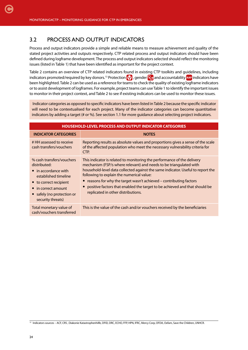<span id="page-23-0"></span>[C](#page-4-0)

#### 3.2 PROCESS AND OUTPUT INDICATORS

Process and output indicators provide a simple and reliable means to measure achievement and quality of the stated project activities and outputs respectively. CTP related process and output indicators should have been defined during logframe development. The process and output indicators selected should reflect the monitoring issues (listed in Table 1) that have been identified as important for the project context.

Table 2 contains an overview of CTP related indicators found in existing CTP toolkits and guidelines, including indicators promoted/required by key donors.<sup>13</sup> Protection  $\{Q\}$ , gender  $\{G\}$  and accountability **AAP** indicators have been highlighted. Table 2 can be used as a reference for teams to check the quality of existing logframe indicators or to assist development of logframes. For example, project teams can use Table 1 to identify the important issues to monitor in their project context, and Table 2 to see if existing indicators can be used to monitor these issues.

 Indicator categories as opposed to specific indicators have been listed in Table 2 because the specific indicator will need to be contextualised for each project. Many of the indicator categories can become quantitative indicators by adding a target (# or %). See section 1.1 for more guidance about selecting project indicators.

| HOUSEHOLD-LEVEL PROCESS AND OUTPUT INDICATOR CATEGORIES                                                                                                                                               |                                                                                                                                                                                                                                                                                                                                                                                                                                                                            |  |  |
|-------------------------------------------------------------------------------------------------------------------------------------------------------------------------------------------------------|----------------------------------------------------------------------------------------------------------------------------------------------------------------------------------------------------------------------------------------------------------------------------------------------------------------------------------------------------------------------------------------------------------------------------------------------------------------------------|--|--|
| <b>INDICATOR CATEGORIES</b>                                                                                                                                                                           | <b>NOTES</b>                                                                                                                                                                                                                                                                                                                                                                                                                                                               |  |  |
| # HH assessed to receive<br>cash transfers/vouchers                                                                                                                                                   | Reporting results as absolute values and proportions gives a sense of the scale<br>of the affected population who meet the necessary vulnerability criteria for<br>CTP.                                                                                                                                                                                                                                                                                                    |  |  |
| % cash transfers/vouchers<br>distributed:<br>$\bullet$ in accordance with<br>established timeline<br>• to correct recipient<br>• in correct amount<br>• safely (no protection or<br>security threats) | This indicator is related to monitoring the performance of the delivery<br>mechanism (FSP/s where relevant) and needs to be triangulated with<br>household-level data collected against the same indicator. Useful to report the<br>following to explain the numerical value:<br>• reasons for why the target wasn't achieved – contributing factors<br>• positive factors that enabled the target to be achieved and that should be<br>replicated in other distributions. |  |  |
| Total monetary value of<br>cash/vouchers transferred                                                                                                                                                  | This is the value of the cash and/or vouchers received by the beneficiaries                                                                                                                                                                                                                                                                                                                                                                                                |  |  |

<sup>13</sup> Indicators sources - ACF, CRS, Diakonie Katastrophenhilfe, DFID, DRC, ECHO, FFP, HPN, IFRC, Mercy Corp, OFDA, Oxfam, Save the Children, UNHCR.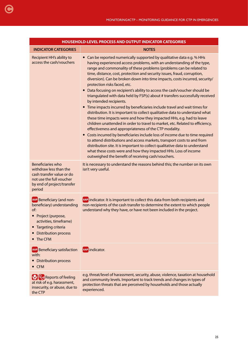| <b>HOUSEHOLD-LEVEL PROCESS AND OUTPUT INDICATOR CATEGORIES</b>                                                                                                                  |                                                                                                                                                                                                                                                                                                                                                                                                                                                                                                                                                                                                                                                                                                                                                                                                                                                                                                                                                                                                                                                                                                                                                                                                                                                                                                                                                                                |  |  |
|---------------------------------------------------------------------------------------------------------------------------------------------------------------------------------|--------------------------------------------------------------------------------------------------------------------------------------------------------------------------------------------------------------------------------------------------------------------------------------------------------------------------------------------------------------------------------------------------------------------------------------------------------------------------------------------------------------------------------------------------------------------------------------------------------------------------------------------------------------------------------------------------------------------------------------------------------------------------------------------------------------------------------------------------------------------------------------------------------------------------------------------------------------------------------------------------------------------------------------------------------------------------------------------------------------------------------------------------------------------------------------------------------------------------------------------------------------------------------------------------------------------------------------------------------------------------------|--|--|
| <b>INDICATOR CATEGORIES</b>                                                                                                                                                     | <b>NOTES</b>                                                                                                                                                                                                                                                                                                                                                                                                                                                                                                                                                                                                                                                                                                                                                                                                                                                                                                                                                                                                                                                                                                                                                                                                                                                                                                                                                                   |  |  |
| Recipient HH's ability to<br>access the cash/vouchers                                                                                                                           | Can be reported numerically supported by qualitative data e.g. % HHs<br>$\bullet$<br>having experienced access problems, with an understanding of the type,<br>range and commonality of these problems (problems can be related to<br>time, distance, cost, protection and security issues, fraud, corruption,<br>diversion). Can be broken down into time impacts, costs incurred, security/<br>protection risks faced, etc.<br>• Data focusing on recipient's ability to access the cash/voucher should be<br>triangulated with data held by FSP(s) about # transfers successfully received<br>by intended recipients.<br>• Time impacts incurred by beneficiaries include travel and wait times for<br>distribution. It is important to collect qualitative data to understand what<br>these time impacts were and how they impacted HHs, e.g. had to leave<br>children unattended in order to travel to market, etc. Related to efficiency,<br>effectiveness and appropriateness of the CTP modality.<br>• Costs incurred by beneficiaries include loss of income due to time required<br>to attend distributions and access markets, transport costs to and from<br>distribution site. It is important to collect qualitative data to understand<br>what these costs were and how they impacted HHs. Loss of income<br>outweighed the benefit of receiving cash/vouchers. |  |  |
| Beneficiaries who<br>withdraw less than the<br>cash transfer value or do<br>not use the full voucher<br>by end of project/transfer<br>period                                    | It is necessary to understand the reasons behind this; the number on its own<br>isn't very useful.                                                                                                                                                                                                                                                                                                                                                                                                                                                                                                                                                                                                                                                                                                                                                                                                                                                                                                                                                                                                                                                                                                                                                                                                                                                                             |  |  |
| AAP Beneficiary (and non-<br>beneficiary) understanding<br>of:<br>• Project (purpose,<br>activities, timeframe)<br>Targeting criteria<br><b>Distribution process</b><br>The CFM | AAP indicator. It is important to collect this data from both recipients and<br>non-recipients of the cash transfer to determine the extent to which people<br>understand why they have, or have not been included in the project.                                                                                                                                                                                                                                                                                                                                                                                                                                                                                                                                                                                                                                                                                                                                                                                                                                                                                                                                                                                                                                                                                                                                             |  |  |
| AAP Beneficiary satisfaction<br>with:<br>• Distribution process<br>$\bullet$ CFM                                                                                                | AAP indicator.                                                                                                                                                                                                                                                                                                                                                                                                                                                                                                                                                                                                                                                                                                                                                                                                                                                                                                                                                                                                                                                                                                                                                                                                                                                                                                                                                                 |  |  |
| <b>Po</b> Reports of feeling<br>at risk of e.g. harassment,<br>insecurity, or abuse, due to<br>the CTP                                                                          | e.g. threat/level of harassment, security, abuse, violence, taxation at household<br>and community levels. Important to track trends and changes in types of<br>protection threats that are perceived by households and those actually<br>experienced.                                                                                                                                                                                                                                                                                                                                                                                                                                                                                                                                                                                                                                                                                                                                                                                                                                                                                                                                                                                                                                                                                                                         |  |  |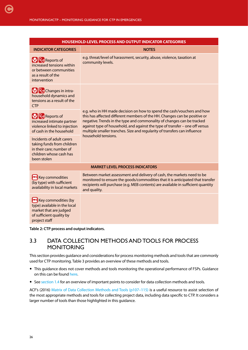<span id="page-25-0"></span>

| <b>HOUSEHOLD-LEVEL PROCESS AND OUTPUT INDICATOR CATEGORIES</b>                                                                         |                                                                                                                                                                                                                                                                                                                                                                                            |  |  |  |
|----------------------------------------------------------------------------------------------------------------------------------------|--------------------------------------------------------------------------------------------------------------------------------------------------------------------------------------------------------------------------------------------------------------------------------------------------------------------------------------------------------------------------------------------|--|--|--|
| <b>INDICATOR CATEGORIES</b>                                                                                                            | <b>NOTES</b>                                                                                                                                                                                                                                                                                                                                                                               |  |  |  |
| <b>MP<sub>O</sub></b> Reports of<br>increased tensions within<br>or between communities<br>as a result of the<br>intervention          | e.g. threat/level of harassment, security, abuse, violence, taxation at<br>community levels.                                                                                                                                                                                                                                                                                               |  |  |  |
| <b>MP</b> Changes in intra-<br>household dynamics and<br>tensions as a result of the<br><b>CTP</b>                                     |                                                                                                                                                                                                                                                                                                                                                                                            |  |  |  |
| <b>Part</b> Reports of<br>increased intimate partner<br>violence linked to injection<br>of cash in the household                       | e.g. who in HH made decision on how to spend the cash/vouchers and how<br>this has affected different members of the HH. Changes can be positive or<br>negative. Trends in the type and commonality of changes can be tracked<br>against type of household, and against the type of transfer - one off versus<br>multiple smaller tranches. Size and regularity of transfers can influence |  |  |  |
| Incidents of adult carers<br>taking funds from children<br>in their care; number of<br>children whose cash has<br>been stolen          | household tensions.                                                                                                                                                                                                                                                                                                                                                                        |  |  |  |
| <b>MARKET LEVEL PROCESS INDICATORS</b>                                                                                                 |                                                                                                                                                                                                                                                                                                                                                                                            |  |  |  |
| <b>FRI</b> Key commodities<br>(by type) with sufficient<br>availability in local markets                                               | Between market assessment and delivery of cash, the markets need to be<br>monitored to ensure the goods/commodities that it is anticipated that transfer<br>recipients will purchase (e.g. MEB contents) are available in sufficient quantity<br>and quality.                                                                                                                              |  |  |  |
| <b>READ Key commodities (by</b><br>type) available in the local<br>market that are judged<br>of sufficient quality by<br>project staff |                                                                                                                                                                                                                                                                                                                                                                                            |  |  |  |

**Table 2: CTP process and output indicators.** 

#### 3.3 DATA COLLECTION METHODS AND TOOLS FOR PROCESS **MONITORING**

This section provides guidance and considerations for process monitoring methods and tools that are commonly used for CTP monitoring. Table 3 provides an overview of these methods and tools.

- This guidance does not cover methods and tools monitoring the operational performance of FSPs. Guidance on this can be found [here.](http://www.cashlearning.org/downloads/annex-5-kpi-report-template.pdf)
- See [section 1.4](#page-16-0) for an overview of important points to consider for data collection methods and tools.

ACF's (2016) [Matrix of Data Collection Methods and Tools \(p107–115\)](http://www.actionagainsthunger.org/publication/2016/08/multi-sectoral-monitoring-evaluation) is a useful resource to assist selection of the most appropriate methods and tools for collecting project data, including data specific to CTP. It considers a larger number of tools than those highlighted in this guidance.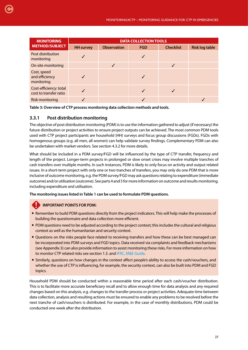| <b>MONITORING</b>                                | <b>DATA COLLECTION TOOLS</b> |                    |            |                  |                       |  |
|--------------------------------------------------|------------------------------|--------------------|------------|------------------|-----------------------|--|
| <b>METHOD/SUBJECT</b>                            | <b>HH</b> survey             | <b>Observation</b> | <b>FGD</b> | <b>Checklist</b> | <b>Risk log table</b> |  |
| Post distribution<br>monitoring                  |                              |                    |            |                  |                       |  |
| On-site monitoring                               |                              |                    |            |                  |                       |  |
| Cost, speed<br>and efficiency<br>monitoring      |                              |                    |            |                  |                       |  |
| Cost-efficiency: total<br>cost to transfer ratio |                              |                    |            |                  |                       |  |
| <b>Risk monitoring</b>                           |                              |                    |            |                  |                       |  |

**Table 3: Overview of CTP process monitoring data collection methods and tools.** 

#### **3.3.1 Post distribution monitoring**

<span id="page-26-0"></span>[C](#page-4-0)

The objective of post distribution monitoring (PDM) is to use the information gathered to adjust (if necessary) the future distribution or project activities to ensure project outputs can be achieved. The most common PDM tools used with CTP project participants are household (HH) surveys and focus group discussions (FGDs). FGDs with homogenous groups (e.g. all men, all women) can help validate survey findings. Complementary PDM can also be undertaken with market vendors. See section 4.3.2 for more details.

What should be included in a PDM survey/FGD will be influenced by the type of CTP transfer, frequency and length of the project. Longer-term projects in prolonged or slow onset crises may involve multiple tranches of cash transfers over multiple months. In such instances, PDM is likely to only focus on activity and output related issues. In a short-term project with only one or two tranches of transfers, you may only do one PDM that is more inclusive of outcome monitoring, e.g. the PDM survey/FGD may ask questions relating to expenditure (immediate outcome) and/or utilisation (outcome). See parts 4 and 5 for more information on outcome and results monitoring, including expenditure and utilisation.

**The monitoring issues listed in Table 1 can be used to formulate PDM questions.** 

#### **IMPORTANT POINTS FOR PDM:**

- Remember to build PDM questions directly from the project indicators. This will help make the processes of building the questionnaire and data collection more efficient.
- PDM questions need to be adjusted according to the project context; this includes the cultural and religious context as well as the humanitarian and security context.
- Questions on the risks people face related to receiving transfers and how these can be best managed can be incorporated into PDM surveys and FGD topics. Data received via complaints and feedback mechanisms (see Appendix 3) can also provide information to assist monitoring these risks. For more information on how to monitor CTP related risks see section 1.3. and [IFRC, M&E Guide](http://www.ifrc.org/Global/Publications/monitoring/IFRC-ME-Guide-8-2011.pdf).
- Similarly, questions on how changes in the context affect people's ability to access the cash/vouchers, and whether the use of CTP is influencing, for example, the security context, can also be built into PDM and FGD topics.

Household PDM should be conducted within a reasonable time period after each cash/voucher distribution. This is to facilitate more accurate beneficiary recall and to allow enough time for data analysis and any required changes based on this analysis, e.g. changes to the transfer process or project activities. Adequate time between data collection, analysis and resulting actions must be ensured to enable any problems to be resolved before the next tranche of cash/vouchers is distributed. For example, in the case of monthly distributions, PDM could be conducted one week after the distribution.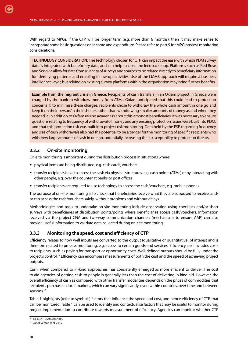<span id="page-27-0"></span>With regard to MPGs, if the CTP will be longer term (e.g. more than 6 months), then it may make sense to incorporate some basic questions on income and expenditure. Please refer to part 5 for MPG process monitoring considerations.

**TECHNOLOGY CONSIDERATION:** The technology chosen for CTP can impact the ease with which PDM survey data is integrated with beneficiary data, and can help to close the feedback loop. Platforms such as Red Rose and Segovia allow for data from a variety of surveys and sources to be related directly to beneficiary information for identifying patterns and enabling follow-up activities. Use of the LMMS approach will require a business intelligence layer, but relying on existing survey platforms within the organisation may bring further benefits.

**Example from the migrant crisis in Greece:** Recipients of cash transfers in an Oxfam project in Greece were charged by the bank to withdraw money from ATMs. Oxfam anticipated that this could lead to protection concerns if, to minimise these charges, recipients chose to withdraw the whole cash amount in one go and keep it on their person/in their shelter, rather than withdrawing smaller amounts of money as and when they needed it. In addition to Oxfam raising awareness about this amongst beneficiaries, it was necessary to ensure questions relating to frequency of withdrawal of money and any ensuing protection issues were built into PDM, and that this protection risk was built into project risk monitoring. Data held by the FSP regarding frequency and size of cash withdrawals also had the potential to be a trigger for the monitoring of specific recipients who withdrew large amounts of cash in one go, potentially increasing their susceptibility to protection threats.

#### **3.3.2 On-site monitoring**

On-site monitoring is important during the distribution process in situations where:

- physical items are being distributed, e.g. cash cards, vouchers
- transfer recipients have to access the cash via physical structures, e.g. cash points (ATMs) or by interacting with other people, e.g. over the counter at banks or post offices
- transfer recipients are required to use technology to access the cash/vouchers, e.g. mobile phones.

The purpose of on-site monitoring is to check that beneficiaries receive what they are supposed to receive, and/ or can access the cash/vouchers safely, without problems and without delays.

Methodologies and tools to undertake on-site monitoring include observation using checklists and/or short surveys with beneficiaries at distribution points/points where beneficiaries access cash/vouchers. Information received via the project CFM and two-way communication channels (mechanisms to ensure AAP) can also provide useful information to validate data collected during on-site monitoring.

#### **3.3.3 Monitoring the speed, cost and efficiency of CTP**

**Efficiency** relates to how well inputs are converted to the output (qualitative or quantitative) of interest and is therefore related to process monitoring, e.g. access to certain goods and services. Efficiency also includes costs to recipients, such as paying for transport or opportunity costs. Well-defined outputs should be fully under the project's control.14 Efficiency can encompass measurements of both the **cost** and the **speed** of achieving project outputs.

Cash, when compared to in-kind approaches, has consistently emerged as more efficient to deliver. The cost to aid agencies of getting cash to people is generally less than the cost of delivering in-kind aid. However, the overall efficiency of cash as compared with other transfer modalities depends on the prices of commodities that recipients purchase in local markets, which can vary significantly, even within countries, over time and between seasons.<sup>15</sup>

Table 1 highlights (refer to symbols) factors that influence the speed and cost, and hence efficiency of CTP, that can be monitored. Table 1 can be used to identify and contextualise factors that may be useful to monitor during project implementation to contribute towards measurement of efficiency. Agencies can monitor whether CTP

<sup>14</sup> DFID, 2015; ALNAP, 2006.

<sup>&</sup>lt;sup>15</sup> Cabot-Venton et al, 2015.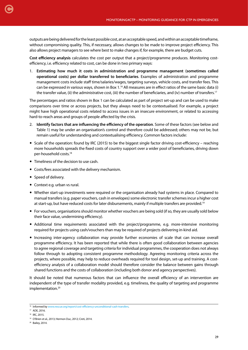outputs are being delivered for the least possible cost, at an acceptable speed, and within an acceptable timeframe, without compromising quality. This, if necessary, allows changes to be made to improve project efficiency. This also allows project managers to see where best to make changes if, for example, there are budget cuts.

**Cost efficiency analysis** calculates the cost per output that a project/programme produces. Monitoring costefficiency, i.e. efficiency related to cost, can be done in two primary ways:

1. **Estimating how much it costs in administration and programme management (sometimes called operational costs) per dollar transferred to beneficiaries**. Examples of administration and programme management costs include staff time/salaries/wages, targeting surveys, vehicle costs, and transfer fees. This can be expressed in various ways, shown in Box  $1^{16}$  All measures are in effect ratios of the same basic data (i) the transfer value, (ii) the administrative cost, (iii) the number of beneficiaries, and (iv) number of transfers.<sup>17</sup>

The percentages and ratios shown in Box 1 can be calculated as part of project set-up and can be used to make comparisons over time or across projects, but they always need to be contextualised. For example, a project might have high operational costs related to access issues in an insecure environment, or related to accessing hard-to-reach areas and groups of people affected by the crisis.

- 2. **Identify factors that are influencing the efficiency of the operation**. Some of these factors (see below and Table 1) may be under an organisation's control and therefore could be addressed; others may not be, but remain useful for understanding and contextualising efficiency. Common factors include:
- Scale of the operation: found by IRC (2015) to be the biggest single factor driving cost-efficiency reaching more households spreads the fixed costs of country support over a wider pool of beneficiaries, driving down per-household costs.18
- Timeliness of the decision to use cash.
- Costs/fees associated with the delivery mechanism.
- Speed of delivery.
- Context e.g. urban vs rural.
- Whether start-up investments were required or the organisation already had systems in place. Compared to manual transfers (e.g. paper vouchers, cash in envelopes) some electronic transfer schemes incur a higher cost at start-up, but have reduced costs for later disbursements, mainly if multiple transfers are provided.19
- For vouchers, organisations should monitor whether vouchers are being sold (if so, they are usually sold below their face value, undermining efficiency).
- Additional time requirements associated with the project/programme, e.g. more-intensive monitoring required for projects using cash/vouchers than may be required of projects delivering in-kind aid.
- Increasing inter-agency collaboration may provide further economies of scale that can increase overall programme efficiency. It has been reported that while there is often good collaboration between agencies to agree regional coverage and targeting criteria for individual programmes, the cooperation does not always follow through to adopting consistent programme methodology. Agreeing monitoring criteria across the projects, where possible, may help to reduce overheads required for tool design, set-up and training. A costefficiency analysis of a collaboration model should therefore consider the balance between gains through shared functions and the costs of collaboration (including both donor and agency perspectives).

It should be noted that numerous factors that can influence the overall efficiency of an intervention are independent of the type of transfer modality provided, e.g. timeliness, the quality of targeting and programme implementation.<sup>20</sup>

<sup>16</sup> Informed by [www.rescue.org/report/cost-efficiency-unconditional-cash-transfers.](http://www.rescue.org/report/cost-efficiency-unconditional-cash-transfers)

<sup>17</sup> ADE, 2016.

<sup>&</sup>lt;sup>18</sup> IRC, 2015.

<sup>19</sup> O'Brien et al., 2013; Hermon Duc, 2012; Creti, 2014.

<sup>&</sup>lt;sup>20</sup> Bailey, 2014.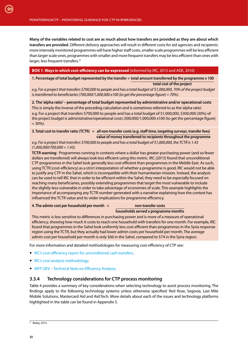<span id="page-29-0"></span>**Many of the variables related to cost are as much about how transfers are provided as they are about which transfers are provided**. Different delivery approaches will result in different costs for aid agencies and recipients: more intensely monitored programmes will have higher staff costs, smaller scale programmes will be less efficient than larger scale ones, programmes with smaller and more frequent transfers may be less efficient than ones with larger, less frequent transfers.<sup>21</sup>

#### **BOX 1**. **Ways in which cost-efficiency can be expressed** (informed by IRC, 2015 and ADE, 2016)

**1. Percentage of total budget represented by the transfer = total amount transferred by the programme x 100 total cost of the project**

e.g. For a project that transfers \$700,000 to people and has a total budget of \$1,000,000, 70% of the project budget *is transferred to beneficiaries (700,000/1,000,000 x100 (to get the percentage figure) = 70%).* 

**2. The 'alpha ratio' – percentage of total budget represented by administrative and/or operational costs** This is simply the inverse of the preceding calculation and is sometimes referred to as the 'alpha ratio'. e.g. For a project that transfers \$700,000 to people and has a total budget of \$1,000,000, \$300,000 (30%) of the project budget is administrative/operational costs (300,000/1,000,000 x100 (to get the percentage figure)  $= 30\%$ ).

**3. Total cost to transfer ratio (TCTR) = all non-transfer costs (e.g. staff time, targeting surveys, transfer fees) value of money transferred to recipients throughout the programme**

*e.g. For a project that transfers \$700,000 to people and has a total budget of \$1,000,000, the TCTR is 1.43 (1,000,000/700,000 = 1.43).*

**TCTR warning**: Programmes running in contexts where a dollar has greater purchasing power (and so fewer dollars are transferred) will always look less efficient using this metric. IRC (2015) found that unconditional CTP programmes in the Sahel look generally less cost efficient than programmes in the Middle East. As such, using TCTR (cost-efficiency) as a strict interpretation of whether a programme is good, IRC would not be able to justify any CTP in the Sahel, which is incompatible with their humanitarian mission. Instead, the analysis can be used to tell IRC that in order to be efficient within the Sahel, they need to be especially focused on reaching many beneficiaries, possibly extending programmes that target the most vulnerable to include the slightly-less-vulnerable in order to take advantage of economies of scale. This example highlights the importance of accompanying any TCTR number generated with a narrative explaining how the context has influenced the TCTR value and its wider implications for programme efficiency.

#### **4. The admin cost per household per month = non-transfer costs**

#### **households served x programme months**

This metric is less sensitive to differences in purchasing power and is more of a measure of operational efficiency, showing how much it costs to reach one household with transfers for one month. For example, IRC found that programmes in the Sahel look uniformly less cost efficient than programmes in the Syria response region using the TCTR, but they actually had lower admin costs per household per month. The average admin cost per household per month is only \$66 in the Sahel, compared to \$74 in the Syria region.

For more information and detailed methodologies for measuring cost-efficiency of CTP see:

- [IRC's cost-efficiency report for unconditional cash transfers](https://www.rescue.org/sites/default/files/document/954/20151113cashcefficreportfinal.pdf).
- [IRC's cost-analysis methodology.](http://IRC’s cost-analysis methodology)
- [WFP OEV Technical Note on Efficiency Analysis.](http://mokoro.co.uk/wp-content/uploads/WFP_EfficiencyTechNote-v9.pdf)

#### **3.3.4 Technology considerations for CTP process monitoring**

Table 4 provides a summary of key considerations when selecting technology to assist process monitoring. The findings apply to the following technology systems unless otherwise specified: Red Rose, Segovia, Last Mile Mobile Solutions, Mastercard Aid and Aid:Tech. More details about each of the issues and technology platforms highlighted in the table can be found in Appendix 5.

 $21$  Bailey, 2014.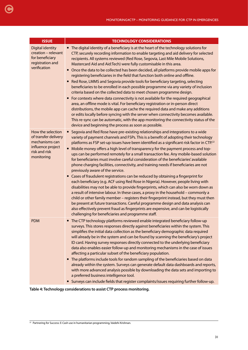| <b>ISSUE</b>                                                                                                    | <b>TECHNOLOGY CONSIDERATIONS</b>                                                                                                                                                                                                                                                                                                                                                                                                                                                                                                                                                                                                                                                                                                                                                                                                                                                                                                                                                                                                                                                                                                                                                                                                                                                                                                                                                                     |
|-----------------------------------------------------------------------------------------------------------------|------------------------------------------------------------------------------------------------------------------------------------------------------------------------------------------------------------------------------------------------------------------------------------------------------------------------------------------------------------------------------------------------------------------------------------------------------------------------------------------------------------------------------------------------------------------------------------------------------------------------------------------------------------------------------------------------------------------------------------------------------------------------------------------------------------------------------------------------------------------------------------------------------------------------------------------------------------------------------------------------------------------------------------------------------------------------------------------------------------------------------------------------------------------------------------------------------------------------------------------------------------------------------------------------------------------------------------------------------------------------------------------------------|
| <b>Digital identity</b><br>creation - relevant<br>for beneficiary<br>registration and<br>verification           | • The digital identity of a beneficiary is at the heart of the technology solutions for<br>CTP, securely recording information to enable targeting and aid delivery for selected<br>recipients. All systems reviewed (Red Rose, Segovia, Last Mile Mobile Solutions,<br>Mastercard Aid and Aid: Tech) were fully customisable in this area.<br>• Once the data to be collected has been decided, all platforms provide mobile apps for<br>registering beneficiaries in the field that function both online and offline.<br>Red Rose, LMMS and Segovia provide tools for beneficiary targeting, selecting<br>beneficiaries to be enrolled in each possible programme via any variety of inclusion<br>criteria based on the collected data to meet chosen programme design.<br>For contexts where data connectivity is not available for the required geographical<br>area, an offline mode is vital. For beneficiary registration or in-person direct<br>distributions, the mobile app can cache the required data and make any additions<br>or edits locally before syncing with the server when connectivity becomes available.<br>This re-sync can be automatic, with the app monitoring the connectivity status of the<br>device and beginning the process as soon as possible.                                                                                                                   |
| How the selection<br>of transfer delivery<br>mechanisms can<br>influence project<br>risk and risk<br>monitoring | Segovia and Red Rose have pre-existing relationships and integrations to a wide<br>$\bullet$<br>variety of payment channels and FSPs. This is a benefit of adopting their technology<br>platforms as FSP set-up issues have been identified as a significant risk factor in CTP. <sup>22</sup><br>Mobile money offers a high level of transparency for the payment process and top-<br>$\bullet$<br>ups can be performed remotely for a small transaction fee. Any mobile-based solution<br>for beneficiaries must involve careful consideration of the beneficiaries' available<br>phone charging facilities, connectivity, and training needs if beneficiaries are not<br>previously aware of the service.<br>• Cases of fraudulent registrations can be reduced by obtaining a fingerprint for<br>each beneficiary (e.g. ACF using Red Rose in Nigeria). However, people living with<br>disabilities may not be able to provide fingerprints, which can also be worn down as<br>a result of intensive labour. In these cases, a proxy in the household - commonly a<br>child or other family member - registers their fingerprint instead, but they must then<br>be present at future transactions. Careful programme design and data analysis can<br>also effectively prevent fraud as fingerprints are expensive, and can be logistically<br>challenging for beneficiaries and programme staff. |
| <b>PDM</b>                                                                                                      | • The CTP technology platforms reviewed enable integrated beneficiary follow-up<br>surveys. This stores responses directly against beneficiaries within the system. This<br>simplifies the initial data collection as the beneficiary demographic data required<br>will already be in the system and can be found by scanning the beneficiary's project<br>ID card. Having survey responses directly connected to the underlying beneficiary<br>data also enables easier follow-up and monitoring mechanisms in the case of issues<br>affecting a particular subset of the beneficiary population.<br>• The platforms include tools for random sampling of the beneficiaries based on data<br>already within the system. Surveys can generate default data dashboards and reports,<br>with more advanced analysis possible by downloading the data sets and importing to<br>a preferred business intelligence tool.<br>• Surveys can include fields that register complaints/issues requiring further follow-up.                                                                                                                                                                                                                                                                                                                                                                                     |

**Table 4: Technology considerations to assist CTP process monitoring. 22**

<span id="page-30-0"></span>[C](#page-4-0)

 $\overline{22}$  Partnering for Success: E-Cash use in humanitarian programming, Vaidehi Krishnan.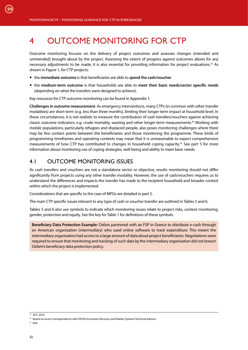<span id="page-31-0"></span>[C](#page-4-0)

## 4 OUTCOME MONITORING FOR CTP

Outcome monitoring focuses on the delivery of project outcomes and assesses changes (intended and unintended) brought about by the project. Assessing the extent of progress against outcomes allows for any necessary adjustments to be made; it is also essential for providing information for project evaluations.<sup>23</sup> As shown in Figure 1, for CTP projects:

- the **immediate outcome** is that beneficiaries are able to **spend the cash/voucher**
- the **medium-term outcome** is that households are able to **meet their basic needs/sector specific needs** (depending on what the transfers were designed to achieve).

Key resources for CTP outcome monitoring can be found in Appendix 1.

**Challenges in outcome measurement**. As emergency interventions, many CTPs (in common with other transfer modalities) are short-term (e.g. less than three months), limiting their longer-term impact at household level. In these circumstances, it is not realistic to measure the contribution of cash transfers/vouchers against achieving classic outcome indicators, e.g. crude mortality, wasting and other longer-term measurements.24 Working with mobile populations, particularly refugees and displaced people, also poses monitoring challenges where there may be few contact points between the beneficiaries and those monitoring the programme. These kinds of programming timeframes and operating contexts may mean that it is unreasonable to expect comprehensive measurements of how CTP has contributed to changes in household coping capacity.25 See part 5 for more information about monitoring use of coping strategies, well-being and ability to meet basic needs.

#### 4.1 OUTCOME MONITORING ISSUES

As cash transfers and vouchers are not a standalone sector or objective, results monitoring should not differ significantly from projects using any other transfer modality. However, the use of cash/vouchers requires us to understand the differences and impacts the transfer has made to the recipient household and broader context within which the project is implemented.

Considerations that are specific to the case of MPGs are detailed in part 5.

The main CTP specific issues relevant to any type of cash or voucher transfer are outlined in Tables 5 and 6.

Tables 5 and 6 also use symbols to indicate which monitoring issues relate to project risks, context monitoring, gender, protection and equity. See the key for Table 1 for definitions of these symbols.

**Beneficiary Data Protection Example**: Oxfam partnered with an FSP in Greece to distribute e-cash through an American organisation (intermediary) who used online software to track expenditure. This meant the intermediary organisation had access to a large amount of data about project beneficiaries. Negotiations were required to ensure that monitoring and tracking of such data by the intermediary organisation did not breach Oxfam's beneficiary data protection policy.

 $25$  ibid.

 $\overline{\text{23 ACF}}$  2016

<sup>&</sup>lt;sup>24</sup> Based on recent correspondence with OFDA's Economic Recovery and Market Systems Technical Advisor.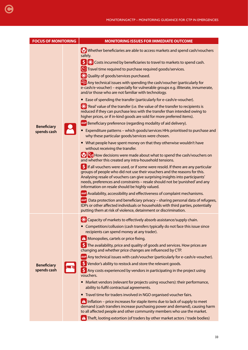| <b>FOCUS OF MONITORING</b>        | <b>MONITORING ISSUES FOR IMMEDIATE OUTCOME</b>                                                                                                                                                                                                                                                                                                                                                                                                                                                                                                                                                                                                                                                                                                                                                                                                                                                                                                                                                                                                                                                                                                                                                                                                                                                                                                                                                                                                                                                                                                                                                                                                                                                                                                                                                                                                                                                                                                                                                                                                             |  |  |  |
|-----------------------------------|------------------------------------------------------------------------------------------------------------------------------------------------------------------------------------------------------------------------------------------------------------------------------------------------------------------------------------------------------------------------------------------------------------------------------------------------------------------------------------------------------------------------------------------------------------------------------------------------------------------------------------------------------------------------------------------------------------------------------------------------------------------------------------------------------------------------------------------------------------------------------------------------------------------------------------------------------------------------------------------------------------------------------------------------------------------------------------------------------------------------------------------------------------------------------------------------------------------------------------------------------------------------------------------------------------------------------------------------------------------------------------------------------------------------------------------------------------------------------------------------------------------------------------------------------------------------------------------------------------------------------------------------------------------------------------------------------------------------------------------------------------------------------------------------------------------------------------------------------------------------------------------------------------------------------------------------------------------------------------------------------------------------------------------------------------|--|--|--|
| <b>Beneficiary</b><br>spends cash | Whether beneficiaries are able to access markets and spend cash/vouchers<br>safely.<br>$\left  \textbf{S} \right $ $\mathbf{K}$ Costs incurred by beneficiaries to travel to markets to spend cash.<br>Travel time required to purchase required goods/services.<br>X Quality of goods/services purchased.<br>$\Delta$ Any technical issues with spending the cash/voucher (particularly for<br>e-cash/e-voucher) - especially for vulnerable groups e.g. illiterate, innumerate,<br>and/or those who are not familiar with technology.<br>• Ease of spending the transfer (particularly for e-cash/e-voucher).<br>X 'Real' value of the transfer (i.e. the value of the transfer to recipients is<br>reduced if they can purchase less with the transfer than intended owing to<br>higher prices, or if in-kind goods are sold for more preferred items).<br>AAP Beneficiary preference (regarding modality of aid delivery).<br>Expenditure patterns - which goods/services HHs prioritised to purchase and<br>why these particular goods/services were chosen.<br>• What people have spent money on that they otherwise wouldn't have<br>without receiving the transfer.<br><b>P<sub>C</sub></b> P <sub>C</sub> How decisions were made about what to spend the cash/vouchers on<br>and whether this created any intra-household tensions.<br>\$ If all vouchers were used, or if some were resold. If there are any particular<br>groups of people who did not use their vouchers and the reasons for this.<br>Analysing resale of vouchers can give surprising insights into participants'<br>needs, preferences and constraints - resale should not be 'punished' and any<br>information on resale should be highly valued.<br>AAP Availability, accessibility and effectiveness of complaint mechanisms.<br>AAP Data protection and beneficiary privacy - sharing personal data of refugees,<br>IDPs or other affected individuals or households with third parties, potentially<br>putting them at risk of violence, detainment or discrimination. |  |  |  |
| <b>Beneficiary</b><br>spends cash | • Competition/collusion (cash transfers typically do not face this issue since<br>recipients can spend money at any trader).<br>A Monopolies, cartels or price fixing.<br><b>S</b> The availability, price and quality of goods and services. How prices are<br>changing and whether price changes are influenced by CTP.<br>AAP Any technical issues with cash/voucher (particularly for e-cash/e-voucher).<br>S Vendor's ability to restock and store the relevant goods.<br>\$ Any costs experienced by vendors in participating in the project using<br>vouchers.<br>Market vendors (relevant for projects using vouchers): their performance,<br>ability to fulfil contractual agreements.<br>• Travel time for traders involved in NGO organised voucher fairs.<br>$\Box$ Inflation – price increases for staple items due to lack of supply to meet<br>demand (cash transfers increase purchasing power and demand), causing harm<br>to all affected people and other community members who use the market.<br><b>4</b> Theft, looting extortion (of traders by other market actors / trade bodies)                                                                                                                                                                                                                                                                                                                                                                                                                                                                                                                                                                                                                                                                                                                                                                                                                                                                                                                                                 |  |  |  |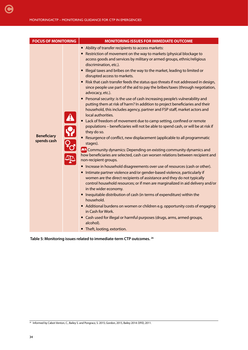<span id="page-33-0"></span>

| • Ability of transfer recipients to access markets:<br>• Restriction of movement on the way to markets (physical blockage to<br>access goods and services by military or armed groups, ethnic/religious<br>discrimination, etc.).<br>• Illegal taxes and bribes on the way to the market, leading to limited or<br>disrupted access to markets.<br>• Risk that cash transfer feeds the status quo threats if not addressed in design,<br>since people use part of the aid to pay the bribes/taxes (through negotiation,<br>advocacy, etc.).                                                                                                                                                                                                                                                                                                                                                                                                                                                                                                                                                                                                                                                                                                                                                                                                                                                                                  | <b>FOCUS OF MONITORING</b> |  |  |
|------------------------------------------------------------------------------------------------------------------------------------------------------------------------------------------------------------------------------------------------------------------------------------------------------------------------------------------------------------------------------------------------------------------------------------------------------------------------------------------------------------------------------------------------------------------------------------------------------------------------------------------------------------------------------------------------------------------------------------------------------------------------------------------------------------------------------------------------------------------------------------------------------------------------------------------------------------------------------------------------------------------------------------------------------------------------------------------------------------------------------------------------------------------------------------------------------------------------------------------------------------------------------------------------------------------------------------------------------------------------------------------------------------------------------|----------------------------|--|--|
| • Personal security: is the use of cash increasing people's vulnerability and<br>putting them at risk of harm? In addition to project beneficiaries and their<br>household, this includes agency, partner and FSP staff, market actors and<br>local authorities.<br>$\frac{1}{2}$ 3<br>Lack of freedom of movement due to camp setting, confined or remote<br>populations - beneficiaries will not be able to spend cash, or will be at risk if<br>they do so.<br><b>Beneficiary</b><br>Resurgence of conflict, new displacement (applicable to all programmatic<br>spends cash<br>stages).<br><b>AT</b> Community dynamics: Depending on existing community dynamics and<br>how beneficiaries are selected, cash can worsen relations between recipient and<br>non-recipient groups.<br>• Increase in household disagreements over use of resources (cash or other).<br>Intimate partner violence and/or gender-based violence, particularly if<br>women are the direct recipients of assistance and they do not typically<br>control household resources; or if men are marginalized in aid delivery and/or<br>in the wider economy.<br>• Inequitable distribution of cash (in terms of expenditure) within the<br>household.<br>• Additional burdens on women or children e.g. opportunity costs of engaging<br>in Cash for Work.<br>• Cash used for illegal or harmful purposes (drugs, arms, armed groups,<br>alcohol). |                            |  |  |

 **Table 5: Monitoring issues related to immediate-term CTP outcomes. 26**

<sup>26</sup> Informed by Cabot-Venton, C., Bailey S. and Pongracz, S. 2015; Gordon, 2015, Bailey 2014: DFID, 2011.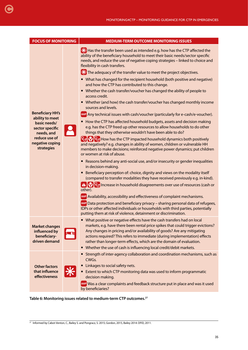| <b>FOCUS OF MONITORING</b>                                                                                                                    | <b>MEDIUM-TERM OUTCOME MONITORING ISSUES</b>                                                                                                                                                                                                                                                                                                                                                                                                                                                                                                                                                                                                                                                                                                                                                                                                                                                                                                                                                                                                                                                                                                                                                                                                                                                                                                                                                                                                                                                                                                                                                                                                                                                                                                                                                                                                                                                                                                                                                                                                                                            |  |  |
|-----------------------------------------------------------------------------------------------------------------------------------------------|-----------------------------------------------------------------------------------------------------------------------------------------------------------------------------------------------------------------------------------------------------------------------------------------------------------------------------------------------------------------------------------------------------------------------------------------------------------------------------------------------------------------------------------------------------------------------------------------------------------------------------------------------------------------------------------------------------------------------------------------------------------------------------------------------------------------------------------------------------------------------------------------------------------------------------------------------------------------------------------------------------------------------------------------------------------------------------------------------------------------------------------------------------------------------------------------------------------------------------------------------------------------------------------------------------------------------------------------------------------------------------------------------------------------------------------------------------------------------------------------------------------------------------------------------------------------------------------------------------------------------------------------------------------------------------------------------------------------------------------------------------------------------------------------------------------------------------------------------------------------------------------------------------------------------------------------------------------------------------------------------------------------------------------------------------------------------------------------|--|--|
| <b>Beneficiary HH's</b><br>ability to meet<br>basic needs/<br>sector specific<br>needs, and<br>reduce use of<br>negative coping<br>strategies | ** Has the transfer been used as intended e.g. how has the CTP affected the<br>ability of the beneficiary household to meet their basic needs/sector specific<br>needs, and reduce the use of negative coping strategies - linked to choice and<br>flexibility in cash transfers.<br>X The adequacy of the transfer value to meet the project objectives.<br>• What has changed for the recipient household (both positive and negative)<br>and how the CTP has contributed to this change.<br>• Whether the cash transfer/voucher has changed the ability of people to<br>access credit.<br>• Whether (and how) the cash transfer/voucher has changed monthly income<br>sources and levels.<br>AAP Any technical issues with cash/voucher (particularly for e-cash/e-voucher).<br>How the CTP has affected household budgets, assets and decision making<br>$\bullet$<br>e.g. has the CTP freed up other resources to allow households to do other<br>things that they otherwise wouldn't have been able to do?<br><b>P<sub>o</sub> P</b> <sub>o</sub> <sup></sup> <b>P<sub>o</sub></b> How has the CTP impacted household dynamics both positively<br>and negatively? e.g. changes in ability of women, children or vulnerable HH<br>members to make decisions; reinforced negative power dynamics; put children<br>or women at risk of abuse.<br>• Reasons behind any anti-social use, and/or insecurity or gender inequalities<br>in decision-making.<br>Beneficiary perception of: choice, dignity and views on the modality itself<br>(compared to transfer modalities they have received previously e.g. in-kind).<br><sup>4</sup> <sup>0</sup> <sup>2</sup> <sub>0</sub> Increase in household disagreements over use of resources (cash or<br>other).<br>AAP Availability, accessibility and effectiveness of complaint mechanisms.<br>AAP Data protection and beneficiary privacy - sharing personal data of refugees,<br>IDPs or other affected individuals or households with third parties, potentially<br>putting them at risk of violence, detainment or discrimination. |  |  |
| <b>Market changes</b><br>influenced by<br>beneficiary-<br>driven demand                                                                       | • What positive or negative effects have the cash transfers had on local<br>markets, e.g. have there been rental price spikes that could trigger evictions?<br>Any changes in pricing and/or availability of goods? Are any mitigating<br>actions required? This refers to immediate (during implementation) effects<br>rather than longer-term effects, which are the domain of evaluation.<br>• Whether the use of cash is influencing local credit/debit markets.                                                                                                                                                                                                                                                                                                                                                                                                                                                                                                                                                                                                                                                                                                                                                                                                                                                                                                                                                                                                                                                                                                                                                                                                                                                                                                                                                                                                                                                                                                                                                                                                                    |  |  |
| <b>Other factors</b><br>that influence<br>effectiveness                                                                                       | • Strength of inter-agency collaboration and coordination mechanisms, such as<br>CWGs.<br>Linkages to social safety nets.<br>Extent to which CTP monitoring data was used to inform programmatic<br>decision making.<br>AAP Was a clear complaints and feedback structure put in place and was it used<br>by beneficiaries?                                                                                                                                                                                                                                                                                                                                                                                                                                                                                                                                                                                                                                                                                                                                                                                                                                                                                                                                                                                                                                                                                                                                                                                                                                                                                                                                                                                                                                                                                                                                                                                                                                                                                                                                                             |  |  |

**Table 6: Monitoring issues related to medium-term CTP outcomes.27**

<span id="page-34-0"></span>[C](#page-4-0)

 $\overline{27}$  Informed by Cabot-Venton, C., Bailey S. and Pongracz, S. 2015; Gordon, 2015, Bailey 2014: DFID, 2011.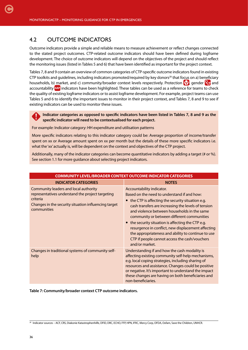#### 4.2 OUTCOME INDICATORS

<span id="page-35-0"></span>[C](#page-4-0)

Outcome indicators provide a simple and reliable means to measure achievement or reflect changes connected to the stated project outcomes. CTP-related outcome indicators should have been defined during logframe development. The choice of outcome indicators will depend on the objectives of the project and should reflect the monitoring issues (listed in Tables 5 and 6) that have been identified as important for the project context.

Tables 7, 8 and 9 contain an overview of common categories of CTP-specific outcome indicators found in existing CTP toolkits and quidelines, including indicators promoted/required by key donors<sup>28</sup> that focus on a) beneficiary households, b) market, and c) community/broader context levels respectively. Protection  $\mathbf{V}$ , gender  $\mathbf{V}$  and accountability AAP indicators have been highlighted. These tables can be used as a reference for teams to check the quality of existing logframe indicators or to assist logframe development. For example, project teams can use Tables 5 and 6 to identify the important issues to monitor in their project context, and Tables 7, 8 and 9 to see if existing indicators can be used to monitor these issues.

**Indicator categories as opposed to specific indicators have been listed in Tables 7, 8 and 9 as the specific indicator will need to be contextualised for each project.** 

For example: Indicator category: HH expenditure and utilisation patterns

More specific indicators relating to this indicator category could be: Average proportion of income/transfer spent on xx or Average amount spent on xx per month but the details of these more specific indicators i.e. what the 'xx' actually is, will be dependent on the context and objectives of the CTP project.

Additionally, many of the indicator categories can become quantitative indicators by adding a target (# or %). See section 1.1 for more guidance about selecting project indicators.

| <b>COMMUNITY LEVEL/BROADER CONTEXT OUTCOME INDICATOR CATEGORIES</b>                                                                                                          |                                                                                                                                                                                                                                                                                                                                                                                                                                                                                                                         |
|------------------------------------------------------------------------------------------------------------------------------------------------------------------------------|-------------------------------------------------------------------------------------------------------------------------------------------------------------------------------------------------------------------------------------------------------------------------------------------------------------------------------------------------------------------------------------------------------------------------------------------------------------------------------------------------------------------------|
| <b>INDICATOR CATEGORIES</b>                                                                                                                                                  | <b>NOTES</b>                                                                                                                                                                                                                                                                                                                                                                                                                                                                                                            |
| Community leaders and local authority<br>representatives understand the project targeting<br>criteria<br>Changes in the security situation influencing target<br>communities | Accountability indicator.<br>Based on the need to understand if and how:<br>• the CTP is affecting the security situation e.g.<br>cash transfers are increasing the levels of tension<br>and violence between households in the same<br>community or between different communities<br>• the security situation is affecting the CTP e.g.<br>resurgence in conflict, new displacement affecting<br>the appropriateness and ability to continue to use<br>CTP if people cannot access the cash/vouchers<br>and/or market. |
| Changes in traditional systems of community self-<br>help                                                                                                                    | Understanding if and how the cash modality is<br>affecting existing community self-help mechanisms,<br>e.g. local coping strategies, including sharing of<br>resources and assistance. Changes could be positive<br>or negative. It's important to understand the impact<br>these changes are having on both beneficiaries and<br>non-beneficiaries.                                                                                                                                                                    |

**Table 7: Community/broader context CTP outcome indicators.** 

<sup>28</sup> Indicator sources – ACF, CRS, Diakonie Katastrophenhilfe, DFID, DRC, ECHO, FFP, HPN, IFRC, Mercy Corp, OFDA, Oxfam, Save the Children, UNHCR.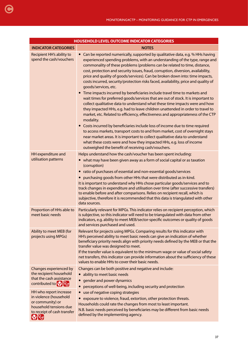| <b>HOUSEHOLD LEVEL OUTCOME INDICATOR CATEGORIES</b>                                                                                                        |                                                                                                                                                                                                                                                                                                                                                                                                                                                                                                                                                                                                                                                                     |  |  |
|------------------------------------------------------------------------------------------------------------------------------------------------------------|---------------------------------------------------------------------------------------------------------------------------------------------------------------------------------------------------------------------------------------------------------------------------------------------------------------------------------------------------------------------------------------------------------------------------------------------------------------------------------------------------------------------------------------------------------------------------------------------------------------------------------------------------------------------|--|--|
| <b>INDICATOR CATEGORIES</b>                                                                                                                                | <b>NOTES</b>                                                                                                                                                                                                                                                                                                                                                                                                                                                                                                                                                                                                                                                        |  |  |
| Recipient HH's ability to<br>spend the cash/vouchers                                                                                                       | • Can be reported numerically, supported by qualitative data, e.g. % HHs having<br>experienced spending problems, with an understanding of the type, range and<br>commonality of these problems (problems can be related to time, distance,<br>cost, protection and security issues, fraud, corruption, diversion, availability,<br>price and quality of goods/services). Can be broken down into: time impacts,<br>costs incurred, security/protection risks faced, availability, price and quality of<br>goods/services, etc.                                                                                                                                     |  |  |
|                                                                                                                                                            | Time impacts incurred by beneficiaries include travel time to markets and<br>wait times for preferred goods/services that are out of stock. It is important to<br>collect qualitative data to understand what these time impacts were and how<br>they impacted HHs, e.g. had to leave children unattended in order to travel to<br>market, etc. Related to efficiency, effectiveness and appropriateness of the CTP<br>modality.                                                                                                                                                                                                                                    |  |  |
|                                                                                                                                                            | • Costs incurred by beneficiaries include loss of income due to time required<br>to access markets, transport costs to and from market, cost of overnight stays<br>near market areas. It is important to collect qualitative data to understand<br>what these costs were and how they impacted HHs, e.g. loss of income<br>outweighed the benefit of receiving cash/vouchers.                                                                                                                                                                                                                                                                                       |  |  |
| HH expenditure and<br>utilisation patterns                                                                                                                 | Helps understand how the cash/voucher has been spent including:<br>• what may have been given away as a form of social capital or as taxation<br>(corruption)<br>ratio of purchases of essential and non-essential goods/services<br>purchasing goods from other HHs that were distributed as in-kind.<br>It is important to understand why HHs chose particular goods/services and to<br>track changes in expenditure and utilisation over time (after successive transfers)<br>to enable before and after comparisons. Relies on recipient recall, which is<br>subjective, therefore it is recommended that this data is triangulated with other<br>data sources. |  |  |
| Proportion of HHs able to<br>meet basic needs                                                                                                              | Particularly relevant for MPGs. This indicator relies on recipient perception, which<br>is subjective, so this indicator will need to be triangulated with data from other<br>indicators, e.g. ability to meet MEB/sector-specific outcomes or quality of goods<br>and services purchased and used.                                                                                                                                                                                                                                                                                                                                                                 |  |  |
| Ability to meet MEB (for<br>projects using MPGs)                                                                                                           | Relevant for projects using MPGs. Comparing results for this indicator with<br>HH's perceived ability to meet basic needs can give an indication of whether<br>beneficiary priority needs align with priority needs defined by the MEB or that the<br>transfer value was designed to meet.<br>If the transfer value is equivalent to the minimum wage or value of social safety<br>net transfers, this indicator can provide information about the sufficiency of these<br>values to enable HHs to cover their basic needs.                                                                                                                                         |  |  |
| Changes experienced by<br>the recipient household<br>that the cash assistance<br>contributed to <b>P</b>                                                   | Changes can be both positive and negative and include:<br>ability to meet basic needs<br>gender and power dynamics<br>perceptions of well-being, including security and protection                                                                                                                                                                                                                                                                                                                                                                                                                                                                                  |  |  |
| HH who report increase<br>in violence (household<br>or community) or<br>household tensions due<br>to receipt of cash transfer<br>$\mathbf{P}[\mathcal{G}]$ | use of negative coping strategies<br>$\bullet$<br>exposure to violence, fraud, extortion, other protection threats.<br>Households could rate the changes from most to least important.<br>N.B. basic needs perceived by beneficiaries may be different from basic needs<br>defined by the implementing agency.                                                                                                                                                                                                                                                                                                                                                      |  |  |
|                                                                                                                                                            |                                                                                                                                                                                                                                                                                                                                                                                                                                                                                                                                                                                                                                                                     |  |  |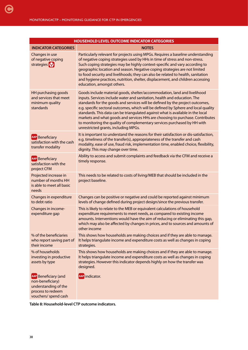| <b>HOUSEHOLD LEVEL OUTCOME INDICATOR CATEGORIES</b>                                                           |                                                                                                                                                                                                                                                                                                                                                                                                                                                                                                                                                                                                                     |  |  |
|---------------------------------------------------------------------------------------------------------------|---------------------------------------------------------------------------------------------------------------------------------------------------------------------------------------------------------------------------------------------------------------------------------------------------------------------------------------------------------------------------------------------------------------------------------------------------------------------------------------------------------------------------------------------------------------------------------------------------------------------|--|--|
| <b>INDICATOR CATEGORIES</b>                                                                                   | <b>NOTES</b>                                                                                                                                                                                                                                                                                                                                                                                                                                                                                                                                                                                                        |  |  |
| Changes in use<br>of negative coping<br>strategies <sup>[</sup>                                               | Particularly relevant for projects using MPGs. Requires a baseline understanding<br>of negative coping strategies used by HHs in time of stress and non-stress.<br>Such coping strategies may be highly context-specific and vary according to<br>geographic location and season. Negative coping strategies are not limited<br>to food security and livelihoods; they can also be related to health, sanitation<br>and hygiene practices, nutrition, shelter, displacement, and children accessing<br>education, amongst others.                                                                                   |  |  |
| HH purchasing goods<br>and services that meet<br>minimum quality<br>standards                                 | Goods include material goods, shelter/accommodation, land and livelihood<br>inputs. Services include water and sanitation, health and education. The<br>standards for the goods and services will be defined by the project outcomes,<br>e.g. specific sectoral outcomes, which will be defined by Sphere and local quality<br>standards. This data can be triangulated against what is available in the local<br>markets and what goods and services HHs are choosing to purchase. Contributes<br>to monitoring the quality of complementary services purchased by HH with<br>unrestricted grants, including MPGs. |  |  |
| <b>AAP</b> Beneficiary<br>satisfaction with the cash<br>transfer modality                                     | It is important to understand the reasons for their satisfaction or dis-satisfaction,<br>e.g. timeliness of the transfer(s), appropriateness of the transfer and cash<br>modality, ease of use, fraud risk, implementation time, enabled choice, flexibility,<br>dignity. This may change over time.                                                                                                                                                                                                                                                                                                                |  |  |
| <b>AAP</b> Beneficiary<br>satisfaction with the<br>project CFM                                                | Ability to access and submit complaints and feedback via the CFM and receive a<br>timely response.                                                                                                                                                                                                                                                                                                                                                                                                                                                                                                                  |  |  |
| Projected increase in<br>number of months HH<br>is able to meet all basic<br>needs                            | This needs to be related to costs of living/MEB that should be included in the<br>project baseline.                                                                                                                                                                                                                                                                                                                                                                                                                                                                                                                 |  |  |
| Changes in expenditure<br>to debt ratio                                                                       | Changes can be positive or negative and could be reported against minimum<br>levels of change defined during project design/since the previous transfer.                                                                                                                                                                                                                                                                                                                                                                                                                                                            |  |  |
| Changes in income-<br>expenditure gap                                                                         | This is likely to relate to the MEB or equivalent calculations of household<br>expenditure requirements to meet needs, as compared to existing income<br>amounts. Interventions would have the aim of reducing or eliminating this gap,<br>which may also be affected by changes in prices, and to sources and amounts of<br>other income                                                                                                                                                                                                                                                                           |  |  |
| % of the beneficiaries<br>who report saving part of<br>their income                                           | This shows how households are making choices and if they are able to manage.<br>It helps triangulate income and expenditure costs as well as changes in coping<br>strategies.                                                                                                                                                                                                                                                                                                                                                                                                                                       |  |  |
| % of households<br>investing in productive<br>assets by type                                                  | This shows how households are making choices and if they are able to manage.<br>It helps triangulate income and expenditure costs as well as changes in coping<br>strategies. However this indicator depends highly on how the transfer was<br>designed.                                                                                                                                                                                                                                                                                                                                                            |  |  |
| AAP Beneficiary (and<br>non-beneficiary)<br>understanding of the<br>process to redeem<br>vouchers/ spend cash | AAP indicator.                                                                                                                                                                                                                                                                                                                                                                                                                                                                                                                                                                                                      |  |  |

**Table 8: Household-level CTP outcome indicators.**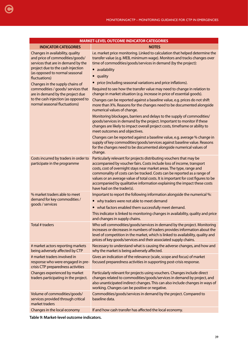| <b>MARKET-LEVEL OUTCOME INDICATOR CATEGORIES</b>                                                                                                                                                  |                                                                                                                                                                                                                                                                                                                                                                                                                                                                                                   |  |  |
|---------------------------------------------------------------------------------------------------------------------------------------------------------------------------------------------------|---------------------------------------------------------------------------------------------------------------------------------------------------------------------------------------------------------------------------------------------------------------------------------------------------------------------------------------------------------------------------------------------------------------------------------------------------------------------------------------------------|--|--|
| <b>INDICATOR CATEGORIES</b>                                                                                                                                                                       | <b>NOTES</b>                                                                                                                                                                                                                                                                                                                                                                                                                                                                                      |  |  |
| Changes in availability, quality<br>and price of commodities/goods/<br>services that are in demand by the<br>project due to the cash injection<br>(as opposed to normal seasonal<br>fluctuations) | i.e. market price monitoring. Linked to calculation that helped determine the<br>transfer value (e.g. MEB, minimum wage). Monitors and tracks changes over<br>time of commodities/goods/services in demand (by the project):<br>availability<br>$\bullet$<br>quality<br>$\bullet$                                                                                                                                                                                                                 |  |  |
| Changes in the supply chains of                                                                                                                                                                   | price (including seasonal variations and price inflations).<br>$\bullet$                                                                                                                                                                                                                                                                                                                                                                                                                          |  |  |
| commodities / goods/ services that<br>are in demand by the project due                                                                                                                            | Required to see how the transfer value may need to change in relation to<br>change in market situation (e.g. increase in price of essential goods).                                                                                                                                                                                                                                                                                                                                               |  |  |
| to the cash injection (as opposed to<br>normal seasonal fluctuations)                                                                                                                             | Changes can be reported against a baseline value, e.g. prices do not shift<br>more than X%. Reasons for the changes need to be documented alongside<br>numerical values of change.                                                                                                                                                                                                                                                                                                                |  |  |
|                                                                                                                                                                                                   | Monitoring blockages, barriers and delays to the supply of commodities/<br>goods/services in demand by the project. Important to monitor if these<br>changes are likely to impact overall project costs, timeframe or ability to<br>meet outcomes and objectives.                                                                                                                                                                                                                                 |  |  |
|                                                                                                                                                                                                   | Changes can be reported against a baseline value, e.g. average % change in<br>supply of key commodities/goods/services against baseline value. Reasons<br>for the changes need to be documented alongside numerical values of<br>change.                                                                                                                                                                                                                                                          |  |  |
| Costs incurred by traders in order to<br>participate in the programme                                                                                                                             | Particularly relevant for projects distributing vouchers that may be<br>accompanied by voucher fairs. Costs include loss of income, transport<br>costs, cost of overnight stays near market areas. The type, range and<br>commonality of costs can be tracked. Costs can be reported as a range of<br>values or an average value of total costs. It is important for cost figures to be<br>accompanied by qualitative information explaining the impact these costs<br>have had on the trader(s). |  |  |
| % market traders able to meet                                                                                                                                                                     | Important to report the following information alongside the numerical %:                                                                                                                                                                                                                                                                                                                                                                                                                          |  |  |
| demand for key commodities /<br>goods / services                                                                                                                                                  | • why traders were not able to meet demand                                                                                                                                                                                                                                                                                                                                                                                                                                                        |  |  |
|                                                                                                                                                                                                   | what factors enabled them successfully meet demand.<br>$\bullet$                                                                                                                                                                                                                                                                                                                                                                                                                                  |  |  |
|                                                                                                                                                                                                   | This indicator is linked to monitoring changes in availability, quality and price<br>and changes in supply chains.                                                                                                                                                                                                                                                                                                                                                                                |  |  |
| Total # traders                                                                                                                                                                                   | Who sell commodities/goods/services in demand by the project. Monitoring<br>increases or decreases in numbers of traders provides information about the<br>level of competition in the market, which is linked to availability, quality and<br>prices of key goods/services and their associated supply chains.                                                                                                                                                                                   |  |  |
| # market actors reporting markets<br>being adversely affected by CTP                                                                                                                              | Necessary to understand what is causing the adverse changes, and how and<br>why the market is being adversely affected.                                                                                                                                                                                                                                                                                                                                                                           |  |  |
| # market traders involved in<br>response who were engaged in pre-<br>crisis CTP preparedness activities                                                                                           | Gives an indication of the relevance (scale, scope and focus) of market<br>focused preparedness activities in supporting post-crisis response.                                                                                                                                                                                                                                                                                                                                                    |  |  |
| Changes experienced by market<br>traders participating in the project.                                                                                                                            | Particularly relevant for projects using vouchers. Changes include direct<br>changes related to commodities/goods/services in demand by project, and<br>also unanticipated indirect changes. This can also include changes in ways of<br>working. Changes can be positive or negative.                                                                                                                                                                                                            |  |  |
| Volume of commodities/goods/<br>services provided through critical<br>market traders                                                                                                              | Commodities/goods/services in demand by the project. Compared to<br>baseline data.                                                                                                                                                                                                                                                                                                                                                                                                                |  |  |
| Changes in the local economy                                                                                                                                                                      | If and how cash transfer has affected the local economy.                                                                                                                                                                                                                                                                                                                                                                                                                                          |  |  |

**Table 9: Market-level outcome indicators.** 

[C](#page-4-0)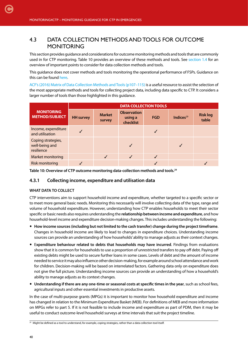# 4.3 DATA COLLECTION METHODS AND TOOLS FOR OUTCOME **MONITORING**

This section provides guidance and considerations for outcome monitoring methods and tools that are commonly used in for CTP monitoring. Table 10 provides an overview of these methods and tools. See [section 1.4](#page-16-0) for an overview of important points to consider for data collection methods and tools.

This guidance does not cover methods and tools monitoring the operational performance of FSPs. Guidance on this can be found [here](http://www.cashlearning.org/downloads/annex-5-kpi-report-template.pdf).

[ACF's \(2016\) Matrix of Data Collection Methods and Tools \(p107–115\)](http://www.actionagainsthunger.org/publication/2016/08/multi-sectoral-monitoring-evaluation) is a useful resource to assist the selection of the most appropriate methods and tools for collecting project data, including data specific to CTP. It considers a larger number of tools than those highlighted in this guidance.

|                                                    | <b>DATA COLLECTION TOOLS</b> |                         |                                            |              |                       |                          |
|----------------------------------------------------|------------------------------|-------------------------|--------------------------------------------|--------------|-----------------------|--------------------------|
| <b>MONITORING</b><br><b>METHOD/SUBJECT</b>         | <b>HH</b> survey             | <b>Market</b><br>survey | <b>Observation</b><br>using a<br>checklist | <b>FGD</b>   | Indices <sup>29</sup> | <b>Risk log</b><br>table |
| Income, expenditure<br>and utilisation             |                              |                         |                                            |              |                       |                          |
| Coping strategies,<br>well-being and<br>resilience |                              |                         |                                            |              |                       |                          |
| Market monitoring                                  |                              |                         |                                            | $\checkmark$ |                       |                          |
| Risk monitoring                                    |                              |                         |                                            |              |                       |                          |

**Table 10: Overview of CTP outcome monitoring data-collection methods and tools.29**

#### **4.3.1 Collecting income, expenditure and utilisation data**

#### **WHAT DATA TO COLLECT**

CTP interventions aim to support household income and expenditure, whether targeted to a specific sector or to meet more general basic needs. Monitoring this necessarily will involve collecting data of the type, range and volume of household expenditure. However, understanding how CTP enables households to meet their sector specific or basic needs also requires understanding the **relationship between income and expenditure**, and how household-level income and expenditure decision-making changes. This includes understanding the following:

- **How income sources (including but not limited to the cash transfer) change during the project timeframe**. Changes in household income are likely to lead to changes in expenditure choices. Understanding income sources can provide an understanding of how households' ability to manage adjusts as their context changes.
- E**xpenditure behaviour related to debts that households may have incurred**. Findings from evaluations show that it is common for households to use a proportion of unrestricted transfers to pay off debt. Paying off existing debts might be used to secure further loans in some cases. Levels of debt and the amount of income needed to service it may also influence other decision-making, for example around school attendance and work for children. Decision-making will be based on interrelated factors. Gathering data only on expenditure does not give the full picture. Understanding income sources can provide an understanding of how a household's ability to manage adjusts as its context changes.
- **Understanding if there are any one-time or seasonal costs at specific times in the year**, such as school fees, agricultural inputs and other essential investments in productive assets.

In the case of multi-purpose grants (MPGs) it is important to monitor how household expenditure and income has changed in relation to the Minimum Expenditure Basket (MEB). For definitions of MEB and more information on MPGs refer to part 5. If it is not feasible to include income and expenditure as part of PDM, then it may be useful to conduct outcome-level household surveys at time intervals that suit the project timeline.

<sup>&</sup>lt;sup>29</sup> Might be defined as a tool to understand, for example, coping strategies, rather than a data collection tool itself.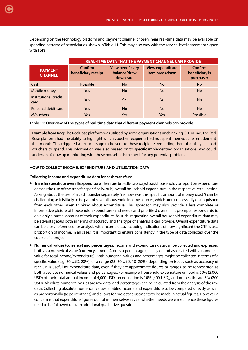Depending on the technology platform and payment channel chosen, near real-time data may be available on spending patterns of beneficiaries, shown in Table 11. This may also vary with the service-level agreement signed

|                                  | <b>REAL-TIME DATA THAT THE PAYMENT CHANNEL CAN PROVIDE</b> |                                                      |                                           |                                        |  |  |
|----------------------------------|------------------------------------------------------------|------------------------------------------------------|-------------------------------------------|----------------------------------------|--|--|
| <b>PAYMENT</b><br><b>CHANNEL</b> | Confirm<br>beneficiary receipt                             | <b>View beneficiary</b><br>balance/draw<br>down rate | <b>View expenditure</b><br>item breakdown | Confirm<br>beneficiary is<br>purchaser |  |  |
| Cash                             | Possible                                                   | No.                                                  | <b>No</b>                                 | <b>No</b>                              |  |  |
| Mobile money                     | Yes                                                        | <b>No</b>                                            | <b>No</b>                                 | <b>No</b>                              |  |  |
| Institutional credit<br>card     | Yes                                                        | Yes                                                  | <b>No</b>                                 | <b>No</b>                              |  |  |
| Personal debit card              | <b>Yes</b>                                                 | <b>No</b>                                            | <b>No</b>                                 | <b>No</b>                              |  |  |
| eVouchers                        | Yes                                                        | Yes                                                  | Yes                                       | Possible                               |  |  |

**Table 11: Overview of the types of real-time data that different payment channels can provide.** 

**Example from Iraq:** The Red Rose platform was utilised by some organisations undertaking CTP in Iraq. The Red Rose platform had the ability to highlight which voucher recipients had not spent their voucher entitlement that month. This triggered a text message to be sent to these recipients reminding them that they still had vouchers to spend. This information was also passed on to specific implementing organisations who could undertake follow up monitoring with these households to check for any potential problems.

#### **HOW TO COLLECT INCOME, EXPENDITURE AND UTILISATION DATA**

#### **Collecting income and expenditure data for cash transfers:**

with FSPs.

[C](#page-4-0)

- **Transfer specific or overall expenditure**. There are broadly two ways to ask households to report on expenditure data: a) the use of the transfer specifically, or b) overall household expenditure in the respective recall period. Asking about the use of a cash transfer separately (i.e. how was this specific amount of money used?) can be challenging as it is likely to be part of several household income sources, which aren't necessarily distinguished from each other when thinking about expenditure. This approach may also provide a less complete or informative picture of household expenditure (and needs and priorities) overall if it prompts respondents to give only a partial account of their expenditure. As such, requesting overall household expenditure data may be advantageous both in terms of accuracy and the type of analysis it can provide. Overall expenditure data can be cross-referenced for analysis with income data, including indications of how significant the CTP is as a proportion of income. In all cases, it is important to ensure consistency in the type of data collected over the course of a project.
- **Numerical values (currency) and percentages**. Income and expenditure data can be collected and expressed both as a numerical value (currency, amount), or as a percentage (usually of and associated with a numerical value for total income/expenditure). Both numerical values and percentages might be collected in terms of a specific value (e.g. 50 USD, 20%), or a range (25–50 USD, 10–20%), depending on issues such as accuracy of recall. It is useful for expenditure data, even if they are approximate figures or ranges, to be represented as both absolute numerical values and percentages. For example, household expenditure on food is 50% (2,000 USD) of their total annual income of 4,000 USD, on education is 10% (400 USD), and on health care 5% (200 USD). Absolute numerical values are raw data, and percentages can be calculated from the analysis of the raw data. Collecting absolute numerical values enables income and expenditure to be compared directly as well as proportionally (as percentages) and allows for project adjustments to be made in actual figures. However, a concern is that expenditure figures do not in themselves reveal whether needs were met; hence these figures need to be followed up with additional qualitative questions.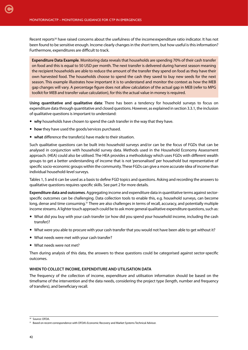Recent reports<sup>30</sup> have raised concerns about the usefulness of the income: expenditure ratio indicator. It has not been found to be sensitive enough. Income clearly changes in the short term, but how useful is this information? Furthermore, expenditures are difficult to track.

**Expenditure Data Example**. Monitoring data reveals that households are spending 70% of their cash transfer on food and this is equal to 50 USD per month. The next transfer is delivered during harvest season meaning the recipient households are able to reduce the amount of the transfer they spend on food as they have their own harvested food. The households choose to spend the cash they saved to buy new seeds for the next season. This example illustrates how important it is to understand and monitor the context as how the MEB gap changes will vary. A percentage figure does not allow calculation of the actual gap in MEB (refer to MPG toolkit for MEB and transfer value calculation), for this the actual value in money is required.

**Using quantitative and qualitative data**: There has been a tendency for household surveys to focus on expenditure data through quantitative and closed questions. However, as explained in section 3.3.1, the inclusion of qualitative questions is important to understand:

- **why** households have chosen to spend the cash transfer in the way that they have.
- **how** they have used the goods/services purchased.
- **what** difference the transfer(s) have made to their situation.

Such qualitative questions can be built into household surveys and/or can be the focus of FGDs that can be analysed in conjunction with household survey data. Methods used in the Household Economy Assessment approach. (HEA) could also be utilised. The HEA provides a methodology which uses FGDs with different wealth groups to get a better understanding of income that is not 'personalised' per household but representative of specific socio-economic groups within the community. These FGDs can give a more accurate idea of income than individual household-level surveys.

Tables 1, 5 and 6 can be used as a basis to define FGD topics and questions. Asking and recording the answers to qualitative questions requires specific skills. See part 2 for more details.

**Expenditure data and outcomes**. Aggregating income and expenditure data in quantitative terms against sectorspecific outcomes can be challenging. Data collection tools to enable this, e.g. household surveys, can become long, dense and time consuming.<sup>31</sup> There are also challenges in terms of recall, accuracy, and potentially multiple income streams. A lighter touch approach could be to ask more general qualitative expenditure questions, such as:

- What did you buy with your cash transfer (or how did you spend your household income, including the cash transfer)?
- What were you able to procure with your cash transfer that you would not have been able to get without it?
- What needs were met with your cash transfer?
- What needs were not met?

Then during analysis of this data, the answers to these questions could be categorised against sector-specific outcomes.

#### **WHEN TO COLLECT INCOME, EXPENDITURE AND UTILISATION DATA**

The frequency of the collection of income, expenditure and utilisation information should be based on the timeframe of the intervention and the data needs, considering the project type (length, number and frequency of transfers), and beneficiary recall.

<sup>30</sup> Source: OFDA.

<sup>&</sup>lt;sup>31</sup> Based on recent correspondence with OFDA's Economic Recovery and Market Systems Technical Advisor.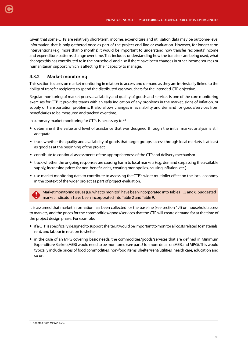Given that some CTPs are relatively short-term, income, expenditure and utilisation data may be outcome-level information that is only gathered once as part of the project end-line or evaluation. However, for longer-term interventions (e.g. more than 6 months) it would be important to understand how transfer recipients' income and expenditure patterns change over time. This includes understanding how the transfers are being used, what changes this has contributed to in the household, and also if there have been changes in other income sources or humanitarian support, which is affecting their capacity to manage.

## **4.3.2 Market monitoring**

This section focuses on market monitoring in relation to access and demand as they are intrinsically linked to the ability of transfer recipients to spend the distributed cash/vouchers for the intended CTP objective.

Regular monitoring of market prices, availability and quality of goods and services is one of the core monitoring exercises for CTP. It provides teams with an early indication of any problems in the market, signs of inflation, or supply or transportation problems. It also allows changes in availability and demand for goods/services from beneficiaries to be measured and tracked over time.

In summary market monitoring for CTPs is necessary to:32

- determine if the value and level of assistance that was designed through the initial market analysis is still adequate
- track whether the quality and availability of goods that target groups access through local markets is at least as good as at the beginning of the project
- contribute to continual assessments of the appropriateness of the CTP and delivery mechanism
- track whether the ongoing responses are causing harm to local markets (e.g. demand surpassing the available supply, increasing prices for non-beneficiaries, creating monopolies, causing inflation, etc.).
- use market monitoring data to contribute to assessing the CTP's wider multiplier effect on the local economy in the context of the wider project as part of project evaluation.

Market monitoring issues (i.e. what to monitor) have been incorporated into Tables 1, 5 and 6. Suggested market indicators have been incorporated into Table 2 and Table 9.

It is assumed that market information has been collected for the baseline (see section 1.4) on household access to markets, and the prices for the commodities/goods/services that the CTP will create demand for at the time of the project design phase. For example:

- if a CTP is specifically designed to support shelter, it would be important to monitor all costs related to materials, rent, and labour in relation to shelter
- in the case of an MPG covering basic needs, the commodities/goods/services that are defined in Minimum Expenditure Basket (MEB) would need to be monitored (see part 5 for more detail on MEB and MPG). This would typically include prices of food commodities, non-food items, shelter/rent/utilities, health care, education and so on.

<sup>&</sup>lt;sup>32</sup> Adapted from MISMA p 25.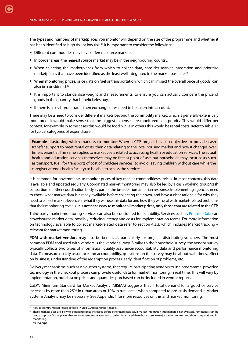The types and numbers of marketplaces you monitor will depend on the size of the programme and whether it has been identified as high risk or low risk.<sup>33</sup> It is important to consider the following:

- Different commodities may have different source markets.
- In border areas, the nearest source market may be in the neighbouring country.
- When selecting the marketplaces from which to collect data, consider market integration and prioritise marketplaces that have been identified as the least well integrated in the market baseline.<sup>34</sup>
- When monitoring prices, price data on fuel or transportation, which can impact the overall price of goods, can also be considered.35
- It is important to standardise weight and measurements, to ensure you can actually compare the price of goods in the quantity that beneficiaries buy.
- If there is cross-border trade, then exchange rates need to be taken into account.

There may be a need to consider different markets beyond the commodity market, which is generally extensively monitored. It would make sense that the biggest expenses are monitored as a priority. This would differ per context, for example in some cases this would be food, while in others this would be rental costs. Refer to Table 13 for typical categories of expenditure.

E**xample illustrating which markets to monitor**: When a CTP project has sub-objective to provide cash transfer support to meet rental costs, then data relating to the local housing market and how it changes over time is essential. The same applies to market costs related to accessing health or education services. The actual health and education services themselves may be free at point of use, but households may incur costs such as transport, fuel (for transport) of cost of childcare services (to avoid leaving children without care while the caregiver attends health facility) to be able to access the services.

It is common for governments to monitor prices of key market commodities/services. In most contexts, this data is available and updated regularly. Coordinated market monitoring may also be led by a cash working group/cash consortium or other coordination body as part of the broader humanitarian response. Implementing agencies need to check what market data is already available before collecting their own, and have a clear rationale for why they need to collect market-level data, what they will use this data for and how they will deal with market-related problems that their monitoring reveals. **It is not necessary to monitor all market prices, only those that are related to the CTP.**

Third-party market-monitoring services can also be considered for suitability. Services such as [Premise Data](https://www.premise.com/) can crowdsource market data, possibly reducing latency and costs for implementation teams. For more information on technology available to collect market-related data refer to section 4.3.3, which includes Market tracking – relevant for market monitoring.

**PDM with market vendors** may also be beneficial, particularly for projects distributing vouchers. The most common PDM tool used with vendors is the vendor survey. Similar to the household survey, the vendor survey typically collects two types of information: quality assurance/accountability data and performance monitoring data. To measure quality assurance and accountability, questions on the survey may be about wait times, effect on business, understanding of the redemption process, early identification of problems, etc.

Delivery mechanisms, such as e-voucher systems, that require participating vendors to use programme-provided technology in the checkout process can provide useful data for market monitoring in real time. This will vary by implementation, but data on prices and quantities purchased can be included in vendor reports.

CaLP's Minimum Standard for Market Analysis (MISMA) suggests that if total demand for a good or service increases by more than 25% in urban areas or 10% in rural areas when compared to pre-crisis demand, a Market Systems Analysis may be necessary. See Appendix 1 for more resources on this and market monitoring.

<sup>&</sup>lt;sup>33</sup> How to identify market risks is covered in Step 2, Assessing the Risk (p 6).

<sup>&</sup>lt;sup>34</sup> These marketplaces are likely to experience price increases before other marketplaces. If market integration information is not available, remoteness can be used as a proxy. Marketplaces that are more remote are assumed to be less integrated than those closer to major trading centres, and should be prioritised for monitoring.

<sup>&</sup>lt;sup>35</sup> MercyCorps.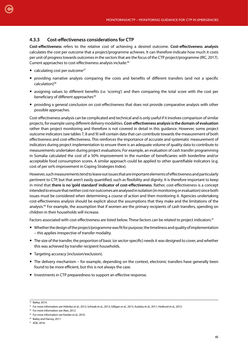#### **4.3.3 Cost-effectiveness considerations for CTP**

**Cost-effectiveness** refers to the relative cost of achieving a desired outcome. **Cost-effectiveness analysis** calculates the cost per outcome that a project/programme achieves. It can therefore indicate how much it costs per unit of progress towards outcomes in the sectors that are the focus of the CTP project/programme (IRC, 2017). Current approaches to cost-effectiveness analysis include:36

• calculating cost per outcome $37$ 

[C](#page-4-0)

- providing narrative analysis comparing the costs and benefits of different transfers (and not a specific calculation)<sup>38</sup>
- assigning values to different benefits (i.e. 'scoring') and then comparing the total score with the cost per beneficiary of different approaches<sup>39</sup>
- providing a general conclusion on cost-effectiveness that does not provide comparative analysis with other possible approaches.

Cost-effectiveness analysis can be complicated and technical and is only useful if it involves comparison of similar projects, for example using different delivery modalities. **Cost-effectiveness analysis is the domain of evaluation** rather than project monitoring and therefore is not covered in detail in this guidance. However, some project outcome indicators (see tables 7, 8 and 9) will contain data that can contribute towards the measurement of both effectiveness and cost-effectiveness. This reinforces the importance of accurate and systematic measurement of indicators during project implementation to ensure there is an adequate volume of quality data to contribute to measurements undertaken during project evaluations. For example, an evaluation of cash transfer programming in Somalia calculated the cost of a 50% improvement in the number of beneficiaries with borderline and/or acceptable food consumption scores. A similar approach could be applied to other quantifiable indicators (e.g. cost of per xx% improvement in Coping Strategies Index).

However, such measurements tend to leave out issues that are important elements of effectiveness and particularly pertinent to CTP, but that aren't easily quantified, such as flexibility and dignity. It is therefore important to keep in mind that **there is no 'gold standard' indicator of cost-effectiveness**. Rather, cost-effectiveness is a concept intended to ensure that neither cost nor outcomes are analysed in isolation (in monitoring or evaluation) since both issues must be considered when determining a course of action and then monitoring it. Agencies undertaking cost-effectiveness analysis should be explicit about the assumptions that they make and the limitations of the analysis.40 For example, the assumption that if women are the primary recipients of cash transfers, spending on children in their households will increase.

Factors associated with cost-effectiveness are listed below. These factors can be related to project indicators.41

- Whether the design of the project/programme was fit for purpose; the timeliness and quality of implementation – this applies irrespective of transfer modality.
- The size of the transfer, the proportion of basic (or sector-specific) needs it was designed to cover, and whether this was achieved by transfer recipient households.
- Targeting accuracy (inclusion/exclusion).
- The delivery mechanism for example, depending on the context, electronic transfers have generally been found to be more efficient, but this is not always the case.
- Investments in CTP preparedness to support an effective response.

<sup>&</sup>lt;sup>36</sup> Bailey, 2014.

<sup>37</sup> For more information see Hidrobo et al., 2012; Schwab et al., 2013; Gilligan et al., 2013; Audsley et al., 2011; Hedlund et al., 2013.

<sup>&</sup>lt;sup>38</sup> For more information see Aker, 2012.

<sup>&</sup>lt;sup>39</sup> For more information see Kardan et al., 2010.

<sup>40</sup> Bailey and Harvey, 2011.

<sup>41</sup> ADE, 2016.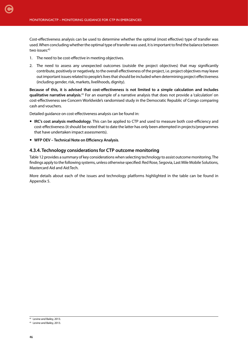Cost-effectiveness analysis can be used to determine whether the optimal (most effective) type of transfer was used. When concluding whether the optimal type of transfer was used, it is important to find the balance between two issues:<sup>42</sup>

- 1. The need to be cost-effective in meeting objectives.
- 2. The need to assess any unexpected outcomes (outside the project objectives) that may significantly contribute, positively or negatively, to the overall effectiveness of the project, i.e. project objectives may leave out important issues related to people's lives that should be included when determining project effectiveness (including gender, risk, markets, livelihoods, dignity).

**Because of this, it is advised that cost-effectiveness is not limited to a simple calculation and includes qualitative narrative analysis**. 43 For an example of a narrative analysis that does not provide a 'calculation' on cost-effectiveness see Concern Worldwide's randomised study in the Democratic Republic of Congo comparing cash and vouchers.

Detailed guidance on cost-effectiveness analysis can be found in:

- **IRC's cost analysis methodology**. This can be applied to CTP and used to measure both cost-efficiency and cost-effectiveness (it should be noted that to date the latter has only been attempted in projects/programmes that have undertaken impact assessments).
- **WFP OEV Technical Note on Efficiency Analysis**.

#### **4.3.4. Technology considerations for CTP outcome monitoring**

Table 12 provides a summary of key considerations when selecting technology to assist outcome monitoring. The findings apply to the following systems, unless otherwise specified: Red Rose, Segovia, Last Mile Mobile Solutions, Mastercard Aid and Aid:Tech.

More details about each of the issues and technology platforms highlighted in the table can be found in Appendix 5.

<sup>&</sup>lt;sup>42</sup> Levine and Bailey, 2013.

<sup>&</sup>lt;sup>43</sup> Levine and Bailey, 2013.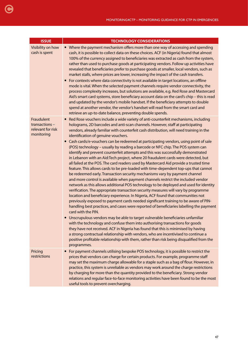| <b>ISSUE</b>                                                   | <b>TECHNOLOGY CONSIDERATIONS</b>                                                                                                                                                                                                                                                                                                                                                                                                                                                                                                                                                                                                                                                                                                                                                                                                                                                                                                                                                                                                                                                                                                                                                                                                                                                                                                                                                                                                                                                                                                                                                                                                                 |
|----------------------------------------------------------------|--------------------------------------------------------------------------------------------------------------------------------------------------------------------------------------------------------------------------------------------------------------------------------------------------------------------------------------------------------------------------------------------------------------------------------------------------------------------------------------------------------------------------------------------------------------------------------------------------------------------------------------------------------------------------------------------------------------------------------------------------------------------------------------------------------------------------------------------------------------------------------------------------------------------------------------------------------------------------------------------------------------------------------------------------------------------------------------------------------------------------------------------------------------------------------------------------------------------------------------------------------------------------------------------------------------------------------------------------------------------------------------------------------------------------------------------------------------------------------------------------------------------------------------------------------------------------------------------------------------------------------------------------|
| Visibility on how<br>cash is spent                             | • Where the payment mechanism offers more than one way of accessing and spending<br>cash, it is possible to collect data on these choices. ACF (in Nigeria) found that almost<br>100% of the currency assigned to beneficiaries was extracted as cash from the system,<br>rather than used to purchase goods at participating vendors. Follow up activities have<br>revealed that beneficiaries prefer to purchase goods at smaller, local vendors, such as<br>market stalls, where prices are lower, increasing the impact of the cash transfers.<br>For contexts where data connectivity is not available in target locations, an offline<br>mode is vital. When the selected payment channels require vendor connectivity, the<br>process complexity increases, but solutions are available, e.g. Red Rose and Mastercard<br>Aid's smart card systems, store beneficiary account data on the card's chip - this is read<br>and updated by the vendor's mobile handset. If the beneficiary attempts to double<br>spend at another vendor, the vendor's handset will read from the smart card and<br>retrieve an up-to-date balance, preventing double spends.                                                                                                                                                                                                                                                                                                                                                                                                                                                                                  |
| Fraudulent<br>transactions-<br>relevant for risk<br>monitoring | Red Rose vouchers include a wide variety of anti-counterfeit mechanisms, including<br>holograms, 2D barcodes and anti-scan channels. However, staff at participating<br>vendors, already familiar with counterfeit cash distribution, will need training in the<br>identification of genuine vouchers.                                                                                                                                                                                                                                                                                                                                                                                                                                                                                                                                                                                                                                                                                                                                                                                                                                                                                                                                                                                                                                                                                                                                                                                                                                                                                                                                           |
|                                                                | Cash cards/e-vouchers can be redeemed at participating vendors, using point of sale<br>$\bullet$<br>(POS) technology - usually by reading a barcode or NFC chip. The POS system can<br>identify and prevent counterfeit attempts and this was successfully demonstrated<br>in Lebanon with an Aid:Tech project, where 20 fraudulent cards were detected, but<br>all failed at the POS. The card readers used by Mastercard Aid provide a trusted time<br>feature. This allows cards to be pre-loaded with time-dependent top-ups that cannot<br>be redeemed early. Transaction security mechanisms vary by payment channel<br>and more control is available when payment channels restrict the included vendor<br>network as this allows additional POS technology to be deployed and used for identity<br>verification. The appropriate transaction security measures will vary by programme<br>location and beneficiary experience. In Nigeria, ACF found that communities not<br>previously exposed to payment cards needed significant training to be aware of PIN-<br>handling best practices, and cases were reported of beneficiaries labelling the payment<br>card with the PIN.<br>Unscrupulous vendors may be able to target vulnerable beneficiaries unfamiliar<br>with the technology and confuse them into authorising transactions for goods<br>they have not received. ACF in Nigeria has found that this is minimised by having<br>a strong contractual relationship with vendors, who are incentivised to continue a<br>positive profitable relationship with them, rather than risk being disqualified from the<br>programmes. |
| Pricing<br>restrictions                                        | For payment channels utilising bespoke POS technology, it is possible to restrict the<br>$\bullet$<br>prices that vendors can charge for certain products. For example, programme staff<br>may set the maximum charge allowable for a staple such as a bag of flour. However, in<br>practice, this system is unreliable as vendors may work around the charge restrictions<br>by charging for more than the quantity provided to the beneficiary. Strong vendor<br>relations and regular face-to-face monitoring activities have been found to be the most<br>useful tools to prevent overcharging.                                                                                                                                                                                                                                                                                                                                                                                                                                                                                                                                                                                                                                                                                                                                                                                                                                                                                                                                                                                                                                              |

**G**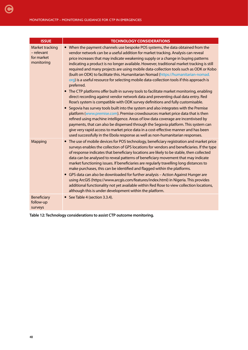| <b>ISSUE</b>                                                     | <b>TECHNOLOGY CONSIDERATIONS</b>                                                                                                                                                                                                                                                                                                                                                                                                                                                                                                                                                                                                                                                                                                                                                                                                                                                                                                                                                                                                                                                                                                                                                                                                                                                                                                                                                                                                                     |
|------------------------------------------------------------------|------------------------------------------------------------------------------------------------------------------------------------------------------------------------------------------------------------------------------------------------------------------------------------------------------------------------------------------------------------------------------------------------------------------------------------------------------------------------------------------------------------------------------------------------------------------------------------------------------------------------------------------------------------------------------------------------------------------------------------------------------------------------------------------------------------------------------------------------------------------------------------------------------------------------------------------------------------------------------------------------------------------------------------------------------------------------------------------------------------------------------------------------------------------------------------------------------------------------------------------------------------------------------------------------------------------------------------------------------------------------------------------------------------------------------------------------------|
| <b>Market tracking</b><br>- relevant<br>for market<br>monitoring | • When the payment channels use bespoke POS systems, the data obtained from the<br>vendor network can be a useful addition for market tracking. Analysis can reveal<br>price increases that may indicate weakening supply or a change in buying patterns<br>indicating a product is no longer available. However, traditional market tracking is still<br>required and many projects are using mobile data-collection tools such as ODK or Kobo<br>(built on ODK) to facilitate this. Humanitarian Nomad (https://humanitarian-nomad.<br>org) is a useful resource for selecting mobile data-collection tools if this approach is<br>preferred.<br>• The CTP platforms offer built-in survey tools to facilitate market monitoring, enabling<br>direct recording against vendor network data and preventing dual data entry. Red<br>Rose's system is compatible with ODK survey definitions and fully customisable.<br>• Segovia has survey tools built into the system and also integrates with the Premise<br>platform (www.premise.com). Premise crowdsources market price data that is then<br>refined using machine intelligence. Areas of low data coverage are incentivised by<br>payments, that can also be dispensed through the Segovia platform. This system can<br>give very rapid access to market price data in a cost-effective manner and has been<br>used successfully in the Ebola response as well as non-humanitarian responses. |
| <b>Mapping</b>                                                   | • The use of mobile devices for POS technology, beneficiary registration and market price<br>surveys enables the collection of GPS locations for vendors and beneficiaries. If the type<br>of response indicates that beneficiary locations are likely to be stable, then collected<br>data can be analysed to reveal patterns of beneficiary movement that may indicate<br>market functioning issues. If beneficiaries are regularly travelling long distances to<br>make purchases, this can be identified and flagged within the platforms.<br>• GPS data can also be downloaded for further analysis - Action Against Hunger are<br>using ArcGIS (https://www.arcgis.com/features/index.html) in Nigeria. This provides<br>additional functionality not yet available within Red Rose to view collection locations,<br>although this is under development within the platform.                                                                                                                                                                                                                                                                                                                                                                                                                                                                                                                                                                   |
| Beneficiary<br>follow-up<br>surveys                              | See Table 4 (section 3.3.4).                                                                                                                                                                                                                                                                                                                                                                                                                                                                                                                                                                                                                                                                                                                                                                                                                                                                                                                                                                                                                                                                                                                                                                                                                                                                                                                                                                                                                         |

**Table 12: Technology considerations to assist CTP outcome monitoring.**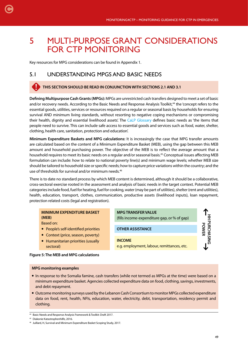# 5 MULTI-PURPOSE GRANT CONSIDERATIONS FOR CTP MONITORING

Key resources for MPG considerations can be found in Appendix 1.

# 5.1 UNDERSTANDING MPGS AND BASIC NEEDS

#### **THIS SECTION SHOULD BE READ IN CONJUNCTION WITH SECTIONS 2.1 AND 3.1**

**Defining Multipurpose Cash Grants (MPGs):** MPGs are unrestricted cash transfers designed to meet a set of basic and/or recovery needs. According to the Basic Needs and Response Analysis Toolkit,<sup>44</sup> the 'concept refers to the essential goods, utilities, services or resources required on a regular or seasonal basis by households for ensuring survival AND minimum living standards, without resorting to negative coping mechanisms or compromising their health, dignity and essential livelihood assets'. The [CaLP Glossary](http://www.cashlearning.org/resources/glossary) defines basic needs as 'the items that people need to survive. This can include safe access to essential goods and services such as food, water, shelter, clothing, health care, sanitation, protection and education'.

**Minimum Expenditure Baskets and MPG calculations:** It is increasingly the case that MPG transfer amounts are calculated based on the content of a Minimum Expenditure Basket (MEB), using the gap between this MEB amount and household purchasing power. The objective of the MEB is to reflect the average amount that a household requires to meet its basic needs on a regular and/or seasonal basis.45 Conceptual issues affecting MEB formulation can include: how to relate to national poverty line(s) and minimum wage levels; whether MEB size should be tailored to household size or specific needs; how to capture price variations within the country; and the use of thresholds for survival and/or minimum needs.<sup>46</sup>

There is to date no standard process by which MEB content is determined, although it should be a collaborative, cross-sectoral exercise rooted in the assessment and analysis of basic needs in the target context. Potential MEB categories include food, fuel for heating, fuel for cooking, water (may be part of utilities), shelter (rent and utilities), health, education, transport, clothes, communication, productive assets (livelihood inputs), loan repayment, protection related costs (legal and registration).

## **MINIMUM EXPENDITURE BASKET (MEB)**

Based on:

[C](#page-4-0)

- People's self-identified priorities
- Context (price, season, poverty)
- Humanitarian priorities (usually sectoral)





#### **MPG monitoring examples**

- In response to the Somalia famine, cash transfers (while not termed as MPGs at the time) were based on a minimum expenditure basket. Agencies collected expenditure data on food, clothing, savings, investments, and debt repayment.
- Outcome monitoring surveys used by the Lebanon Cash Consortium to monitor MPGs collected expenditure data on food, rent, health, NFIs, education, water, electricity, debt, transportation, residency permit and clothing.

<sup>44</sup> Basic Needs and Response Analysis Framework & Toolkit: Draft 2017.

<sup>45</sup> Diakonie Katastrophenhilfe, 2016.

<sup>46</sup> Juillard, H, Survival and Minimum Expenditure Basket Scoping Study, 2017.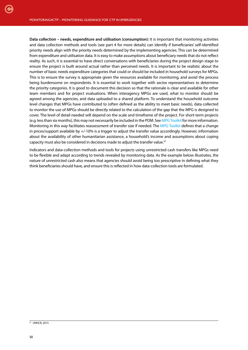**Data collection – needs, expenditure and utilisation (consumption):** It is important that monitoring activities and data collection methods and tools (see part 4 for more details) can identify if beneficiaries' self-identified priority needs align with the priority needs determined by the implementing agencies. This can be determined from expenditure and utilisation data. It is easy to make assumptions about beneficiary needs that do not reflect reality. As such, it is essential to have direct conversations with beneficiaries during the project design stage to ensure the project is built around actual rather than perceived needs. It is important to be realistic about the number of basic needs expenditure categories that could or should be included in household surveys for MPGs. This is to ensure the survey is appropriate given the resources available for monitoring, and avoid the process being burdensome on respondents. It is essential to work together with sector representatives to determine the priority categories. It is good to document this decision so that the rationale is clear and available for other team members and for project evaluations. When interagency MPGs are used, what to monitor should be agreed among the agencies, and data uploaded to a shared platform. To understand the household outcome level changes that MPGs have contributed to (often defined as the ability to meet basic needs), data collected to monitor the use of MPGs should be directly related to the calculation of the gap that the MPG is designed to cover. The level of detail needed will depend on the scale and timeframe of the project. For short-term projects (e.g. less than six months), this may not necessarily be included in the PDM. See [MPG Toolkit](http://www.cashlearning.org/mpg-toolkit/?utm_content=buffere6b2d&utm_medium=social&utm_source=twitter.com&utm_campaign=buffer) for more information. Monitoring in this way facilitates reassessment of transfer size if needed. The [MPG Toolkit](http://www.cashlearning.org/mpg-toolkit/?utm_content=buffere6b2d&utm_medium=social&utm_source=twitter.com&utm_campaign=buffer) defines that a change in prices/support available by +/-10% is a trigger to adjust the transfer value accordingly. However, information about the availability of other humanitarian assistance, a household's income and assumptions about coping capacity must also be considered in decisions made to adjust the transfer value.<sup>47</sup>

Indicators and data-collection methods and tools for projects using unrestricted cash transfers like MPGs need to be flexible and adapt according to trends revealed by monitoring data. As the example below illustrates, the nature of unrestricted cash also means that agencies should avoid being too prescriptive in defining what they think beneficiaries should have, and ensure this is reflected in how data-collection tools are formulated.

<sup>47</sup> UNHCR, 2015.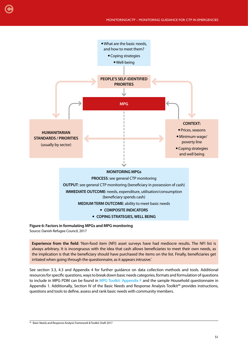

**Figure 6: Factors in formulating MPGs and MPG monitoring**  Source: Danish Refugee Council, 2017

[C](#page-4-0)

**Experience from the field**: 'Non-food item (NFI) asset surveys have had mediocre results. The NFI list is always arbitrary. It is incongruous with the idea that cash allows beneficiaries to meet their own needs, as the implication is that the beneficiary should have purchased the items on the list. Finally, beneficiaries get irritated when going through the questionnaire, as it appears intrusive.'

See section 3.3, 4.3 and Appendix 4 for further guidance on data collection methods and tools. Additional resources for specific questions, ways to break down basic needs categories, formats and formulation of questions to include in MPG PDM can be found in [MPG Toolkit: Appendix F](http://www.cashlearning.org/mpg-toolkit/?utm_content=buffere6b2d&utm_medium=social&utm_source=twitter.com&utm_campaign=buffer) and the sample Household questionnaire in Appendix 1. Additionally, Section IV of the Basic Needs and Response Analysis Toolkit<sup>48</sup> provides instructions, questions and tools to define, assess and rank basic needs with community members.

<sup>48</sup> Basic Needs and Response Analysis Framework & Toolkit: Draft 2017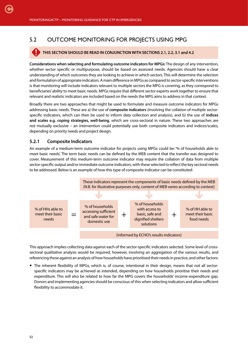# 5.2 OUTCOME MONITORING FOR PROJECTS USING MPG

#### **THIS SECTION SHOULD BE READ IN CONJUNCTION WITH SECTIONS 2.1, 2.2, 3.1 and 4.2**

**Considerations when selecting and formulating outcome indicators for MPGs:** The design of any intervention, whether sector specific or multipurpose, should be based on assessed needs. Agencies should have a clear understanding of which outcomes they are looking to achieve in which sectors. This will determine the selection and formulation of appropriate indicators. A main difference in MPGs as compared to sector-specific interventions is that monitoring will include indicators relevant to multiple sectors the MPG is covering, as they correspond to beneficiaries' ability to meet basic needs. MPGs require that different sector experts work together to ensure that relevant and realistic indicators are included based on the needs the MPG aims to address in that context.

Broadly there are two approaches that might be used to formulate and measure outcome indicators for MPGs addressing basic needs. These are a) the use of **composite indicators** (involving the collation of multiple sectorspecific indicators, which can then be used to inform data collection and analysis), and b) the use of **indices and scales e.g. coping strategies, well-being**, which are cross-sectoral in nature. These two approaches are not mutually exclusive – an intervention could potentially use both composite indicators and indices/scales, depending on priority needs and project design.

#### **5.2.1 Composite Indicators**

An example of a medium-term outcome indicator for projects using MPGs could be: '% of households able to meet basic needs'. The term basic needs can be defined by the MEB content that the transfer was designed to cover. Measurement of this medium-term outcome indicator may require the collation of data from multiple sector-specific output and/or immediate outcome indicators, with these selected to reflect the key sectoral needs to be addressed. Below is an example of how this type of composite indicator can be constituted:



This approach implies collecting data against each of the sector-specific indicators selected. Some level of crosssectoral qualitative analysis would be required, however, involving an aggregation of the various results, and referencing these against an analysis of how households have prioritised their needs in practice, and other factors:

 The inherent flexibility of MPGs, which is, of course, intentional in their design, means that not all sectorspecific indicators may be achieved as intended, depending on how households prioritise their needs and expenditure. This will also be related to how far the MPG covers the households' income-expenditure gap. Donors and implementing agencies should be conscious of this when selecting indicators and allow sufficient flexibility to accommodate it.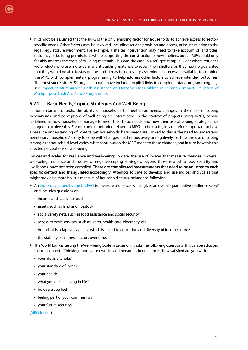• It cannot be assumed that the MPG is the only enabling factor for households to achieve access to sectorspecific needs. Other factors may be involved, including service provision and access, or issues relating to the legal/regulatory environment. For example, a shelter intervention may need to take account of land titles, residency or building permissions where supporting the construction of new shelters, but an MPG could only feasibly address the costs of building materials. This was the case in a refugee camp in Niger where refugees were reluctant to use more-permanent building materials to repair their shelters, as they had no guarantee that they would be able to stay on the land. It may be necessary, assuming resources are available, to combine the MPG with complementary programming to help address other factors to achieve intended outcomes. The most successful MPG projects to date have included explicit links to complementary programming (e.g. see [Impact of Multipurpose Cash Assistance on Outcomes for Children in Lebanon,](http://www.cashlearning.org/downloads/erc-save-the-children-action-research-web-1.pdf) [Impact Evaluation of](http://www.cashlearning.org/downloads/lcc-impact-evaluation-for-mca-final-version14april16cover.pdf) [Multipurpose Cash Assistance Programme\)](http://www.cashlearning.org/downloads/lcc-impact-evaluation-for-mca-final-version14april16cover.pdf).

#### **5.2.2 Basic Needs, Coping Strategies And Well-Being**

In humanitarian contexts, the ability of households to meet basic needs, changes in their use of coping mechanisms, and perceptions of well-being are interrelated. In the context of projects using MPGs, coping is defined as how households manage to meet their basic needs and how their use of coping strategies has changed to achieve this. For outcome monitoring related to MPGs to be useful, it is therefore important to have a baseline understanding of what target households' basic needs are. Linked to this is the need to understand beneficiary households' ability to cope with changes – either positively or negatively, i.e. how the use of coping strategies at household-level varies, what contribution the MPG made to these changes, and in turn how this this affected perceptions of well-being.

**Indices and scales for resilience and well-being:** To date, the use of indices that measure changes in overall well-being, resilience and the use of negative coping strategies, beyond those related to food security and livelihoods, have not been compiled. **These are complicated measurements that need to be adjusted to each specific context and triangulated accordingly**. Attempts to date to develop and use indices and scales that might provide a more holistic measure of household status include the following:

- An [index developed by the UN FAO](http://www.fao.org/docrep/013/al920e/al920e00.pdf) to measure resilience, which gives an overall quantitative 'resilience score' and includes questions on:
	- income and access to food

[C](#page-4-0)

- assets, such as land and livestock
- social safety nets, such as food assistance and social security
- access to basic services, such as water, health care, electricity, etc.
- households' adaptive capacity, which is linked to education and diversity of income sources
- the stability of all these factors over time.
- The World Bank is testing the Well-being Scale in Lebanon. It asks the following questions (this can be adjusted to local context). 'Thinking about your own life and personal circumstances, how satisfied are you with…':
	- your life as a whole?
	- your standard of living?
	- your health?
	- what you are achieving in life?
	- how safe you feel?
	- feeling part of your community?
	- your future security?

#### ([MPG Toolkit](http://www.cashlearning.org/mpg-toolkit/?utm_content=buffere6b2d&utm_medium=social&utm_source=twitter.com&utm_campaign=buffer))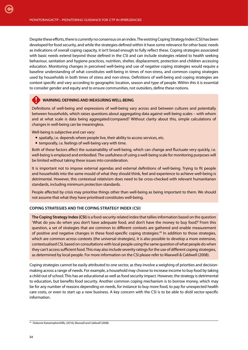Despite these efforts, there is currently no consensus on an index. The existing Coping Strategy Index (CSI) has been developed for food security, and while the strategies defined within it have some relevance for other basic needs as indications of overall coping capacity, it isn't broad enough to fully reflect these. Coping strategies associated with basic needs extend beyond those defined in the CSI and can include strategies related to health seeking behaviour, sanitation and hygiene practices, nutrition, shelter, displacement, protection and children accessing education. Monitoring changes in perceived well-being and use of negative coping strategies would require a baseline understanding of what constitutes well-being in times of non-stress, and common coping strategies used by households in both times of stress and non-stress. Definitions of well-being and coping strategies are context specific and vary according to geographic location, season and type of people. Within this it is essential to consider gender and equity and to ensure communities, not outsiders, define these notions.

### **WARNING: DEFINING AND MEASURING WELL-BEING**

Definitions of well-being and expressions of well-being vary across and between cultures and potentially between households, which raises questions about aggregating data against well-being scales – with whom and at what scale is data being aggregated/compared? Without clarity about this, simple calculations of changes in well-being can be meaningless.

Well-being is subjective and can vary:

- spatially, i.e. depends where people live, their ability to access services, etc.
- temporally, i.e. feelings of well-being vary with time.

Both of these factors affect the sustainability of well-being, which can change and fluctuate very quickly, i.e. well-being is emplaced and embodied. The usefulness of using a well-being scale for monitoring purposes will be limited without taking these issues into consideration.

It is important not to impose external agendas and external definitions of well-being. Trying to fit people and households into the same mould of what they should think, feel and experience to achieve well-being is detrimental. However, this contextual relativism does need to be cross-checked with relevant humanitarian standards, including minimum protection standards.

People affected by crisis may prioritise things other than well-being as being important to them. We should not assume that what they have prioritised constitutes well-being.

#### **COPING STRATEGIES AND THE COPING STRATEGY INDEX (CSI)**

**The Coping Strategy Index (CSI)** is a food-security related index that tallies information based on the question 'What do you do when you don't have adequate food, and don't have the money to buy food?' From this question, a set of strategies that are common to different contexts are gathered and enable measurement of positive and negative changes in these food-specific coping strategies.49 In addition to those strategies, which are common across contexts (the universal strategies), it is also possible to develop a more extensive, contextualised CSI, based on consultations with local people using the same question of what people do when they can't access sufficient food. This may also include severity ratings for the use of different coping strategies, as determined by local people. For more information on the CSI please refer to Maxwell & Caldwell (2008).

Coping strategies cannot be easily attributed to one sector, as they involve a weighing of priorities and decisionmaking across a range of needs. For example, a household may choose to increase income to buy food by taking a child out of school. This has an educational as well as food security impact. However, the strategy is detrimental to education, but benefits food security. Another common coping mechanism is to borrow money, which may be for any number of reasons depending on needs, for instance to buy more food, to pay for unexpected health care costs, or even to start up a new business. A key concern with the CSI is to be able to distil sector-specific information.

<sup>49</sup> Diakonie Katastrophenhilfe, (2016); Maxwell and Caldwell (2008).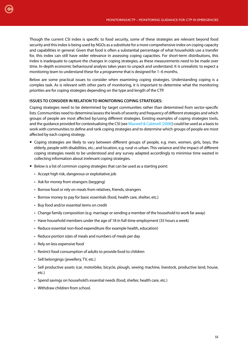Though the current CSI index is specific to food security, some of these strategies are relevant beyond food security and this index is being used by NGOs as a substitute for a more comprehensive index on coping capacity and capabilities in general. Given that food is often a substantial percentage of what households use a transfer for, this index can still have wider relevance in assessing coping capacities. For short-term distributions, this index is inadequate to capture the changes in coping strategies, as these measurements need to be made over time. In-depth economic behavioural analysis takes years to unpack and understand. It is unrealistic to expect a monitoring team to understand these for a programme that is designed for 1–6 months.

Below are some practical issues to consider when examining coping strategies. Understanding coping is a complex task. As is relevant with other parts of monitoring, it is important to determine what the monitoring priorities are for coping strategies depending on the type and length of the CTP.

#### **ISSUES TO CONSIDER IN RELATION TO MONITORING COPING STRATEGIES:**

Coping strategies need to be determined by target communities rather than determined from sector-specific lists. Communities need to determine/assess the levels of severity and frequency of different strategies and which groups of people are most affected by/using different strategies. Existing examples of coping strategies tools, and the guidance provided for contextualising the CSI (see [Maxwell & Caldwell \(2008\)\)](http://documents.wfp.org/stellent/groups/public/documents/manual_guide_proced/wfp211058.pdf) could be used as a basis to work with communities to define and rank coping strategies and to determine which groups of people are most affected by each coping strategy.

- Coping strategies are likely to vary between different groups of people, e.g. men, women, girls, boys, the elderly, people with disabilities, etc.; and location, e.g. rural vs urban. This variance and the impact of different coping strategies needs to be understood and any survey adapted accordingly to minimise time wasted in collecting information about irrelevant coping strategies.
- Below is a list of common coping strategies that can be used as a starting point:
	- Accept high risk, dangerous or exploitative job
	- Ask for money from strangers (begging)

[C](#page-4-0)

- Borrow food or rely on meals from relatives, friends, strangers
- Borrow money to pay for basic essentials (food, health care, shelter, etc.)
- Buy food and/or essential items on credit
- Change family composition (e.g. marriage or sending a member of the household to work far away)
- Have household members under the age of 18 in full-time employment (35 hours a week)
- Reduce essential non-food expenditure (for example health, education)
- Reduce portion sizes of meals and numbers of meals per day
- Rely on less expensive food
- Restrict food consumption of adults to provide food to children
- Sell belongings (jewellery, TV, etc.)
- Sell productive assets (car, motorbike, bicycle, plough, sewing machine, livestock, productive land, house, etc.)
- Spend savings on household's essential needs (food, shelter, health care, etc.)
- Withdraw children from school.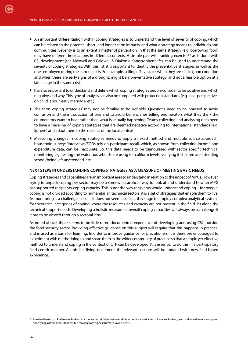- An important differentiation within coping strategies is to understand the level of severity of coping, which can be related to the potential short- and longer-term impacts, and what a strategy means to individuals and communities. Severity is to an extent a matter of perception, in that the same strategy (e.g. borrowing food) may have different implications in different contexts. A simple pair-wise ranking exercise,<sup>50</sup> as is done with CSI development (see Maxwell and Caldwell & Diakonie Katastrophenhilfe), can be used to understand the severity of coping strategies. With this list, it is important to identify the preventative strategies as well as the ones employed during the current crisis. For example, selling off livestock when they are still in good condition and when there are early signs of a drought, might be a preventative strategy, and not a feasible option at a later stage in the same crisis.
- It is also important to understand and define which coping strategies people consider to be positive and which negative, and why. This type of analysis can also be compared with protection standards (e.g. local perspectives on child labour, early marriage, etc.)
- The term 'coping strategies' may not be familiar to households. Questions need to be phrased to avoid confusion and the introduction of bias and to avoid beneficiaries telling enumerators what they think the enumerators want to hear rather than what is actually happening. Teams collecting and analysing data need to have a 'baseline' of coping strategies that are deemed negative according to international standards (e.g. Sphere) and adapt them to the realities of the local context.
- Measuring changes in coping strategies needs to apply a mixed method and multiple source approach. household surveys/interviews/FGDs rely on participant recall, which, as shown from collecting income and expenditure data, can be inaccurate. So, this data needs to be triangulated with sector specific technical monitoring e.g. testing the water households are using for coliform levels, verifying if children are attending school/being left unattended, etc.

#### **NEXT STEPS IN UNDERSTANDING COPING STRATEGIES AS A MEASURE OF MEETING BASIC NEEDS**

Coping strategies and capabilities are an important area to understand in relation to the impact of MPGs. However, trying to unpack coping per sector may be a somewhat artificial way to look at and understand how an MPG has supported recipients' coping capacity. This is not the way recipients would understand coping – for people, coping is not divided according to humanitarian technical sectors, it is a set of strategies that enable them to live. As monitoring is a challenge in itself, it does not seem useful at this stage to employ complex analytical systems for theoretical categories of coping where the resources and capacity are not present in the field, let alone the technical support needs. Developing a holistic measure of overall coping capacities will always be a challenge if it has to be viewed through a sectoral lens.

As noted above, there seems to be little or no documented experience of developing and using CSIs outside the food security sector. Providing effective guidance on this subject will require that this happens in practice, and is used as a basis for learning. In order to improve guidance for practitioners, it is therefore encouraged to experiment with methodologies and share them in the wider community of practice so that a simple yet effective method to understand coping in the context of CTP can be developed. It is essential to do this in a participatory field-centric manner. As this is a 'living' document, the relevant sections will be updated with new field based experience.

<sup>&</sup>lt;sup>50</sup> Pairwise Ranking or Preference Ranking is a tool to set priorities between different options available. In Pairwise Ranking, each individual item is compared directly against the others to identify a ranking from highest (best) to lowest (least).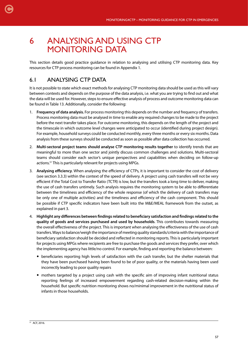# 6 ANALYSING AND USING CTP MONITORING DATA

This section details good practice guidance in relation to analysing and utilising CTP monitoring data. Key resources for CTP process monitoring can be found in Appendix 1.

# 6.1 ANALYSING CTP DATA

[C](#page-4-0)

It is not possible to state which exact methods for analysing CTP monitoring data should be used as this will vary between contexts and depends on the purpose of the data analysis, i.e. what you are trying to find out and what the data will be used for. However, steps to ensure effective analysis of process and outcome monitoring data can be found in Table 13. Additionally, consider the following:

- 1. **Frequency of data analysis.** For process monitoring this depends on the number and frequency of transfers. Process monitoring data must be analysed in time to enable any required changes to be made to the project before the next transfer takes place. For outcome monitoring, this depends on the length of the project and the timescale in which outcome level changes were anticipated to occur (identified during project design). For example, household surveys could be conducted monthly, every three months or every six months. Data analysis from these surveys should be conducted as soon as possible after data collection has occurred.
- 2. **Multi-sectoral project teams should analyse CTP monitoring results together** to identify trends that are meaningful to more than one sector and jointly discuss common challenges and solutions. Multi-sectoral teams should consider each sector's unique perspectives and capabilities when deciding on follow-up actions.51 This is particularly relevant for projects using MPGs.
- 3. **Analysing efficiency**. When analysing the efficiency of CTPs, it is important to consider the cost of delivery (see section 3.3.3) within the context of the speed of delivery. A project using cash transfers will not be very efficient if the Total Cost to Transfer Ratio (TCTR) is low, but the transfers took a long time to deliver, making the use of cash transfers untimely. Such analysis requires the monitoring system to be able to differentiate between the timeliness and efficiency of the whole response (of which the delivery of cash transfers may be only one of multiple activities) and the timeliness and efficiency of the cash component. This should be possible if CTP specific indicators have been built into the M&E/MEAL framework from the outset, as explained in part 3.
- 4. **Highlight any differences between findings related to beneficiary satisfaction and findings related to the quality of goods and services purchased and used by households**. This contributes towards measuring the overall effectiveness of the project. This is important when analysing the effectiveness of the use of cash transfers. Ways to balance/weigh the importance of meeting quality standards/criteria with the importance of beneficiary satisfaction should be decided and reflected in monitoring reports. This is particularly important for projects using MPGs where recipients are free to purchase the goods and services they prefer, over which the implementing agency has little/no control. For example, finding and reporting the balance between:
	- beneficiaries reporting high levels of satisfaction with the cash transfer, but the shelter materials that they have been purchased having been found to be of poor quality, or the materials having been used incorrectly leading to poor quality repairs
	- mothers targeted by a project using cash with the specific aim of improving infant nutritional status reporting feelings of increased empowerment regarding cash-related decision-making within the household. But specific nutrition monitoring shows no/minimal improvement in the nutritional status of infants in those households.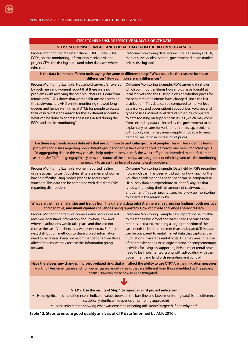#### **STEPS TO HELP ENSURE EFFECTIVE ANALYSIS OF CTP DATA**

#### **STEP 1: SCRUTINISE, COMPARE AND COLLATE DATA FROM THE DIFFERENT DATA SETS**

Process monitoring data sets include: PDM Survey, PDM FGDs, on-site monitoring, information received via the project CFM, the risk log table (and other data sets where relevant). Outcome monitoring data sets include: HH surveys, FGDs, market surveys, observation, government data on market prices, risk log table. **Is the data from the different tools saying the same or different things? What could be the reasons for these differences? How common are any differences?** Process Monitoring Example: Household surveys (answered by both men and women) report that there were no problems with receiving the cash/vouchers, BUT data from female only FGDs shows that women felt unsafe accessing the cash/vouchers AND on-site monitoring showed long queues and hence wait times at ATMs for people to access their cash. What is the reason for these different accounts? What can be done to address the issues raised during the FGDs and on-site monitoring? Outcome Monitoring Example: PDM survey data shows which commodities/items households have bought at local markets and the HHs' opinions on whether prices for these commodities/items have changed (since the last distribution). This data can be compared to market level data (survey and observation) about prices, volumes and types of sales. Market level data can then be compared to data focusing on supply chain issues (which may come from secondary data collected by the government) to help explain any reasons for variations in price, e.g. problems with supply chains may mean supply is not able to meet demand, resulting in increasing of prices. **Are there any trends across data sets that are common to particular groups of people?** This will help identify trends, problems and issues regarding how different groups of people have experienced, perceived and been impacted by CTP. Disaggregating data in this way can also help project teams identify the worst-off groups intended to benefit from the cash transfer (defined geographically or by the nature of the inequity, such as gender or ethnicity) and use the monitoring framework to assess their level of access to cash/vouchers. Process Monitoring Example: women reported feeling unsafe accessing cash/vouchers; illiterate men and women having difficulty using mobile phone to access cash/ vouchers. This data can be compared with data from FSPs regarding distribution. Outcome Monitoring Example: Data held by FSPs regarding how much cash has been withdrawn or how much of the voucher entitlement has been spent can be compared to HH survey data on expenditure to identify any HH that is not withdrawing their full amount of cash/voucher entitlement. This can prompt specific follow up monitoring to ascertain the reasons why. **What are the main similarities and trends from the different data sets? Are there any surprising findings (both positive and negative) and unanticipated challenges being reported? How can these challenges be addressed?** Process Monitoring Example: Some elderly people did not receive/understand information about when, how and where distributions would take place and thus did not receive the cash/vouchers they were entitled to. Before the next distribution, methods to share project information need to be revised based on recommendations from those affected to ensure they receive this information going forward. Outcome Monitoring Example: HHs report not being able to meet their basic food and water needs because their rent has increased, meaning a larger proportion of the cash needs to be spent on rent than anticipated. This data can be compared to rental market data that captures the fluctuations in average rental costs. This may mean the size of the transfer needs to be adjusted and/or complementary activities focusing on supporting HHs to meet rental costs need to be implemented, along with advocating with the government and landlords regarding rent control. **Have there been any changes in project-related risks that will affect the ability to use CTP?** Are the mitigation measures working? Are beneficiaries and non-beneficiaries reporting risks that are different from those identified by the project team? How can these new risks be mitigated?

#### **STEP 2: Use the results of Step 1 to report against project indicators**

How significant is the difference in indicator values between the baseline and latest monitoring data? Is the difference

statistically significant (depends on sampling approach)?

Is the information showing what was expected (meeting milestones/targets?) If not, why not?

**Table 13: Steps to ensure good quality analysis of CTP data (informed by ACF, 2016).**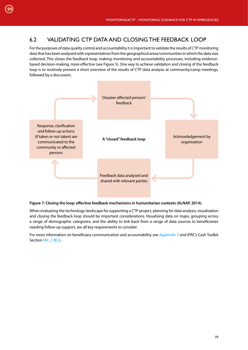# 6.2 VALIDATING CTP DATA AND CLOSING THE FEEDBACK LOOP

[C](#page-4-0)

For the purposes of data quality control and accountability it is important to validate the results of CTP monitoring data that has been analysed with representatives from the geographical areas/communities in which the data was collected. This closes the feedback loop, making monitoring and accountability processes, including evidencebased decision-making, more effective (see Figure 5). One way to achieve validation and closing of the feedback loop is to routinely present a short overview of the results of CTP data analysis at community/camp meetings, followed by a discussion.



#### **Figure 7: Closing the loop: effective feedback mechanisms in humanitarian contexts (ALNAP, 2014).**

When evaluating the technology landscape for supporting a CTP project, planning for data analysis, visualisation and closing the feedback loop should be important considerations. Visualising data on maps, grouping across a range of demographic categories, and the ability to link back from a range of data sources to beneficiaries needing follow-up support, are all key requirements to consider.

For more information on beneficiary communication and accountability see [Appendix 3](#page-73-0) and IFRC's Cash Toolkit Section [M4\\_2 BCA](http://rcmcash.org/toolkit/).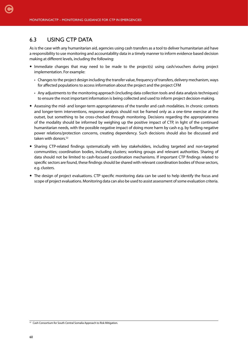## 6.3 USING CTP DATA

[C](#page-4-0)

As is the case with any humanitarian aid, agencies using cash transfers as a tool to deliver humanitarian aid have a responsibility to use monitoring and accountability data in a timely manner to inform evidence based decision making at different levels, including the following:

- Immediate changes that may need to be made to the project(s) using cash/vouchers during project implementation. For example:
	- Changes to the project design including the transfer value, frequency of transfers, delivery mechanism, ways for affected populations to access information about the project and the project CFM
	- Any adjustments to the monitoring approach (including data collection tools and data analysis techniques) to ensure the most important information is being collected and used to inform project decision-making.
- Assessing the mid- and longer-term appropriateness of the transfer and cash modalities. In chronic contexts and longer-term interventions, response analysis should not be framed only as a one-time exercise at the outset, but something to be cross-checked through monitoring. Decisions regarding the appropriateness of the modality should be informed by weighing up the positive impact of CTP, in light of the continued humanitarian needs, with the possible negative impact of doing more harm by cash e.g. by fuelling negative power relations/protection concerns, creating dependency. Such decisions should also be discussed and taken with donors.<sup>52</sup>
- Sharing CTP-related findings systematically with key stakeholders, including targeted and non-targeted communities; coordination bodies, including clusters; working groups and relevant authorities. Sharing of data should not be limited to cash-focused coordination mechanisms. If important CTP findings related to specific sectors are found, these findings should be shared with relevant coordination bodies of those sectors, e.g. clusters.
- The design of project evaluations. CTP specific monitoring data can be used to help identify the focus and scope of project evaluations. Monitoring data can also be used to assist assessment of some evaluation criteria.

<sup>&</sup>lt;sup>52</sup> Cash Consortium for South Central Somalia Approach to Risk Mitigation.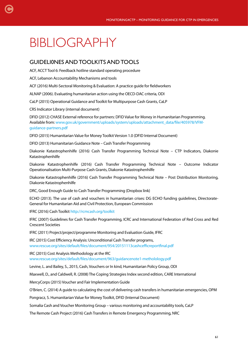# BIBLIOGRAPHY

[C](#page-4-0)

# GUIDELI0NES AND TOOLKITS AND TOOLS

ACF, ACCT Tool 6: Feedback hotline standard operating procedure

ACF, Lebanon Accountability Mechanisms and tools

ACF (2016) Multi-Sectoral Monitoring & Evaluation: A practice guide for fieldworkers

ALNAP (2006). Evaluating humanitarian action using the OECD-DAC criteria, ODI

CaLP (2015) Operational Guidance and Toolkit for Multipurpose Cash Grants, CaLP

CRS Indicator Library (internal document)

DFID (2012) CHASE External reference for partners: DFID Value for Money in Humanitarian Programming. Available from: [www.gov.uk/government/uploads/system/uploads/attachment\\_data/file/405978/VFM](https://www.gov.uk/government/uploads/system/uploads/attachment_data/file/405978/VFM-guidance-partners.pdf)[guidance-partners.pdf](https://www.gov.uk/government/uploads/system/uploads/attachment_data/file/405978/VFM-guidance-partners.pdf)

DFID (2015) Humanitarian Value for Money Toolkit Version 1.0 (DFID Internal Document)

DFID (2013) Humanitarian Guidance Note – Cash Transfer Programming

Diakonie Katastrophenhilfe (2016) Cash Transfer Programming Technical Note – CTP Indicators, Diakonie Katastrophenhilfe

Diakonie Katastrophenhilfe (2016) Cash Transfer Programming Technical Note – Outcome Indicator Operationalisation Multi-Purpose Cash Grants, Diakonie Katastrophenhilfe

Diakonie Katastrophenhilfe (2016) Cash Transfer Programming Technical Note – Post Distribution Monitoring, Diakonie Katastrophenhilfe

DRC, Good Enough Guide to Cash Transfer Programming (Dropbox link)

ECHO (2013). The use of cash and vouchers in humanitarian crises: DG ECHO funding guidelines, Directorate-General for Humanitarian Aid and Civil Protection, European Commission

IFRC (2016) Cash Toolkit [http://rcmcash.org/toolkit](http://rcmcash.org/toolkit/)

IFRC (2007) Guidelines for Cash Transfer Programming, ICRC and International Federation of Red Cross and Red Crescent Societies

IFRC (2011) Project/project/programme Monitoring and Evaluation Guide, IFRC

IRC (2015) Cost Efficiency Analysis: Unconditional Cash Transfer programs, [www.rescue.org/sites/default/files/document/954/20151113cashcefficreportfinal.pdf](https://www.rescue.org/sites/default/files/document/954/20151113cashcefficreportfinal.pdf)

IRC (2015) Cost Analysis Methodology at the IRC

[www.rescue.org/sites/default/files/document/963/guidancenote1-metholology.pdf](https://www.rescue.org/sites/default/files/document/963/guidancenote1-metholology.pdf)

Levine, L. and Bailey, S., 2015, Cash, Vouchers or In kind, Humanitarian Policy Group, ODI

Maxwell, D., and Caldwell, R. (2008) The Coping Strategies Index second edition, CARE International

MercyCorps (2015) Voucher and Fair Implementation Guide

O'Brien, C. (2014) A guide to calculating the cost of delivering cash transfers in humanitarian emergencies, OPM

Pongracz, S. Humanitarian Value for Money Toolkit, DFID (Internal Document)

Somalia Cash and Voucher Monitoring Group – various monitoring and accountability tools, CaLP

The Remote Cash Project (2016) Cash Transfers in Remote Emergency Programming, NRC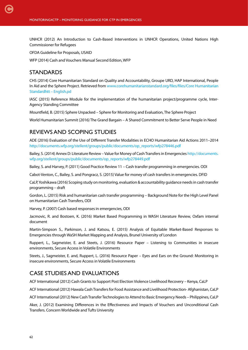UNHCR (2012) An Introduction to Cash-Based Interventions in UNHCR Operations, United Nations High Commissioner for Refugees

OFDA Guideline for Proposals, USAID

WFP (2014) Cash and Vouchers Manual Second Edition, WFP

## **STANDARDS**

CHS (2014) Core Humanitarian Standard on Quality and Accountability, Groupe URD, HAP International, People In Aid and the Sphere Project. Retrieved from [www.corehumanitarianstandard.org/files/files/Core Humanitarian](http://www.corehumanitarianstandard.org/files/files/Core Humanitarian Standardhtt – English.pd ) [Standardhtt – English.pd](http://www.corehumanitarianstandard.org/files/files/Core Humanitarian Standardhtt – English.pd ) 

IASC (2015) Reference Module for the implementation of the humanitarian project/programme cycle, Inter-Agency Standing Committee

Mountfield, B. (2015) Sphere Unpacked – Sphere for Monitoring and Evaluation, The Sphere Project

World Humanitarian Summit (2016) The Grand Bargain – A Shared Commitment to Better Serve People in Need

# REVIEWS AND SCOPING STUDIES

ADE (2016) Evaluation of the Use of Different Transfer Modalities in ECHO Humanitarian Aid Actions 2011–2014 [http://documents.wfp.org/stellent/groups/public/documents/op\\_reports/wfp278446.pdf](http://documents.wfp.org/stellent/groups/public/documents/op_reports/wfp278446.pdf)

Bailey, S. (2014) Annex D: Literature Review – Value for Money of Cash Transfers in Emergencies [http://documents.](http://documents.wfp.org/stellent/groups/public/documents/op_reports/wfp278449.pdf) [wfp.org/stellent/groups/public/documents/op\\_reports/wfp278449.pdf](http://documents.wfp.org/stellent/groups/public/documents/op_reports/wfp278449.pdf)

Bailey, S. and Harvey, P. (2011) Good Practice Review 11 – Cash transfer programming in emergencies. ODI

Cabot-Venton, C., Bailey, S. and Pongracz, S. (2015) Value for money of cash transfers in emergencies. DFID

CaLP, Yoshikawa (2016) Scoping study on monitoring, evaluation & accountability guidance needs in cash transfer programming – draft

Gordon, L. (2015) Risk and humanitarian cash transfer programming – Background Note for the High Level Panel on Humanitarian Cash Transfers, ODI

Harvey, P. (2007) Cash based responses in emergencies, ODI

Jacmovic, R. and Bostoen, K. (2016) Market Based Programming in WASH Literature Review, Oxfam internal document

Martin-Simpson S., Parkinson, J. and Katsou, E. (2015) Analysis of Equitable Market-Based Responses to Emergencies through WaSH Market Mapping and Analysis, Brunel University of London

Ruppert, L., Sagmeister, E. and Steets, J. (2016) Resource Paper – Listening to Communities in insecure environments, Secure Access in Volatile Environments

Steets, J., Sagmeister, E. and, Ruppert, L. (2016) Resource Paper – Eyes and Ears on the Ground: Monitoring in insecure environments, Secure Access in Volatile Environments

# CASE STUDIES AND EVALUATIONS

ACF International (2012) Cash Grants to Support Post Election Violence Livelihood Recovery – Kenya, CaLP

ACF International (2012) Hawala Cash Transfers for Food Assistance and Livelihood Protection- Afghanistan, CaLP

ACF International (2012) New Cash Transfer Technologies to Attend to Basic Emergency Needs – Philippines, CaLP

Aker, J. (2012) Examining Differences in the Effectiveness and Impacts of Vouchers and Unconditional Cash Transfers. Concern Worldwide and Tufts University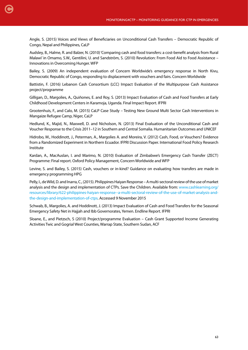Angle, S. (2015) Voices and Views of Beneficiaries on Unconditional Cash Transfers – Democratic Republic of Congo, Nepal and Philippines, CaLP

Audsley, B., Halme, R. and Balzer, N. (2010) 'Comparing cash and food transfers: a cost-benefit analysis from Rural Malawi' in Omamo, S.W., Gentilini, U. and Sandström, S. (2010) Revolution: From Food Aid to Food Assistance – Innovations in Overcoming Hunger. WFP

Bailey, S. (2009) An independent evaluation of Concern Worldwide's emergency response in North Kivu, Democratic Republic of Congo, responding to displacement with vouchers and fairs. Concern Worldwide

Battistin, F. (2016) Lebanon Cash Consortium (LCC) Impact Evaluation of the Multipurpose Cash Assistance project/programme

Gilligan, D., Margolies, A., Quiñones, E. and Roy, S. (2013) Impact Evaluation of Cash and Food Transfers at Early Childhood Development Centers in Karamoja, Uganda. Final Impact Report. IFPRI

Grootenhuis, F., and Calo, M. (2015) CaLP Case Study – Testing New Ground Multi Sector Cash Interventions in Mangaize Refugee Camp, Niger, CaLP

Hedlund, K., Majid, N., Maxwell, D. and Nicholson, N. (2013) Final Evaluation of the Unconditional Cash and Voucher Response to the Crisis 2011–12 in Southern and Central Somalia. Humanitarian Outcomes and UNICEF

Hidrobo, M., Hoddinott, J., Peterman, A., Margolies A. and Moreira, V. (2012) Cash, Food, or Vouchers? Evidence from a Randomized Experiment in Northern Ecuador. IFPRI Discussion Paper. International Food Policy Research Institute

Kardan, A., MacAuslan, I. and Marimo, N. (2010) Evaluation of Zimbabwe's Emergency Cash Transfer (ZECT) Programme: Final report. Oxford Policy Management, Concern Worldwide and WFP

Levine, S. and Bailey, S. (2015) Cash, vouchers or in-kind? Guidance on evaluating how transfers are made in emergency programming HPG

Pelly, I., de Wild, D. and Inarra, C., (2015). Philippines Haiyan Response – A multi-sectoral review of the use of market analysis and the design and implementation of CTPs. Save the Children. Available from: [www.cashlearning.org/](http://www.cashlearning.org/resources/library/622-philippines-haiyan-response--a-multi-sectoral-review-of-the-use-of-market-analysis-and-the-design-and-implementation-of-ctps) [resources/library/622-philippines-haiyan-response--a-multi-sectoral-review-of-the-use-of-market-analysis-and](http://www.cashlearning.org/resources/library/622-philippines-haiyan-response--a-multi-sectoral-review-of-the-use-of-market-analysis-and-the-design-and-implementation-of-ctps)[the-design-and-implementation-of-ctps](http://www.cashlearning.org/resources/library/622-philippines-haiyan-response--a-multi-sectoral-review-of-the-use-of-market-analysis-and-the-design-and-implementation-of-ctps). Accessed 9 November 2015

Schwab, B., Margolies, A. and Hoddinott, J. (2013) Impact Evaluation of Cash and Food Transfers for the Seasonal Emergency Safety Net in Hajjah and Ibb Governorates, Yemen. Endline Report. IFPRI

Sloane, E., and Pietzsch, S (2010) Project/programme Evaluation – Cash Grant Supported Income Generating Activities Twic and Gogrial West Counties, Warrap State, Southern Sudan, ACF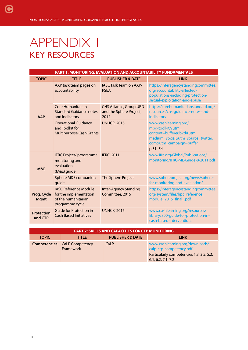# APPENDIX 1 KEY RESOURCES

[C](#page-4-0)

| <b>PART 1: MONITORING, EVALUATION AND ACCOUNTABILITY FUNDAMENTALS</b> |                                                                                                  |                                                                   |                                                                                                                                                   |  |  |
|-----------------------------------------------------------------------|--------------------------------------------------------------------------------------------------|-------------------------------------------------------------------|---------------------------------------------------------------------------------------------------------------------------------------------------|--|--|
| <b>TOPIC</b>                                                          | <b>TITLE</b>                                                                                     | <b>PUBLISHER &amp; DATE</b>                                       | <b>LINK</b>                                                                                                                                       |  |  |
|                                                                       | AAP task team pages on<br>accountability                                                         | <b>IASC Task Team on AAP/</b><br><b>PSEA</b>                      | https://interagencystandingcommittee.<br>org/accountability-affected-<br>populations-including-protection-<br>sexual-exploitation-and-abuse       |  |  |
| <b>AAP</b>                                                            | Core Humanitarian<br><b>Standard Guidance notes</b><br>and indicators                            | <b>CHS Alliance, Group URD</b><br>and the Sphere Project,<br>2014 | https://corehumanitarianstandard.org/<br>resources/chs-guidance-notes-and-<br>indicators                                                          |  |  |
|                                                                       | <b>Operational Guidance</b><br>and Toolkit for<br><b>Multipurpose Cash Grants</b>                | <b>UNHCR, 2015</b>                                                | www.cashlearning.org/<br>mpg-toolkit/?utm_<br>content=buffere6b2d&utm_<br>medium=social&utm_source=twitter.<br>com&utm_campaign=buffer<br>p 51-54 |  |  |
| <b>M&amp;E</b>                                                        | <b>IFRC Project/programme</b><br>monitoring and<br>evaluation<br>(M&E) guide                     | <b>IFRC, 2011</b>                                                 | www.ifrc.org/Global/Publications/<br>monitoring/IFRC-ME-Guide-8-2011.pdf                                                                          |  |  |
|                                                                       | Sphere M&E companion<br>quide                                                                    | The Sphere Project                                                | www.sphereproject.org/news/sphere-<br>for-monitoring-and-evaluation/                                                                              |  |  |
| Prog. Cycle<br><b>Mgmt</b>                                            | <b>IASC Reference Module</b><br>for the implementation<br>of the humanitarian<br>programme cycle | <b>Inter-Agency Standing</b><br>Committee, 2015                   | https://interagencystandingcommittee.<br>org/system/files/hpc_reference_<br>module_2015_final_.pdf                                                |  |  |
| <b>Protection</b><br>and CTP                                          | <b>Guide for Protection in</b><br><b>Cash Based Initiatives</b>                                  | <b>UNHCR, 2015</b>                                                | www.cashlearning.org/resources/<br>library/800-guide-for-protection-in-<br>cash-based-interventions                                               |  |  |

| <b>PART 2: SKILLS AND CAPACITIES FOR CTP MONITORING</b> |                                     |                             |                                                                |  |
|---------------------------------------------------------|-------------------------------------|-----------------------------|----------------------------------------------------------------|--|
| <b>TOPIC</b>                                            | <b>TITLE</b>                        | <b>PUBLISHER &amp; DATE</b> | <b>LINK</b>                                                    |  |
| <b>Competencies</b>                                     | <b>CaLP Competency</b><br>Framework | CaLP                        | www.cashlearning.org/downloads/<br>calp-ctp-competency.pdf     |  |
|                                                         |                                     |                             | Particularly competencies 1.3, 3.5, 5.2,<br>6.1, 6.2, 7.1, 7.2 |  |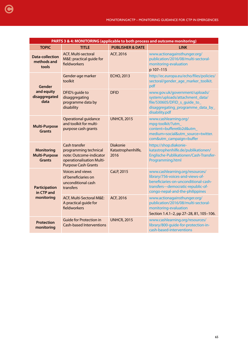| PARTS 3 & 4: MONITORING (applicable to both process and outcome monitoring) |                                                                                                                              |                                               |                                                                                                                                                                                       |  |
|-----------------------------------------------------------------------------|------------------------------------------------------------------------------------------------------------------------------|-----------------------------------------------|---------------------------------------------------------------------------------------------------------------------------------------------------------------------------------------|--|
| <b>TOPIC</b>                                                                | <b>TITLE</b>                                                                                                                 | <b>PUBLISHER &amp; DATE</b>                   | <b>LINK</b>                                                                                                                                                                           |  |
| <b>Data-collection</b><br>methods and<br>tools                              | <b>ACF, Multi-sectoral</b><br>M&E: practical guide for<br>fieldworkers                                                       | ACF, 2016                                     | www.actionagainsthunger.org/<br>publication/2016/08/multi-sectoral-<br>monitoring-evaluation<br>p 107-115                                                                             |  |
| Gender                                                                      | Gender-age marker<br>toolkit                                                                                                 | <b>ECHO, 2013</b>                             | http://ec.europa.eu/echo/files/policies/<br>sectoral/gender_age_marker_toolkit.<br>pdf                                                                                                |  |
| and equity<br>disaggregated<br>data                                         | DFID's guide to<br>disaggregating<br>programme data by<br>disability                                                         | <b>DFID</b>                                   | www.gov.uk/government/uploads/<br>system/uploads/attachment_data/<br>file/530605/DFID_s_guide_to_<br>disaggregating_programme_data_by_<br>disability.pdf                              |  |
| <b>Multi-Purpose</b><br><b>Grants</b>                                       | Operational guidance<br>and toolkit for multi-<br>purpose cash grants                                                        | <b>UNHCR, 2015</b>                            | www.cashlearning.org/<br>mpg-toolkit/?utm_<br>content=buffere6b2d&utm_<br>medium=social&utm_source=twitter.<br>com&utm_campaign=buffer                                                |  |
| <b>Monitoring</b><br><b>Multi-Purpose</b><br><b>Grants</b>                  | Cash transfer<br>programming technical<br>note: Outcome-indicator<br>operationalisation Multi-<br><b>Purpose Cash Grants</b> | <b>Diakonie</b><br>Katastrophenhilfe,<br>2016 | https://shop.diakonie-<br>katastrophenhilfe.de/publikationen/<br>Englische-Publikationen/Cash-Transfer-<br>Programming.html                                                           |  |
| <b>Participation</b><br>in CTP and                                          | <b>Voices and views</b><br>of beneficiaries on<br>unconditional cash<br>transfers                                            | CaLP, 2015                                    | www.cashlearning.org/resources/<br>library/756-voices-and-views-of-<br>beneficiaries-on-unconditional-cash-<br>transfers---democratic-republic-of-<br>congo-nepal-and-the-philippines |  |
| monitoring                                                                  | ACF, Multi-Sectoral M&E:<br>A practical guide for<br>fieldworkers                                                            | ACF, 2016                                     | www.actionagainsthunger.org/<br>publication/2016/08/multi-sectoral-<br>monitoring-evaluation<br>Section 1.4.1-2, pp 27-28, 81, 105-106.                                               |  |
| <b>Protection</b><br>monitoring                                             | <b>Guide for Protection in</b><br><b>Cash-based Interventions</b>                                                            | <b>UNHCR, 2015</b>                            | www.cashlearning.org/resources/<br>library/800-quide-for-protection-in-<br>cash-based-interventions                                                                                   |  |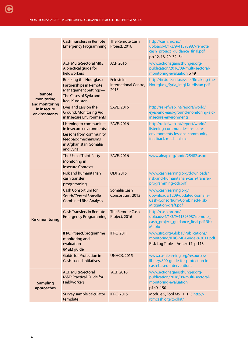| Remote<br>monitoring                          | <b>Cash Transfers in Remote</b><br><b>Emergency Programming</b>                                                                                 | The Remote Cash<br>Project, 2016           | http://cash.nrc.no/<br>uploads/4/1/3/9/41393987/remote_<br>cash_project_quidance_final.pdf<br>pp 12, 18, 29, 32-34              |
|-----------------------------------------------|-------------------------------------------------------------------------------------------------------------------------------------------------|--------------------------------------------|---------------------------------------------------------------------------------------------------------------------------------|
|                                               | ACF, Multi-Sectoral M&E:<br>A practical guide for<br>fieldworkers                                                                               | ACF, 2016                                  | www.actionagainsthunger.org/<br>publication/2016/08/multi-sectoral-<br>monitoring-evaluation p 49                               |
|                                               | <b>Breaking the Hourglass:</b><br><b>Partnerships in Remote</b><br><b>Management Settings-</b><br>The Cases of Syria and<br>Iraqi Kurdistan     | Feinstein<br>International Centre,<br>2015 | http://fic.tufts.edu/assets/Breaking-the-<br>Hourglass_Syria_Iraqi-Kurdistan.pdf                                                |
| and monitoring<br>in insecure<br>environments | Eyes and Ears on the<br><b>Ground: Monitoring Aid</b><br>in Insecure Environments                                                               | <b>SAVE, 2016</b>                          | http://reliefweb.int/report/world/<br>eyes-and-ears-ground-monitoring-aid-<br>insecure-environments                             |
|                                               | Listening to communities<br>in insecure environments:<br>Lessons from community<br>feedback mechanisms<br>in Afghanistan, Somalia,<br>and Syria | <b>SAVE, 2016</b>                          | http://reliefweb.int/report/world/<br>listening-communities-insecure-<br>environments-lessons-community-<br>feedback-mechanisms |
|                                               | The Use of Third-Party<br>Monitoring in<br><b>Insecure Contexts</b>                                                                             | <b>SAVE, 2016</b>                          | www.alnap.org/node/25482.aspx                                                                                                   |
|                                               | <b>Risk and humanitarian</b><br>cash transfer<br>programming                                                                                    | ODI, 2015                                  | www.cashlearning.org/downloads/<br>risk-and-humanitarian-cash-transfer-<br>programming-odi.pdf                                  |
|                                               | <b>Cash Consortium for</b><br>South/Central Somalia<br><b>Combined Risk Analysis</b>                                                            | Somalia Cash<br>Consortium, 2012           | www.cashlearning.org/<br>downloads/1209-updated-Somalia-<br>Cash-Consortium-Combined-Risk-<br>Mitigation-draft.pdf              |
| <b>Risk monitoring</b>                        | <b>Cash Transfers in Remote</b><br><b>Emergency Programming</b>                                                                                 | <b>The Remote Cash</b><br>Project, 2016    | http://cash.nrc.no/<br>uploads/4/1/3/9/41393987/remote_<br>cash_project_guidance_final.pdf Risk<br><b>Matrix</b>                |
|                                               | <b>IFRC Project/programme</b><br>monitoring and<br>evaluation<br>(M&E) guide                                                                    | <b>IFRC, 2011</b>                          | www.ifrc.org/Global/Publications/<br>monitoring/IFRC-ME-Guide-8-2011.pdf<br>Risk Log Table - Annex 17, p 113                    |
|                                               | <b>Guide for Protection in</b><br><b>Cash-based Initiatives</b>                                                                                 | <b>UNHCR, 2015</b>                         | www.cashlearning.org/resources/<br>library/800-guide-for-protection-in-<br>cash-based-interventions                             |
| <b>Sampling</b><br>approaches                 | ACF, Multi-Sectoral<br><b>M&amp;E: Practical Guide for</b><br><b>Fieldworkers</b>                                                               | ACF, 2016                                  | www.actionagainsthunger.org/<br>publication/2016/08/multi-sectoral-<br>monitoring-evaluation<br>p149-150                        |
|                                               | Survey sample calculator<br>template                                                                                                            | <b>IFRC, 2015</b>                          | Module 5, Tool M5_1_1_5 http://<br>rcmcash.org/toolkit/                                                                         |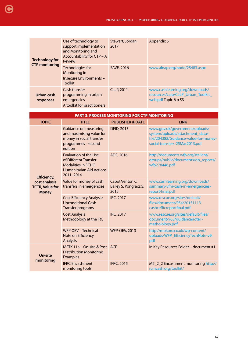| <b>Technology for</b><br><b>CTP monitoring</b> | Use of technology to<br>support implementation<br>and Monitoring and<br>Accountability for CTP - A | Stewart, Jordan,<br>2017 | Appendix 5                                                                                    |
|------------------------------------------------|----------------------------------------------------------------------------------------------------|--------------------------|-----------------------------------------------------------------------------------------------|
|                                                | Review<br>Technologies for<br>Monitoring in<br>Insecure Environments -<br><b>Toolkit</b>           | SAVE, 2016               | www.alnap.org/node/25483.aspx                                                                 |
| Urban cash<br>responses                        | Cash transfer<br>programming in urban<br>emergencies<br>A toolkit for practitioners                | CaLP, 2011               | www.cashlearning.org/downloads/<br>resources/calp/CaLP_Urban_Toolkit_<br>web.pdf Topic 6 p 53 |

| <b>PART 3: PROCESS MONITORING FOR CTP MONITORING</b>                                                                                |                                                  |                                                                                                                                              |  |
|-------------------------------------------------------------------------------------------------------------------------------------|--------------------------------------------------|----------------------------------------------------------------------------------------------------------------------------------------------|--|
| <b>TITLE</b>                                                                                                                        | <b>PUBLISHER &amp; DATE</b>                      | <b>LINK</b>                                                                                                                                  |  |
| <b>Guidance on measuring</b><br>and maximising value for<br>money in social transfer<br>programmes-second<br>edition                | <b>DFID, 2013</b>                                | www.gov.uk/government/uploads/<br>system/uploads/attachment_data/<br>file/204382/Guidance-value-for-money-<br>social-transfers-25Mar2013.pdf |  |
| <b>Evaluation of the Use</b><br>of Different Transfer<br><b>Modalities in ECHO</b><br><b>Humanitarian Aid Actions</b><br>2011-2014. | ADE, 2016                                        | http://documents.wfp.org/stellent/<br>groups/public/documents/op_reports/<br>wfp278446.pdf                                                   |  |
| Value for money of cash<br>transfers in emergencies                                                                                 | Cabot Venton C,<br>Bailey S, Pongracz S,<br>2015 | www.cashlearning.org/downloads/<br>summary-vfm-cash-in-emergencies-<br>report-final.pdf                                                      |  |
| <b>Cost Efficiency Analysis:</b><br><b>Unconditional Cash</b><br><b>Transfer programs</b>                                           | IRC, 2017                                        | www.rescue.org/sites/default/<br>files/document/954/20151113<br>cashcefficreportfinal.pdf                                                    |  |
| <b>Cost Analysis</b><br>Methodology at the IRC                                                                                      | <b>IRC, 2017</b>                                 | www.rescue.org/sites/default/files/<br>document/963/guidancenote1-<br>metholology.pdf                                                        |  |
| <b>WFP OEV - Technical</b><br>Note on Efficiency<br><b>Analysis</b>                                                                 | <b>WFP-OEV, 2013</b>                             | http://mokoro.co.uk/wp-content/<br>uploads/WFP_EfficiencyTechNote-v9.<br>pdf                                                                 |  |
| <b>Distribution Monitoring</b><br><b>Examples</b>                                                                                   |                                                  | In Key Resources Folder - document #1                                                                                                        |  |
| <b>IFRC Encashment</b><br>monitoring tools                                                                                          | <b>IFRC, 2015</b>                                | M5_2_2 Encashment monitoring http://<br>rcmcash.org/toolkit/                                                                                 |  |
|                                                                                                                                     |                                                  | MSTK 11a - On-site & Post ACF                                                                                                                |  |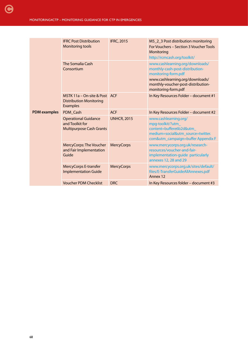|                     | <b>IFRC Post Distribution</b><br><b>Monitoring tools</b>                          | <b>IFRC, 2015</b>  | M5_2_3 Post distribution monitoring<br>For Vouchers - Section 3 Voucher Tools<br>Monitoring<br>http://rcmcash.org/toolkit/                                                                |
|---------------------|-----------------------------------------------------------------------------------|--------------------|-------------------------------------------------------------------------------------------------------------------------------------------------------------------------------------------|
|                     | The Somalia Cash<br>Consortium                                                    |                    | www.cashlearning.org/downloads/<br>monthly-cash-post-distribution-<br>monitoring-form.pdf<br>www.cashlearning.org/downloads/<br>monthly-voucher-post-distribution-<br>monitoring-form.pdf |
|                     | MSTK 11a - On-site & Post<br><b>Distribution Monitoring</b><br><b>Examples</b>    | <b>ACF</b>         | In Key Resources Folder - document #1                                                                                                                                                     |
| <b>PDM</b> examples | PDM Cash                                                                          | <b>ACF</b>         | In Key Resources Folder - document #2                                                                                                                                                     |
|                     | <b>Operational Guidance</b><br>and Toolkit for<br><b>Multipurpose Cash Grants</b> | <b>UNHCR, 2015</b> | www.cashlearning.org/<br>mpg-toolkit/?utm_<br>content=buffere6b2d&utm_<br>medium=social&utm_source=twitter.<br>com&utm_campaign=buffer Appendix F                                         |
|                     | MercyCorps: The Voucher<br>and Fair Implementation<br>Guide                       | <b>MercyCorps</b>  | www.mercycorps.org.uk/research-<br>resources/voucher-and-fair-<br>implementation-guide particularly<br>annexes 12, 28 and 29                                                              |
|                     | <b>MercyCorps E-transfer</b><br><b>Implementation Guide</b>                       | <b>MercyCorps</b>  | www.mercycorps.org.uk/sites/default/<br>files/E-TransferGuideAllAnnexes.pdf<br>Annex 12                                                                                                   |
|                     | <b>Voucher PDM Checklist</b>                                                      | DRC.               | In Key Resources folder - document #3                                                                                                                                                     |
|                     |                                                                                   |                    |                                                                                                                                                                                           |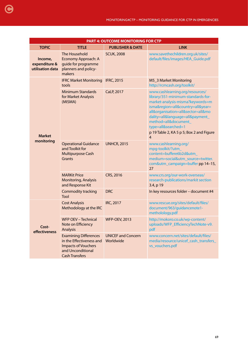| <b>PART 4: OUTCOME MONITORING FOR CTP</b>    |                                                                                                                                      |                                        |                                                                                                                                                                                                                                                                                                                                      |
|----------------------------------------------|--------------------------------------------------------------------------------------------------------------------------------------|----------------------------------------|--------------------------------------------------------------------------------------------------------------------------------------------------------------------------------------------------------------------------------------------------------------------------------------------------------------------------------------|
| <b>TOPIC</b>                                 | <b>TITLE</b>                                                                                                                         | <b>PUBLISHER &amp; DATE</b>            | <b>LINK</b>                                                                                                                                                                                                                                                                                                                          |
| Income,<br>expenditure &<br>utilisation data | The Household<br>Economy Approach: A<br>quide for programme<br>planners and policy-<br>makers                                        | <b>SCUK, 2008</b>                      | www.savethechildren.org.uk/sites/<br>default/files/images/HEA_Guide.pdf                                                                                                                                                                                                                                                              |
| <b>Market</b><br>monitoring                  | <b>IFRC Market Monitoring</b><br>tools                                                                                               | <b>IFRC, 2015</b>                      | M5_3 Market Monitoring<br>http://rcmcash.org/toolkit/                                                                                                                                                                                                                                                                                |
|                                              | <b>Minimum Standards</b><br>for Market Analysis<br>(MISMA)                                                                           | CaLP, 2017                             | www.cashlearning.org/resources/<br>library/351-minimum-standards-for-<br>market-analysis-misma?keywords=m<br>isma&region=all&country=all&year=<br>all&organisation=all&sector=all&mo<br>dality=all&language=all&payment_<br>method=all&document<br>type=all&searched=1<br>p 19 Table 2, KA 5 p 5; Box 2 and Figure<br>$\overline{4}$ |
|                                              | <b>Operational Guidance</b><br>and Toolkit for<br><b>Multipurpose Cash</b><br>Grants                                                 | <b>UNHCR, 2015</b>                     | www.cashlearning.org/<br>mpg-toolkit/?utm_<br>content=buffere6b2d&utm_<br>medium=social&utm_source=twitter.<br>com&utm_campaign=buffer pp 14-15,<br>27                                                                                                                                                                               |
|                                              | <b>MARKit Price</b><br>Monitoring, Analysis<br>and Response Kit                                                                      | CRS, 2016                              | www.crs.org/our-work-overseas/<br>research-publications/markit section<br>3.4, p 19                                                                                                                                                                                                                                                  |
|                                              | <b>Commodity tracking</b><br>Tool                                                                                                    | <b>DRC</b>                             | In key resources folder - document #4                                                                                                                                                                                                                                                                                                |
| Cost-<br>effectiveness                       | <b>Cost Analysis</b><br>Methodology at the IRC                                                                                       | <b>IRC, 2017</b>                       | www.rescue.org/sites/default/files/<br>document/963/guidancenote1-<br>metholology.pdf                                                                                                                                                                                                                                                |
|                                              | <b>WFP OEV - Technical</b><br>Note on Efficiency<br><b>Analysis</b>                                                                  | <b>WFP-OEV, 2013</b>                   | http://mokoro.co.uk/wp-content/<br>uploads/WFP_EfficiencyTechNote-v9.<br>pdf                                                                                                                                                                                                                                                         |
|                                              | <b>Examining Differences</b><br>in the Effectiveness and<br><b>Impacts of Vouchers</b><br>and Unconditional<br><b>Cash Transfers</b> | <b>UNICEF and Concern</b><br>Worldwide | www.concern.net/sites/default/files/<br>media/resource/unicef_cash_transfers_<br>vs_vouchers.pdf                                                                                                                                                                                                                                     |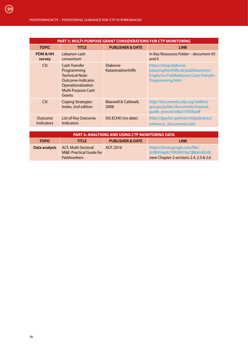| <b>PART 5: MULTI-PURPOSE GRANT CONSIDERATIONS FOR CTP MONITORING</b> |                                                                                                                                   |                                      |                                                                                                                             |
|----------------------------------------------------------------------|-----------------------------------------------------------------------------------------------------------------------------------|--------------------------------------|-----------------------------------------------------------------------------------------------------------------------------|
| <b>TOPIC</b>                                                         | <b>TITLE</b>                                                                                                                      | <b>PUBLISHER &amp; DATE</b>          | <b>LINK</b>                                                                                                                 |
| PDM & HH<br>survey                                                   | Lebanon cash<br>consortium                                                                                                        |                                      | In Key Resources Folder - document #5<br>and 6                                                                              |
| <b>CSI</b>                                                           | Cash Transfer<br>Programming<br><b>Technical Note:</b><br>Outcome-Indicator<br>Operationalization<br>Multi-Purpose Cash<br>Grants | <b>Diakonie</b><br>Katastrophenhilfe | https://shop.diakonie-<br>katastrophenhilfe.de/publikationen/<br>Englische-Publikationen/Cash-Transfer-<br>Programming.html |
| <b>CSI</b>                                                           | <b>Coping Strategies</b><br>Index, 2nd edition                                                                                    | Maxwell & Caldwell,<br>2008          | http://documents.wfp.org/stellent/<br>groups/public/documents/manual_<br>quide_proced/wfp211058.pdf                         |
| Outcome<br>Indicators                                                | List of Key Outcome<br><b>Indicators</b>                                                                                          | DG ECHO (no date)                    | http://dgecho-partners-helpdesk.eu/<br>reference documents/start                                                            |
|                                                                      |                                                                                                                                   |                                      |                                                                                                                             |

| <b>PART 6: ANALYSING AND USING CTP MONITORING DATA</b> |                                                                                          |                             |                                                                                                             |
|--------------------------------------------------------|------------------------------------------------------------------------------------------|-----------------------------|-------------------------------------------------------------------------------------------------------------|
| <b>TOPIC</b>                                           | <b>TITLE</b>                                                                             | <b>PUBLISHER &amp; DATE</b> | <b>LINK</b>                                                                                                 |
| Data analysis                                          | <b>ACF, Multi-Sectoral</b><br><b>M&amp;E: Practical Guide for</b><br><b>Fieldworkers</b> | ACF, 2016                   | https://drive.google.com/file/<br>d/0B4S4aIA1YfAXM1NuTjBibGJKLVE/<br>view Chapter 2 sections 2.4, 2.5 & 2.6 |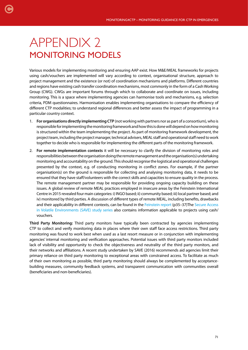# APPENDIX 2 MONITORING MODELS

Various models for implementing monitoring and ensuring AAP exist. How M&E/MEAL frameworks for projects using cash/vouchers are implemented will vary according to context, organisational structure, approach to project management and the existence (or not) of coordination mechanisms and platforms. Different countries and regions have existing cash transfer coordination mechanisms, most commonly in the form of a Cash Working Group (CWG). CWGs are important forums through which to collaborate and coordinate on issues, including monitoring. This is a space where implementing agencies can harmonise tools and mechanisms, e.g. selection criteria, PDM questionnaires. Harmonisation enables implementing organisations to compare the efficiency of different CTP modalities; to understand regional differences and better assess the impact of programming in a particular country context.

- 1. **For organisations directly implementing CTP** (not working with partners nor as part of a consortium), who is responsible for implementing the monitoring framework and how this is done will depend on how monitoring is structured within the team implementing the project. As part of monitoring framework development, the project team, including the project manager, technical advisers, MEAL staff and operational staff need to work together to decide who is responsible for implementing the different parts of the monitoring framework.
- 2. **For remote implementation contexts** it will be necessary to clarify the division of monitoring roles and responsibilities between the organisation doing the remote management and the organisation(s) undertaking monitoring and accountability on the ground. This should recognise the logistical and operational challenges presented by the context, e.g. of conducting monitoring in conflict zones. For example, if the partner organisation(s) on the ground is responsible for collecting and analysing monitoring data, it needs to be ensured that they have staff/volunteers with the correct skills and capacities to ensure quality in the process. The remote management partner may be responsible for providing ongoing capacity building on these issues. A global review of remote MEAL practices employed in insecure areas by the Feinstein International Centre in 2015 revealed four main categories: i) INGO based; ii) community based; iii) local partner based; and iv) monitored by third parties. A discussion of different types of remote MEAL, including benefits, drawbacks and their applicability in different contexts, can be found in the [Feinstein report](http://fic.tufts.edu/assets/Breaking-the-Hourglass_Syria_Iraqi-Kurdistan.pdf) (p35–37)The [Secure Access](http://www.saveresearch.net/accountability-and-learning/) [in Volatile Environments \(SAVE\) study series](http://www.saveresearch.net/accountability-and-learning/) also contains information applicable to projects using cash/ vouchers.

**Third Party Monitoring:** Third party monitors have typically been contracted by agencies implementing CTP to collect and verify monitoring data in places where their own staff face access restrictions. Third party monitoring was found to work best when used as a last resort measure or in conjunction with implementing agencies' internal monitoring and verification approaches. Potential issues with third party monitors included lack of visibility and opportunity to check the objectiveness and neutrality of the third party monitors, and their networks and affiliations. A recent study undertaken by SAVE (2016) recommends aid agencies limit their primary reliance on third party monitoring to exceptional areas with constrained access. To facilitate as much of their own monitoring as possible, third party monitoring should always be complemented by acceptancebuilding measures, community feedback systems, and transparent communication with communities overall (beneficiaries and non-beneficiaries).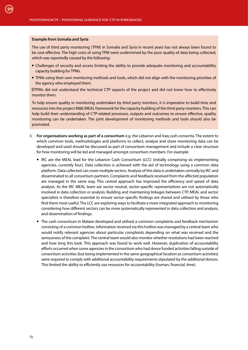#### **Example from Somalia and Syria**

[C](#page-4-0)

The use of third party monitoring (TPM) in Somalia and Syria in recent years has not always been found to be cost-effective. The high costs of using TPM were undermined by the poor quality of data being collected, which was reportedly caused by the following:

- Challenges of security and access limiting the ability to provide adequate monitoring and accountability capacity building for TPMs.
- TPMs using their own monitoring methods and tools, which did not align with the monitoring priorities of the agency who employed them.

TPMs did not understand the technical CTP aspects of the project and did not know how to effectively monitor them.

To help ensure quality in monitoring undertaken by third party monitors, it is imperative to build time and resources into the project M&E/MEAL framework for the capacity building of the third party monitors. This can help build their understanding of CTP-related processes, outputs and outcomes to ensure effective, quality monitoring can be undertaken. The joint development of monitoring methods and tools should also be promoted.

- 3. **For organisations working as part of a consortium** e.g. the Lebanon and Iraq cash consortia. The extent to which common tools, methodologies and platforms to collect, analyse and share monitoring data can be developed and used should be discussed as part of consortium management and include a clear structure for how monitoring will be led and managed amongst consortium members. For example:
	- IRC are the MEAL lead for the Lebanon Cash Consortium (LCC) (initially comprising six implementing agencies, currently four). Data collection is achieved with the aid of technology using a common data platform. Data collected can cover multiple sectors. Analysis of this data is undertaken centrally by IRC and disseminated to all consortium partners. Complaints and feedback received from the affected population are managed in the same way. This central approach has improved the efficiency and speed of data analysis. As the IRC MEAL team are sector neutral, sector-specific representatives are not automatically involved in data collection or analysis. Building and maintaining linkages between CTP, MEAL and sector specialists is therefore essential to ensure sector-specific findings are shared and utilised by those who find them most useful. The LCC are exploring ways to facilitate a more integrated approach to monitoring considering how different sectors can be more systematically represented in data collection and analysis, and dissemination of findings.
	- The cash consortium in Malawi developed and utilised a common complaints and feedback mechanism consisting of a common hotline. Information received via this hotline was managed by a central team who would notify relevant agencies about particular complaints depending on what was received and the seriousness of the complaint. The central team would also monitor whether resolutions had been reached and how long this took. This approach was found to work well. However, duplication of accountability efforts occurred when some agencies in the consortium who had donor funded activities falling outside of consortium activities (but being implemented in the same geographical location as consortium activities) were required to comply with additional accountability requirements stipulated by the additional donors. This limited the ability to efficiently use resources for accountability (human, financial, time).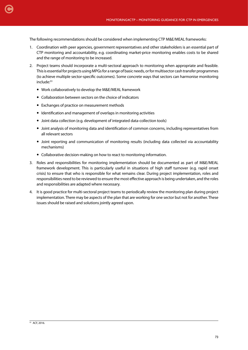The following recommendations should be considered when implementing CTP M&E/MEAL frameworks:

- 1. Coordination with peer agencies, government representatives and other stakeholders is an essential part of CTP monitoring and accountability, e.g. coordinating market-price monitoring enables costs to be shared and the range of monitoring to be increased.
- 2. Project teams should incorporate a multi-sectoral approach to monitoring when appropriate and feasible. This is essential for projects using MPGs for a range of basic needs, or for multisector cash transfer programmes (to achieve multiple sector-specific outcomes). Some concrete ways that sectors can harmonise monitoring include:<sup>53</sup>
	- Work collaboratively to develop the M&E/MEAL framework
	- Collaboration between sectors on the choice of indicators
	- Exchanges of practice on measurement methods
	- Identification and management of overlaps in monitoring activities
	- Joint data collection (e.g. development of integrated data-collection tools)
	- Joint analysis of monitoring data and identification of common concerns, including representatives from all relevant sectors
	- Joint reporting and communication of monitoring results (including data collected via accountability mechanisms)
	- Collaborative decision-making on how to react to monitoring information.
- 3. Roles and responsibilities for monitoring implementation should be documented as part of M&E/MEAL framework development. This is particularly useful in situations of high staff turnover (e.g. rapid onset crisis) to ensure that who is responsible for what remains clear. During project implementation, roles and responsibilities need to be reviewed to ensure the most effective approach is being undertaken, and the roles and responsibilities are adapted where necessary.
- 4. It is good practice for multi-sectoral project teams to periodically review the monitoring plan during project implementation. There may be aspects of the plan that are working for one sector but not for another. These issues should be raised and solutions jointly agreed upon.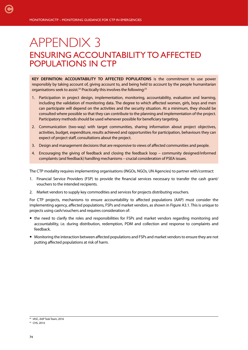# APPENDIX 3 ENSURING ACCOUNTABILITY TO AFFECTED POPULATIONS IN CTP

**KEY DEFINITION: ACCOUNTABILITY TO AFFECTED POPULATIONS** is the commitment to use power responsibly by taking account of, giving account to, and being held to account by the people humanitarian organisations seek to assist.<sup>54</sup> Practically this involves the following:<sup>55</sup>

- 1. Participation in project design, implementation, monitoring, accountability, evaluation and learning, including the validation of monitoring data. The degree to which affected women, girls, boys and men can participate will depend on the activities and the security situation. At a minimum, they should be consulted where possible so that they can contribute to the planning and implementation of the project. Participatory methods should be used whenever possible for beneficiary targeting.
- 2. Communication (two-way) with target communities, sharing information about project objectives, activities, budget, expenditure, results achieved and opportunities for participation, behaviours they can expect of project staff, consultations about the project.
- 3. Design and management decisions that are responsive to views of affected communities and people.
- 4. Encouraging the giving of feedback and closing the feedback loop community designed/informed complaints (and feedback) handling mechanisms – crucial consideration of PSEA issues.

The CTP modality requires implementing organisations (INGOs, NGOs, UN Agencies) to partner with/contract:

- 1. Financial Service Providers (FSP) to provide the financial services necessary to transfer the cash grant/ vouchers to the intended recipients.
- 2. Market vendors to supply key commodities and services for projects distributing vouchers.

For CTP projects, mechanisms to ensure accountability to affected populations (AAP) must consider the implementing agency, affected populations, FSPs and market vendors, as shown in Figure A3.1. This is unique to projects using cash/vouchers and requires consideration of:

- the need to clarify the roles and responsibilities for FSPs and market vendors regarding monitoring and accountability, i.e. during distribution, redemption, PDM and collection and response to complaints and feedback.
- Monitoring the interaction between affected populations and FSPs and market vendors to ensure they are not putting affected populations at risk of harm.

<sup>54</sup> IASC, AAP Task Team, 2016

<sup>&</sup>lt;sup>55</sup> CHS, 2014.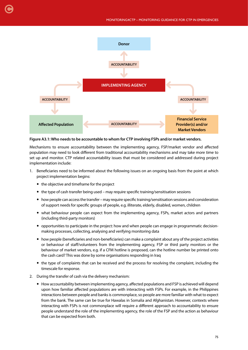

#### **Figure A3.1: Who needs to be accountable to whom for CTP involving FSPs and/or market vendors.**

Mechanisms to ensure accountability between the implementing agency, FSP/market vendor and affected population may need to look different from traditional accountability mechanisms and may take more time to set up and monitor. CTP related accountability issues that must be considered and addressed during project implementation include:

- 1. Beneficiaries need to be informed about the following issues on an ongoing basis from the point at which project implementation begins:
	- the objective and timeframe for the project

[C](#page-4-0)

- the type of cash transfer being used may require specific training/sensitisation sessions
- how people can access the transfer may require specific training/sensitisation sessions and consideration of support needs for specific groups of people, e.g. illiterate, elderly, disabled, women, children
- what behaviour people can expect from the implementing agency, FSPs, market actors and partners (including third-party monitors)
- opportunities to participate in the project: how and when people can engage in programmatic decisionmaking processes, collecting, analysing and verifying monitoring data
- how people (beneficiaries and non-beneficiaries) can make a complaint about any of the project activities or behaviour of staff/volunteers from the implementing agency, FSP or third party monitors or the behaviour of market vendors, e.g. if a CFM hotline is proposed, can the hotline number be printed onto the cash card? This was done by some organisations responding in Iraq
- the type of complaints that can be received and the process for resolving the complaint, including the timescale for response.
- 2. During the transfer of cash via the delivery mechanism:
	- How accountability between implementing agency, affected populations and FSP is achieved will depend upon how familiar affected populations are with interacting with FSPs. For example, in the Philippines interactions between people and banks is commonplace, so people are more familiar with what to expect from the bank. The same can be true for Hawalas in Somalia and Afghanistan. However, contexts where interacting with FSPs is not commonplace will require a different approach to accountability to ensure people understand the role of the implementing agency, the role of the FSP and the action as behaviour that can be expected from both.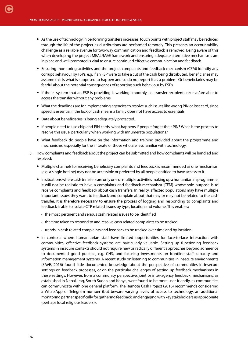- As the use of technology in performing transfers increases, touch points with project staff may be reduced through the life of the project as distributions are performed remotely. This presents an accountability challenge as a reliable avenue for two-way communication and feedback is removed. Being aware of this when developing the project MEAL/M&E framework and ensuring adequate alternative mechanisms are in place and well promoted is vital to ensure continued effective communication and feedback.
- Ensuring monitoring activities and the project complaints and feedback mechanism (CFM) identify any corrupt behaviour by FSPs, e.g. if an FSP were to take a cut of the cash being distributed, beneficiaries may assume this is what is supposed to happen and so do not report it as a problem. Or beneficiaries may be fearful about the potential consequences of reporting such behaviour by FSPs.
- If the e- system that an FSP is providing is working smoothly, i.e. transfer recipients receive/are able to access the transfer without any problems
- What the deadlines are for implementing agencies to resolve such issues like wrong PIN or lost card, since speed is essential if the lack of cash means a family does not have access to essentials.
- Data about beneficiaries is being adequately protected.
- If people need to use chip and PIN cards, what happens if people forget their PIN? What is the process to resolve this issue, particularly when working with innumerate populations?
- What feedback do people have on the information and training provided about the programme and mechanisms, especially for the illiterate or those who are less familiar with technology.
- 3. How complaints and feedback about the project can be submitted and how complaints will be handled and resolved:
	- Multiple channels for receiving beneficiary complaints and feedback is recommended as one mechanism (e.g. a single hotline) may not be accessible or preferred by all people entitled to have access to it.
	- In situations where cash transfers are only one of multiple activities making up a humanitarian programme, it will not be realistic to have a complaints and feedback mechanism (CFM) whose sole purpose is to receive complaints and feedback about cash transfers. In reality, affected populations may have multiple important issues they want to feedback and complain about that may or may not be related to the cash transfer. It is therefore necessary to ensure the process of logging and responding to complaints and feedback is able to isolate CTP related issues by type, location and volume. This enables:
		- the most pertinent and serious cash related issues to be identified
		- the time taken to respond to and resolve cash related complaints to be tracked
		- trends in cash related complaints and feedback to be tracked over time and by location.
	- In contexts where humanitarian staff have limited opportunities for face-to-face interaction with communities, effective feedback systems are particularly valuable. Setting up functioning feedback systems in insecure contexts should not require new or radically different approaches beyond adherence to documented good practice, e.g. CHS, and focusing investments on frontline staff capacity and information management systems. A recent study on listening to communities in insecure environments (SAVE, 2016) found little documented knowledge about the perspective of communities in insecure settings on feedback processes, or on the particular challenges of setting up feedback mechanisms in these settings. However, from a community perspective, joint or inter-agency feedback mechanisms, as established in Nepal, Iraq, South Sudan and Kenya, were found to be more user-friendly, as communities can communicate with one general platform. The Remote Cash Project (2016) recommends considering a WhatsApp or Telegram number (but beware varying levels of access to technology, an additional monitoring partner specifically for gathering feedback, and engaging with key stakeholders as appropriate (perhaps local religious leaders)).

76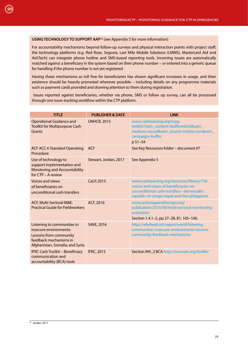## **USING TECHNOLOGY TO SUPPORT AAP<sup>56</sup> (see Appendix 5 for more information)**

For accountability mechanisms beyond follow-up surveys and physical interaction points with project staff, the technology platforms (e.g. Red Rose, Segovia, Last Mile Mobile Solutions (LMMS), Mastercard Aid and Aid:Tech) can integrate phone hotline and SMS-based reporting tools. Incoming issues are automatically matched against a beneficiary in the system based on their phone number – or entered into a generic queue for handling if the phone number is not yet registered.

Having these mechanisms as toll free for beneficiaries has shown significant increases in usage, and their existence should be heavily promoted wherever possible – including details on any programme materials such as payment cards provided and drawing attention to them during registration.

 Issues reported against beneficiaries, whether via phone, SMS or follow up survey, can all be processed through one issue-tracking workflow within the CTP platform.

| <b>TITLE</b>                                                                                                                                 | <b>PUBLISHER &amp; DATE</b> | <b>LINK</b>                                                                                                                                                                       |
|----------------------------------------------------------------------------------------------------------------------------------------------|-----------------------------|-----------------------------------------------------------------------------------------------------------------------------------------------------------------------------------|
| <b>Operational Guidance and</b><br><b>Toolkit for Multipurpose Cash</b><br>Grants                                                            | <b>UNHCR, 2015</b>          | www.cashlearning.org/mpg-<br>toolkit/?utm_content=buffere6b2d&utm_<br>medium=social&utm_source=twitter.com&utm_<br>campaign=buffer<br>p 51-54                                     |
| <b>ACF ACC 6 Standard Operating</b><br>Procedure                                                                                             | <b>ACF</b>                  | See Key Resources folder - document #7                                                                                                                                            |
| Use of technology to<br>support implementation and<br><b>Monitoring and Accountability</b><br>for CTP - A review                             | Stewart, Jordan, 2017       | See Appendix 5                                                                                                                                                                    |
| <b>Voices and views</b><br>of beneficiaries on<br>unconditional cash transfers                                                               | CaLP, 2015                  | www.cashlearning.org/resources/library/756-<br>voices-and-views-of-beneficiaries-on-<br>unconditional-cash-transfers---democratic-<br>republic-of-congo-nepal-and-the-philippines |
| ACF, Multi-Sectoral M&E:<br><b>Practical Guide for Fieldworkers</b>                                                                          | ACF, 2016                   | www.actionagainsthunger.org/<br>publication/2016/08/multi-sectoral-monitoring-<br>evaluation<br>Section 1.4.1-2, pp 27-28, 81, 105-106.                                           |
| Listening to communities in<br>insecure environments:<br>Lessons from community<br>feedback mechanisms in<br>Afghanistan, Somalia, and Syria | <b>SAVE, 2016</b>           | http://reliefweb.int/report/world/listening-<br>communities-insecure-environments-lessons-<br>community-feedback-mechanisms                                                       |
| <b>IFRC Cash Toolkit - Beneficiary</b><br>communication and<br>accountability (BCA) tools                                                    | <b>IFRC, 2015</b>           | Section M4_2 BCA http://rcmcash.org/toolkit/                                                                                                                                      |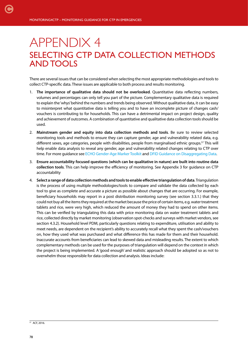# APPENDIX 4 SELECTING CTP DATA COLLECTION METHODS AND TOOLS

There are several issues that can be considered when selecting the most appropriate methodologies and tools to collect CTP-specific data. These issues are applicable to both process and results monitoring.

- 1. **The importance of qualitative data should not be overlooked**. Quantitative data reflecting numbers, volumes and percentages can only tell you part of the picture. Complementary qualitative data is required to explain the 'whys' behind the numbers and trends being observed. Without qualitative data, it can be easy to misinterpret what quantitative data is telling you and to have an incomplete picture of changes cash/ vouchers is contributing to for households. This can have a detrimental impact on project design, quality and achievement of outcomes. A combination of quantitative and qualitative data collection tools should be used.
- 2. **Mainstream gender and equity into data collection methods and tools**. Be sure to review selected monitoring tools and methods to ensure they can capture gender, age and vulnerability related data, e.g. different sexes, age categories, people with disabilities, people from marginalised ethnic groups.<sup>57</sup> This will help enable data analysis to reveal any gender, age and vulnerability related changes relating to CTP over time. For more quidance see [ECHO Gender-Age Marker Toolkit](http://ec.europa.eu/echo/files/policies/sectoral/gender_age_marker_toolkit.pdf) and [DFID Guidance on Disaggregating Data.](https://www.gov.uk/government/uploads/system/uploads/attachment_data/file/530605/DFID_s_guide_to_disaggregating_programme_data_by_disability.pdf)
- 3. **Ensure accountability focused questions (which can be qualitative in nature) are built into routine data collection tools**. This can help improve the efficiency of monitoring. See Appendix 3 for guidance on CTP accountability
- 4. **Select a range of data collection methods and tools to enable effective triangulation of data**. Triangulation is the process of using multiple methodologies/tools to compare and validate the data collected by each tool to give as complete and accurate a picture as possible about changes that are occurring. For example, beneficiary households may report in a post distribution monitoring survey (see section 3.3.1.) that they could not buy all the items they required at the market because the price of certain items, e.g. water treatment tablets and rice, were very high, which reduced the amount of money they had to spend on other items. This can be verified by triangulating this data with price monitoring data on water treatment tablets and rice, collected directly by market monitoring (observation spot-checks and surveys with market vendors, see section 4.3.2). Household level PDM, particularly questions relating to expenditure, utilisation and ability to meet needs, are dependent on the recipient's ability to accurately recall what they spent the cash/vouchers on, how they used what was purchased and what difference this has made for them and their household. Inaccurate accounts from beneficiaries can lead to skewed data and misleading results. The extent to which complementary methods can be used for the purposes of triangulation will depend on the context in which the project is being implemented. A 'good enough' and realistic approach should be adopted so as not to overwhelm those responsible for data collection and analysis. Ideas include:

<sup>57</sup> ACF, 2016.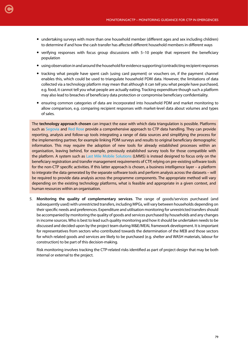- undertaking surveys with more than one household member (different ages and sex including children) to determine if and how the cash transfer has affected different household members in different ways
- verifying responses with focus group discussions with 5–10 people that represent the beneficiary population
- using observation in and around the household for evidence supporting/contradicting recipient responses
- tracking what people have spent cash (using card payment) or vouchers on, if the payment channel enables this, which could be used to triangulate household PDM data. However, the limitations of data collected via a technology platform may mean that although it can tell you what people have purchased, e.g. food, it cannot tell you what people are actually eating. Tracking expenditure though such a platform may also lead to breaches of beneficiary data protection or compromise beneficiary confidentiality.
- ensuring common categories of data are incorporated into household PDM and market monitoring to allow comparison, e.g. comparing recipient responses with market-level data about volumes and types of sales.

The **technology approach chosen** can impact the ease with which data triangulation is possible. Platforms such as [Segovia](http://www.thesegovia.com/) and [Red Rose](https://www.redrosecps.com/one-platform/) provide a comprehensive approach to CTP data handling. They can provide reporting, analysis and follow-up tools integrating a range of data sources and simplifying the process for the implementing partner, for example linking PDM surveys and results to original beneficiary demographic information. This may require the adoption of new tools for already established processes within an organisation, leaving behind, for example, previously established survey tools for those compatible with the platform. A system such as [Last Mile Mobile Solutions](http://www.wvi.org/disaster-management/last-mile-mobile-solution-lmms) (LMMS) is instead designed to focus only on the beneficiary registration and transfer management requirements of CTP, relying on pre-existing software tools for the non-CTP specific activities. If this latter approach is chosen, a business intelligence layer – a platform to integrate the data generated by the separate software tools and perform analysis across the datasets – will be required to provide data analysis across the programme components. The appropriate method will vary depending on the existing technology platforms, what is feasible and appropriate in a given context, and human resources within an organisation.

5. **Monitoring the quality of complementary services**. The range of goods/services purchased (and subsequently used) with unrestricted transfers, including MPGs, will vary between households depending on their specific needs and preferences. Expenditure and utilisation monitoring for unrestricted transfers should be accompanied by monitoring the quality of goods and services purchased by households and any changes in income sources. Who is best to lead such quality monitoring and how it should be undertaken needs to be discussed and decided upon by the project team during M&E/MEAL framework development. It is important for representatives from sectors who contributed towards the determination of the MEB and those sectors for which related goods and services are likely to be purchased (e.g. shelter and WASH materials, labour for construction) to be part of this decision-making.

Risk monitoring involves tracking the CTP-related risks identified as part of project design that may be both internal or external to the project.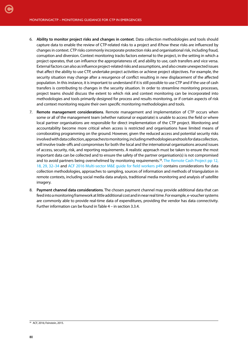- 6. **Ability to monitor project risks and changes in context**. Data collection methodologies and tools should capture data to enable the review of CTP-related risks to a project and if/how these risks are influenced by changes in context. CTP risks commonly incorporate protection risks and organisational risk, including fraud, corruption and diversion. Context monitoring tracks factors external to the project, in the setting in which a project operates, that can influence the appropriateness of, and ability to use, cash transfers and vice versa. External factors can also as influence project-related risks and assumptions, and also create unexpected issues that affect the ability to use CTP, undertake project activities or achieve project objectives. For example, the security situation may change after a resurgence of conflict resulting in new displacement of the affected population. In this instance, it is important to understand if it is still possible to use CTP and if the use of cash transfers is contributing to changes in the security situation. In order to streamline monitoring processes, project teams should discuss the extent to which risk and context monitoring can be incorporated into methodologies and tools primarily designed for process and results monitoring, or if certain aspects of risk and context monitoring require their own specific monitoring methodologies and tools.
- 7. **Remote management considerations**. Remote management and implementation of CTP occurs when some or all of the management team (whether national or expatriate) is unable to access the field or where local partner organisations are responsible for direct implementation of the CTP project. Monitoring and accountability become more critical when access is restricted and organisations have limited means of corroborating programming on the ground. However, given the reduced access and potential security risks involved with data collection, approaches to monitoring, including methodologies and tools for data collection, will involve trade-offs and compromises for both the local and the international organisations around issues of access, security, risk, and reporting requirements. A realistic approach must be taken to ensure the most important data can be collected and to ensure the safety of the partner organisation(s) is not compromised and to avoid partners being overwhelmed by monitoring requirements.<sup>58</sup>. [The Remote Cash Project pp 12,](http://cash.nrc.no/uploads/4/1/3/9/41393987/remote_cash_project_guidance_final.pdf) [18, 29, 32–34](http://cash.nrc.no/uploads/4/1/3/9/41393987/remote_cash_project_guidance_final.pdf) and [ACF 2016 Multi-sector M&E guide for field workers p49](http://www.actionagainsthunger.org/publication/2016/08/multi-sectoral-monitoring-evaluation) contains considerations for data collection methodologies, approaches to sampling, sources of information and methods of triangulation in remote contexts, including social media data analysis, traditional media monitoring and analysis of satellite imagery.
- 8. **Payment channel data considerations**. The chosen payment channel may provide additional data that can feed into a monitoring framework at little additional cost and in near real time. For example, e-voucher systems are commonly able to provide real-time data of expenditures, providing the vendor has data connectivity. Further information can be found in Table 4 – in section 3.3.4.

<sup>58</sup> ACF, 2016; Feinstein, 2015.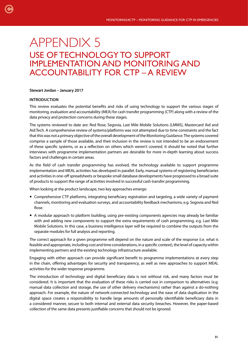# APPENDIX 5 USE OF TECHNOLOGY TO SUPPORT IMPLEMENTATION AND MONITORING AND ACCOUNTABILITY FOR CTP – A REVIEW

## **Stewart Jordan – January 2017**

## **INTRODUCTION**

This review evaluates the potential benefits and risks of using technology to support the various stages of monitoring, evaluation and accountability (MEA) for cash transfer programming (CTP) along with a review of the data privacy and protection concerns during these stages.

The systems reviewed to date are: Red Rose, Segovia, Last Mile Mobile Solutions (LMMS), Mastercard Aid and Aid:Tech. A comprehensive review of systems/platforms was not attempted due to time constraints and the fact that this was not a primary objective of the overall development of the Monitoring Guidance. The systems covered comprise a sample of those available, and their inclusion in the review is not intended to be an endorsement of these specific systems, or as a reflection on others which weren't covered. It should be noted that further interviews with programme implementation partners are desirable for more in-depth learning about success factors and challenges in certain areas.

As the field of cash transfer programming has evolved, the technology available to support programme implementation and MEAL activities has developed in parallel. Early, manual systems of registering beneficiaries and activities in one-off spreadsheets or bespoke small database developments have progressed to a broad suite of products to support the range of activities involved in successful cash transfer programming.

When looking at the product landscape, two key approaches emerge:

- Comprehensive CTP platforms, integrating beneficiary registration and targeting, a wide variety of payment channels, monitoring and evaluation surveys, and accountability feedback mechanisms, e.g. Segovia and Red Rose.
- A modular approach to platform building, using pre-existing components agencies may already be familiar with and adding new components to support the extra requirements of cash programming, e.g. Last Mile Mobile Solutions. In this case, a business intelligence layer will be required to combine the outputs from the separate modules for full analysis and reporting.

The correct approach for a given programme will depend on the nature and scale of the response (i.e. what is feasible and appropriate, including cost and time considerations, in a specific context), the level of capacity within implementing partners and the existing technology infrastructure available.

Engaging with either approach can provide significant benefit to programme implementations at every step in the chain, offering advantages for security and transparency, as well as new approaches to support MEAL activities for the wider response programme.

The introduction of technology and digital beneficiary data is not without risk, and many factors must be considered. It is important that the evaluation of these risks is carried out in comparison to alternatives (e.g. manual data collection and storage, the use of other delivery mechanisms) rather than against a do-nothing approach. For example, the nature of network-connected technology and the ease of data duplication in the digital space creates a responsibility to handle large amounts of personally identifiable beneficiary data in a considered manner, secure to both internal and external data security breaches. However, the paper-based collection of the same data presents justifiable concerns that should not be ignored.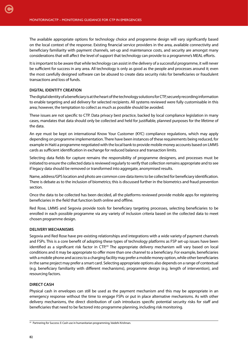The available appropriate options for technology choice and programme design will vary significantly based on the local context of the response. Existing financial service providers in the area, available connectivity and beneficiary familiarity with payment channels, set-up and maintenance costs, and security are amongst many considerations that will affect the level of support that technology can provide to a programme's MEAL efforts.

It is important to be aware that while technology can assist in the delivery of a successful programme, it will never be sufficient for success in any area. All technology is only as good as the people and processes around it; even the most carefully designed software can be abused to create data security risks for beneficiaries or fraudulent transactions and loss of funds.

## **DIGITAL IDENTITY CREATION**

[C](#page-4-0)

The digital identity of a beneficiary is at the heart of the technology solutions for CTP, securely recording information to enable targeting and aid delivery for selected recipients. All systems reviewed were fully customisable in this area; however, the temptation to collect as much as possible should be avoided.

These issues are not specific to CTP. Data privacy best practice, backed by local compliance legislation in many cases, mandates that data should only be collected and held for justifiable, planned purposes for the lifetime of the data.

An eye must be kept on international Know Your Customer (KYC) compliance regulations, which may apply depending on programme implementation. There have been instances of these requirements being reduced, for example in Haiti a programme negotiated with the local bank to provide mobile money accounts based on LMMS cards as sufficient identification in exchange for reduced balance and transaction limits.

Selecting data fields for capture remains the responsibility of programme designers, and processes must be initiated to ensure the collected data is reviewed regularly to verify that collection remains appropriate and to see if legacy data should be removed or transformed into aggregate, anonymised results.

Name, address/GPS location and photo are common core data items to be collected for beneficiary identification. There is debate as to the inclusion of biometrics; this is discussed further in the biometrics and fraud prevention section.

Once the data to be collected has been decided, all the platforms reviewed provide mobile apps for registering beneficiaries in the field that function both online and offline.

Red Rose, LMMS and Segovia provide tools for beneficiary targeting processes, selecting beneficiaries to be enrolled in each possible programme via any variety of inclusion criteria based on the collected data to meet chosen programme design.

#### **DELIVERY MECHANISMS**

Segovia and Red Rose have pre-existing relationships and integrations with a wide variety of payment channels and FSPs. This is a core benefit of adopting these types of technology platforms as FSP set-up issues have been identified as a significant risk factor in CTP.<sup>59</sup> The appropriate delivery mechanism will vary based on local conditions and it may be appropriate to offer more than one channel to a beneficiary. For example, beneficiaries with a mobile phone and access to a charging facility may prefer a mobile money option, while other beneficiaries in the same project may prefer a smart card. Selecting appropriate options also depends on a range of contextual (e.g. beneficiary familiarity with different mechanisms), programme design (e.g. length of intervention), and resourcing factors.

#### **DIRECT CASH**

Physical cash in envelopes can still be used as the payment mechanism and this may be appropriate in an emergency response without the time to engage FSPs or put in place alternative mechanisms. As with other delivery mechanisms, the direct distribution of cash introduces specific potential security risks for staff and beneficiaries that need to be factored into programme planning, including risk monitoring.

<sup>59</sup> Partnering for Success: E-Cash use in humanitarian programming, Vaidehi Krishnan.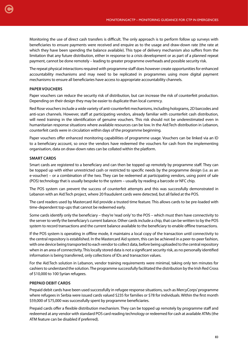Monitoring the use of direct cash transfers is difficult. The only approach is to perform follow up surveys with beneficiaries to ensure payments were received and enquire as to the usage and draw-down rate (the rate at which they have been spending the balance available). This type of delivery mechanism also suffers from the limitation that any future distribution, either in response to a crisis development or as part of a planned repeat payment, cannot be done remotely – leading to greater programme overheads and possible security risk.

The repeat physical interactions required with programme staff does however create opportunities for enhanced accountability mechanisms and may need to be replicated in programmes using more digital payment mechanisms to ensure all beneficiaries have access to appropriate accountability channels.

# **PAPER VOUCHERS**

Paper vouchers can reduce the security risk of distribution, but can increase the risk of counterfeit production. Depending on their design they may be easier to duplicate than local currency.

Red Rose vouchers include a wide variety of anti-counterfeit mechanisms, including holograms, 2D barcodes and anti-scan channels. However, staff at participating vendors, already familiar with counterfeit cash distribution, will need training in the identification of genuine vouchers. This risk should not be underestimated even in humanitarian response situations where available resources can be low. In the Aid:Tech distribution in Lebanon, counterfeit cards were in circulation within days of the programme beginning.

Paper vouchers offer enhanced monitoring capabilities of programme usage. Vouchers can be linked via an ID to a beneficiary account, so once the vendors have redeemed the vouchers for cash from the implementing organisation, data on draw-down rates can be collated within the platform.

# **SMART CARDS**

Smart cards are registered to a beneficiary and can then be topped up remotely by programme staff. They can be topped up with either unrestricted cash or restricted to specific needs by the programme design (i.e. as an e-voucher) – or a combination of the two. They can be redeemed at participating vendors, using point of sale (POS) technology that is usually bespoke to the system – usually by reading a barcode or NFC chip.

The POS system can prevent the success of counterfeit attempts and this was successfully demonstrated in Lebanon with an Aid:Tech project, where 20 fraudulent cards were detected, but all failed at the POS.

The card readers used by Mastercard Aid provide a trusted time feature. This allows cards to be pre-loaded with time-dependent top-ups that cannot be redeemed early.

Some cards identify only the beneficiary – they're 'read only' to the POS – which must then have connectivity to the server to verify the beneficiary's current balance. Other cards include a chip, that can be written to by the POS system to record transactions and the current balance available to the beneficiary to enable offline transactions.

If the POS system is operating in offline mode, it maintains a local copy of the transaction until connectivity to the central repository is established. In the Mastercard Aid system, this can be achieved in a peer-to-peer fashion, with one device being transported to each vendor to collect data, before being uploaded to the central repository when in an area of connectivity. This locally stored data is not a significant security risk, as no personally identified information is being transferred, only collections of IDs and transaction values.

For the Aid:Tech solution in Lebanon, vendor training requirements were minimal, taking only ten minutes for cashiers to understand the solution. The programme successfully facilitated the distribution by the Irish Red Cross of \$10,000 to 100 Syrian refugees.

# **PREPAID DEBIT CARDS**

Prepaid debit cards have been used successfully in refugee response situations, such as MercyCorps' programme where refugees in Serbia were issued cards valued \$235 for families or \$78 for individuals. Within the first month \$59,000 of \$75,000 was successfully spent by programme beneficiaries.

Prepaid cards offer a flexible distribution mechanism. They can be topped up remotely by programme staff and redeemed at any vendor with standard POS card reading technology or redeemed for cash at available ATMs (the ATM feature can be disabled if preferred).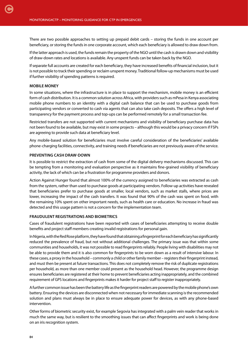There are two possible approaches to setting up prepaid debit cards – storing the funds in one account per beneficiary, or storing the funds in one corporate account, which each beneficiary is allowed to draw down from.

If the latter approach is used, the funds remain the property of the NGO until the cash is drawn down and visibility of draw-down rates and locations is available. Any unspent funds can be taken back by the NGO.

If separate full accounts are created for each beneficiary, they have increased benefits of financial inclusion, but it is not possible to track their spending or reclaim unspent money. Traditional follow-up mechanisms must be used if further visibility of spending patterns is required.

## **MOBILE MONEY**

In some situations, where the infrastructure is in place to support the mechanism, mobile money is an efficient form of cash distribution. It is a common solution across Africa, with providers such as mPesa in Kenya associating mobile phone numbers to an identity with a digital cash balance that can be used to purchase goods from participating vendors or converted to cash via agents that can also take cash deposits. The offers a high level of transparency for the payment process and top-ups can be performed remotely for a small transaction fee.

Restricted transfers are not supported with current mechanisms and visibility of beneficiary purchase data has not been found to be available, but may exist in some projects – although this would be a privacy concern if FSPs are agreeing to provide such data at beneficiary level.

Any mobile-based solution for beneficiaries must involve careful consideration of the beneficiaries' available phone-charging facilities, connectivity, and training needs if beneficiaries are not previously aware of the service.

#### **PREVENTING CASH DRAW-DOWN**

It is possible to restrict the extraction of cash from some of the digital delivery mechanisms discussed. This can be tempting from a monitoring and evaluation perspective as it maintains fine-grained visibility of beneficiary activity, the lack of which can be a frustration for programme providers and donors.

Action Against Hunger found that almost 100% of the currency assigned to beneficiaries was extracted as cash from the system, rather than used to purchase goods at participating vendors. Follow-up activities have revealed that beneficiaries prefer to purchase goods at smaller, local vendors, such as market stalls, where prices are lower, increasing the impact of the cash transfers. It was found that 90% of the cash was spent on food, with the remaining 10% spent on other important needs, such as health care or education. No increase in fraud was detected and this usage pattern is not a concern for the implementation team.

## **FRAUDULENT REGISTRATIONS AND BIOMETRICS**

Cases of fraudulent registrations have been reported with cases of beneficiaries attempting to receive double benefits and project staff members creating invalid registrations for personal gain.

In Nigeria, with the Red Rose platform, they have found that obtaining a fingerprint for each beneficiary has significantly reduced the prevalence of fraud, but not without additional challenges. The primary issue was that within some communities and households, it was not possible to read fingerprints reliably. People living with disabilities may not be able to provide them and it is also common for fingerprints to be worn down as a result of intensive labour. In these cases, a proxy in the household – commonly a child or other family member – registers their fingerprint instead, and must then be present at future transactions. This does not completely remove the risk of duplicate registrations per household, as more than one member could present as the household head. However, the programme design ensures beneficiaries are registered at their home to prevent beneficiaries acting inappropriately, and the combined requirement of GPS locations and fingerprints makes it harder for project staff to register inappropriately.

A further common issue has been the battery life as the fingerprint readers are powered by the mobile phone's own battery. Ensuring the devices are disconnected when not necessary for immediate scanning is the recommended solution and plans must always be in place to ensure adequate power for devices, as with any phone-based intervention.

Other forms of biometric security exist, for example Segovia has integrated with a palm vein reader that works in much the same way, but is resilient to the smoothing issues that can affect fingerprints and work is being done on an iris recognition system.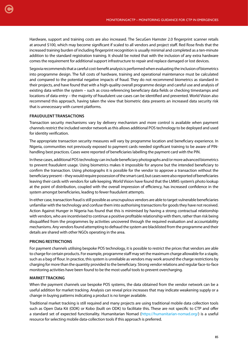Hardware, support and training costs are also increased. The SecuGen Hamster 2.0 fingerprint scanner retails at around \$100, which may become significant if scaled to all vendors and project staff. Red Rose finds that the increased training burden of including fingerprint recognition is usually minimal and completed as a ten-minute addition to the standard registration training. It should be noted that with the inclusion of any extra hardware comes the requirement for additional support infrastructure to repair and replace damaged or lost devices.

Segovia recommends that a careful cost-benefit analysis is performed when evaluating the inclusion of biometrics into programme design. The full costs of hardware, training and operational maintenance must be calculated and compared to the potential negative impacts of fraud. They do not recommend biometrics as standard in their projects, and have found that with a high-quality overall programme design and careful use and analysis of existing data within the system – such as cross-referencing beneficiary data fields or checking timestamps and locations of data entry – the majority of fraudulent use cases can be identified and prevented. World Vision also recommend this approach, having taken the view that biometric data presents an increased data security risk that is unnecessary with current platforms.

# **FRAUDULENT TRANSACTIONS**

Transaction security mechanisms vary by delivery mechanism and more control is available when payment channels restrict the included vendor network as this allows additional POS technology to be deployed and used for identity verification.

The appropriate transaction security measures will vary by programme location and beneficiary experience. In Nigeria, communities not previously exposed to payment cards needed significant training to be aware of PINhandling best practices. Cases were reported of beneficiaries labelling the payment card with the PIN.

In these cases, additional POS technology can include beneficiary photographs and/or more advanced biometrics to prevent fraudulent usage. Using biometrics makes it impossible for anyone but the intended beneficiary to confirm the transaction. Using photographs it is possible for the vendor to approve a transaction without the beneficiary present – they would require possession of the smart card, but cases were also reported of beneficiaries leaving their cards with vendors for safe keeping. World Vision have found that the LMMS system's photo lookup at the point of distribution, coupled with the overall impression of efficiency, has increased confidence in the system amongst beneficiaries, leading to fewer fraudulent attempts.

In either case, transaction fraud is still possible as unscrupulous vendors are able to target vulnerable beneficiaries unfamiliar with the technology and confuse them into authorising transactions for goods they have not received. Action Against Hunger in Nigeria has found that this is minimised by having a strong contractual relationship with vendors, who are incentivised to continue a positive profitable relationship with them, rather than risk being disqualified from the programmes by activities uncovered through the required evaluation and accountability mechanisms. Any vendors found attempting to defraud the system are blacklisted from the programme and their details are shared with other NGOs operating in the area.

# **PRICING RESTRICTIONS**

For payment channels utilising bespoke POS technology, it is possible to restrict the prices that vendors are able to charge for certain products. For example, programme staff may set the maximum charge allowable for a staple, such as a bag of flour. In practice, this system is unreliable as vendors may work around the charge restrictions by charging for more than the quantity provided to the beneficiary. Strong vendor relations and regular face-to-face monitoring activities have been found to be the most useful tools to prevent overcharging.

# **MARKET TRACKING**

When the payment channels use bespoke POS systems, the data obtained from the vendor network can be a useful addition for market tracking. Analysis can reveal price increases that may indicate weakening supply or a change in buying patterns indicating a product is no longer available.

Traditional market tracking is still required and many projects are using traditional mobile data collection tools such as Open Data Kit (ODK) or Kobo (built on ODK) to facilitate this. These are not specific to CTP and offer a standard set of expected functionality. Humanitarian Nomad [\(https://humanitarian-nomad.org/\)](https://humanitarian-nomad.org/) is a useful resource for selecting mobile data-collection tools if this approach is preferred.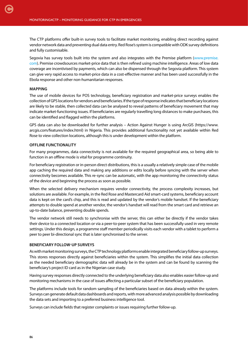The CTP platforms offer built-in survey tools to facilitate market monitoring, enabling direct recording against vendor network data and preventing dual data entry. Red Rose's system is compatible with ODK survey definitions and fully customisable.

Segovia has survey tools built into the system and also integrates with the Premise platform [\(www.premise.](https://www.premise.com) [com\)](https://www.premise.com). Premise crowdsources market-price data that is then refined using machine intelligence. Areas of low data coverage are incentivised by payments, which can also be dispensed through the Segovia platform. This system can give very rapid access to market-price data in a cost-effective manner and has been used successfully in the Ebola response and other non-humanitarian responses.

# **MAPPING**

[C](#page-4-0)

The use of mobile devices for POS technology, beneficiary registration and market-price surveys enables the collection of GPS locations for vendors and beneficiaries. If the type of response indicates that beneficiary locations are likely to be stable, then collected data can be analysed to reveal patterns of beneficiary movement that may indicate market-functioning issues. If beneficiaries are regularly travelling long distances to make purchases, this can be identified and flagged within the platforms.

GPS data can also be downloaded for further analysis – Action Against Hunger is using ArcGIS (https://www. arcgis.com/features/index.html) in Nigeria. This provides additional functionality not yet available within Red Rose to view collection locations, although this is under development within the platform.

# **OFFLINE FUNCTIONALITY**

For many programmes, data connectivity is not available for the required geographical area, so being able to function in an offline mode is vital for programme continuity.

For beneficiary registration or in-person direct distributions, this is a usually a relatively simple case of the mobile app caching the required data and making any additions or edits locally before syncing with the server when connectivity becomes available. This re-sync can be automatic, with the app monitoring the connectivity status of the device and beginning the process as soon as possible.

When the selected delivery mechanism requires vendor connectivity, the process complexity increases, but solutions are available. For example, in the Red Rose and Mastercard Aid smart-card systems, beneficiary account data is kept on the card's chip, and this is read and updated by the vendor's mobile handset. If the beneficiary attempts to double spend at another vendor, the vendor's handset will read from the smart card and retrieve an up-to-date balance, preventing double spends.

The vendor network still needs to synchronise with the server, this can either be directly if the vendor takes their device to a connected location or via a peer-to-peer system that has been successfully used in very remote settings. Under this design, a programme staff member periodically visits each vendor with a tablet to perform a peer to peer bi-directional sync that is later synchronised to the server.

## **BENEFICIARY FOLLOW-UP SURVEYS**

As with market monitoring surveys, the CTP technology platforms enable integrated beneficiary follow-up surveys. This stores responses directly against beneficiaries within the system. This simplifies the initial data collection as the needed beneficiary demographic data will already be in the system and can be found by scanning the beneficiary's project ID card as in the Nigerian case study.

Having survey responses directly connected to the underlying beneficiary data also enables easier follow-up and monitoring mechanisms in the case of issues affecting a particular subset of the beneficiary population.

The platforms include tools for random sampling of the beneficiaries based on data already within the system. Surveys can generate default data dashboards and reports, with more advanced analysis possible by downloading the data sets and importing to a preferred business intelligence tool.

Surveys can include fields that register complaints or issues requiring further follow-up.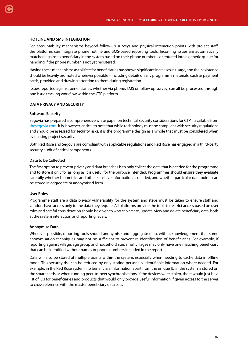## **HOTLINE AND SMS INTEGRATION**

For accountability mechanisms beyond follow-up surveys and physical interaction points with project staff, the platforms can integrate phone hotline and SMS-based reporting tools. Incoming issues are automatically matched against a beneficiary in the system based on their phone number – or entered into a generic queue for handling if the phone number is not yet registered.

Having these mechanisms as toll free for beneficiaries has shown significant increases in usage, and their existence should be heavily promoted wherever possible – including details on any programme materials, such as payment cards, provided and drawing attention to them during registration.

Issues reported against beneficiaries, whether via phone, SMS or follow up survey, can all be processed through one issue tracking workflow within the CTP platform.

## **DATA PRIVACY AND SECURITY**

## **Software Security**

Segovia has prepared a comprehensive white paper on technical security considerations for CTP – available from [thesegovia.com.](http://www.thesegovia.com/) It is, however, critical to note that while technology must be compliant with security regulations and should be assessed for security risks, it is the programme design as a whole that must be considered when evaluating project security.

Both Red Rose and Segovia are compliant with applicable regulations and Red Rose has engaged in a third-party security audit of critical components.

## **Data to be Collected**

The first option to prevent privacy and data breaches is to only collect the data that is needed for the programme and to store it only for as long as it is useful for the purpose intended. Programmes should ensure they evaluate carefully whether biometrics and other sensitive information is needed, and whether particular data points can be stored in aggregate or anonymised form.

#### **User Roles**

Programme staff are a data privacy vulnerability for the system and steps must be taken to ensure staff and vendors have access only to the data they require. All platforms provide the tools to restrict access based on user roles and careful consideration should be given to who can create, update, view and delete beneficiary data, both at the system interaction and reporting levels.

#### **Anonymise Data**

Wherever possible, reporting tools should anonymise and aggregate data, with acknowledgement that some anonymisation techniques may not be sufficient to prevent re-identification of beneficiaries. For example, if reporting against village, age group and household size, small villages may only have one matching beneficiary that can be identified without names or phone numbers included in the report.

Data will also be stored at multiple points within the system, especially when needing to cache data in offline mode. This security risk can be reduced by only storing personally identifiable information where needed. For example, in the Red Rose system, no beneficiary information apart from the unique ID in the system is stored on the smart cards or when running peer-to-peer synchronisations. If the devices were stolen, there would just be a list of IDs for beneficiaries and products that would only provide useful information if given access to the server to cross reference with the master beneficiary data sets.